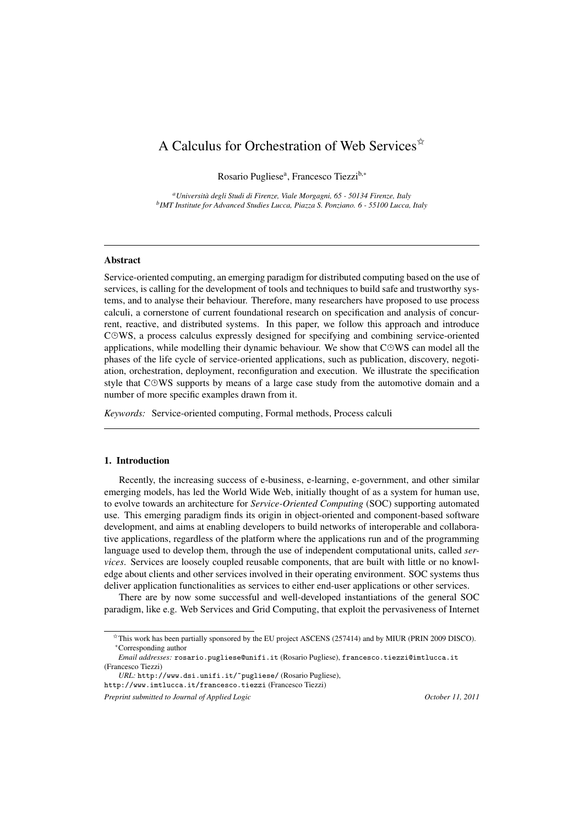# A Calculus for Orchestration of Web Services<sup> $\hat{\mathbf{x}}$ </sup>

Rosario Pugliese<sup>a</sup>, Francesco Tiezzi<sup>b,∗</sup>

*<sup>a</sup>Universit`a degli Studi di Firenze, Viale Morgagni, 65 - 50134 Firenze, Italy b IMT Institute for Advanced Studies Lucca, Piazza S. Ponziano. 6 - 55100 Lucca, Italy*

#### Abstract

Service-oriented computing, an emerging paradigm for distributed computing based on the use of services, is calling for the development of tools and techniques to build safe and trustworthy systems, and to analyse their behaviour. Therefore, many researchers have proposed to use process calculi, a cornerstone of current foundational research on specification and analysis of concurrent, reactive, and distributed systems. In this paper, we follow this approach and introduce <sup>C</sup>WS, a process calculus expressly designed for specifying and combining service-oriented applications, while modelling their dynamic behaviour. We show that  $C@WS$  can model all the phases of the life cycle of service-oriented applications, such as publication, discovery, negotiation, orchestration, deployment, reconfiguration and execution. We illustrate the specification style that COWS supports by means of a large case study from the automotive domain and a number of more specific examples drawn from it.

*Keywords:* Service-oriented computing, Formal methods, Process calculi

## 1. Introduction

Recently, the increasing success of e-business, e-learning, e-government, and other similar emerging models, has led the World Wide Web, initially thought of as a system for human use, to evolve towards an architecture for *Service-Oriented Computing* (SOC) supporting automated use. This emerging paradigm finds its origin in object-oriented and component-based software development, and aims at enabling developers to build networks of interoperable and collaborative applications, regardless of the platform where the applications run and of the programming language used to develop them, through the use of independent computational units, called *services*. Services are loosely coupled reusable components, that are built with little or no knowledge about clients and other services involved in their operating environment. SOC systems thus deliver application functionalities as services to either end-user applications or other services.

There are by now some successful and well-developed instantiations of the general SOC paradigm, like e.g. Web Services and Grid Computing, that exploit the pervasiveness of Internet

 $\hat{\tau}$ This work has been partially sponsored by the EU project ASCENS (257414) and by MIUR (PRIN 2009 DISCO). <sup>∗</sup>Corresponding author

*Email addresses:* rosario.pugliese@unifi.it (Rosario Pugliese), francesco.tiezzi@imtlucca.it (Francesco Tiezzi)

*URL:* http://www.dsi.unifi.it/~pugliese/ (Rosario Pugliese), http://www.imtlucca.it/francesco.tiezzi (Francesco Tiezzi)

*Preprint submitted to Journal of Applied Logic*  $October 11, 2011$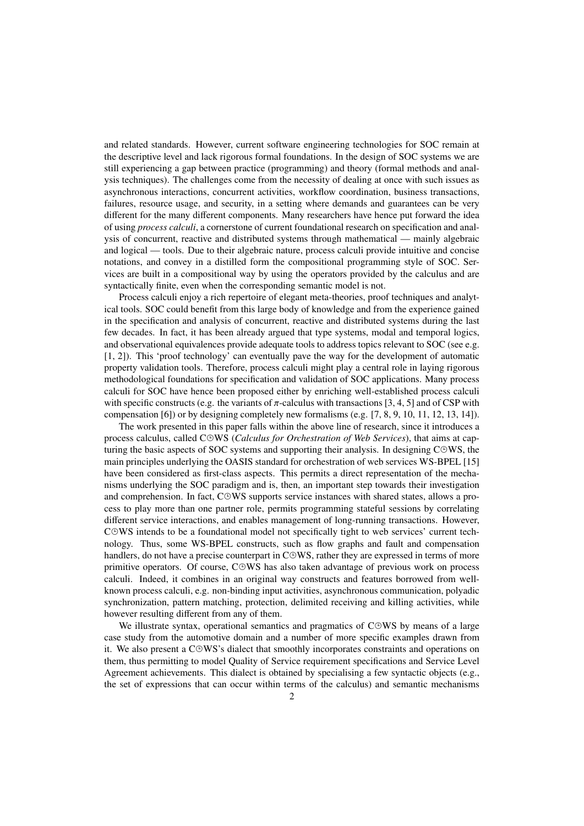and related standards. However, current software engineering technologies for SOC remain at the descriptive level and lack rigorous formal foundations. In the design of SOC systems we are still experiencing a gap between practice (programming) and theory (formal methods and analysis techniques). The challenges come from the necessity of dealing at once with such issues as asynchronous interactions, concurrent activities, workflow coordination, business transactions, failures, resource usage, and security, in a setting where demands and guarantees can be very different for the many different components. Many researchers have hence put forward the idea of using *process calculi*, a cornerstone of current foundational research on specification and analysis of concurrent, reactive and distributed systems through mathematical — mainly algebraic and logical — tools. Due to their algebraic nature, process calculi provide intuitive and concise notations, and convey in a distilled form the compositional programming style of SOC. Services are built in a compositional way by using the operators provided by the calculus and are syntactically finite, even when the corresponding semantic model is not.

Process calculi enjoy a rich repertoire of elegant meta-theories, proof techniques and analytical tools. SOC could benefit from this large body of knowledge and from the experience gained in the specification and analysis of concurrent, reactive and distributed systems during the last few decades. In fact, it has been already argued that type systems, modal and temporal logics, and observational equivalences provide adequate tools to address topics relevant to SOC (see e.g. [1, 2]). This 'proof technology' can eventually pave the way for the development of automatic property validation tools. Therefore, process calculi might play a central role in laying rigorous methodological foundations for specification and validation of SOC applications. Many process calculi for SOC have hence been proposed either by enriching well-established process calculi with specific constructs (e.g. the variants of  $\pi$ -calculus with transactions [3, 4, 5] and of CSP with compensation [6]) or by designing completely new formalisms (e.g. [7, 8, 9, 10, 11, 12, 13, 14]).

The work presented in this paper falls within the above line of research, since it introduces a process calculus, called CWS (*Calculus for Orchestration of Web Services*), that aims at capturing the basic aspects of SOC systems and supporting their analysis. In designing CWS, the main principles underlying the OASIS standard for orchestration of web services WS-BPEL [15] have been considered as first-class aspects. This permits a direct representation of the mechanisms underlying the SOC paradigm and is, then, an important step towards their investigation and comprehension. In fact, CWS supports service instances with shared states, allows a process to play more than one partner role, permits programming stateful sessions by correlating different service interactions, and enables management of long-running transactions. However, <sup>C</sup>WS intends to be a foundational model not specifically tight to web services' current technology. Thus, some WS-BPEL constructs, such as flow graphs and fault and compensation handlers, do not have a precise counterpart in COWS, rather they are expressed in terms of more primitive operators. Of course, CWS has also taken advantage of previous work on process calculi. Indeed, it combines in an original way constructs and features borrowed from wellknown process calculi, e.g. non-binding input activities, asynchronous communication, polyadic synchronization, pattern matching, protection, delimited receiving and killing activities, while however resulting different from any of them.

We illustrate syntax, operational semantics and pragmatics of COWS by means of a large case study from the automotive domain and a number of more specific examples drawn from it. We also present a CWS's dialect that smoothly incorporates constraints and operations on them, thus permitting to model Quality of Service requirement specifications and Service Level Agreement achievements. This dialect is obtained by specialising a few syntactic objects (e.g., the set of expressions that can occur within terms of the calculus) and semantic mechanisms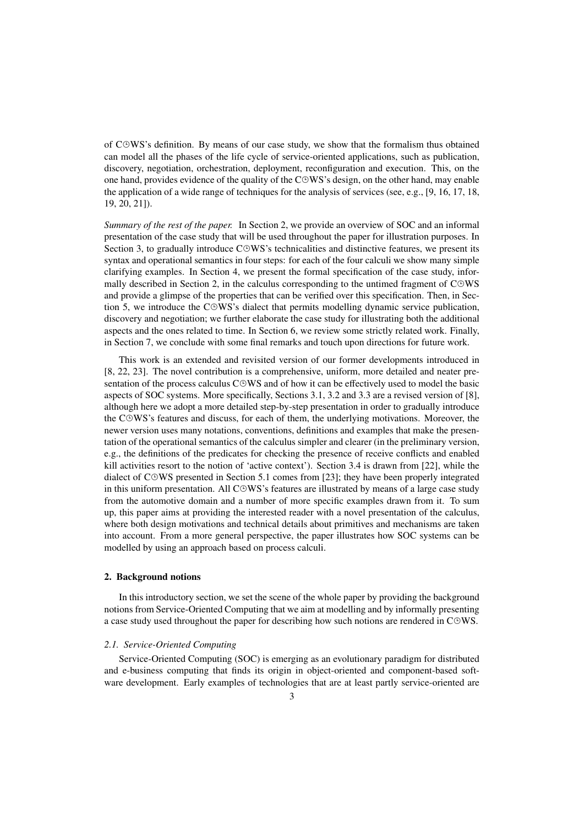of CWS's definition. By means of our case study, we show that the formalism thus obtained can model all the phases of the life cycle of service-oriented applications, such as publication, discovery, negotiation, orchestration, deployment, reconfiguration and execution. This, on the one hand, provides evidence of the quality of the COWS's design, on the other hand, may enable the application of a wide range of techniques for the analysis of services (see, e.g., [9, 16, 17, 18, 19, 20, 21]).

*Summary of the rest of the paper.* In Section 2, we provide an overview of SOC and an informal presentation of the case study that will be used throughout the paper for illustration purposes. In Section 3, to gradually introduce CWS's technicalities and distinctive features, we present its syntax and operational semantics in four steps: for each of the four calculi we show many simple clarifying examples. In Section 4, we present the formal specification of the case study, informally described in Section 2, in the calculus corresponding to the untimed fragment of COWS and provide a glimpse of the properties that can be verified over this specification. Then, in Section 5, we introduce the CWS's dialect that permits modelling dynamic service publication, discovery and negotiation; we further elaborate the case study for illustrating both the additional aspects and the ones related to time. In Section 6, we review some strictly related work. Finally, in Section 7, we conclude with some final remarks and touch upon directions for future work.

This work is an extended and revisited version of our former developments introduced in [8, 22, 23]. The novel contribution is a comprehensive, uniform, more detailed and neater presentation of the process calculus COWS and of how it can be effectively used to model the basic aspects of SOC systems. More specifically, Sections 3.1, 3.2 and 3.3 are a revised version of [8], although here we adopt a more detailed step-by-step presentation in order to gradually introduce the CWS's features and discuss, for each of them, the underlying motivations. Moreover, the newer version uses many notations, conventions, definitions and examples that make the presentation of the operational semantics of the calculus simpler and clearer (in the preliminary version, e.g., the definitions of the predicates for checking the presence of receive conflicts and enabled kill activities resort to the notion of 'active context'). Section 3.4 is drawn from [22], while the dialect of CWS presented in Section 5.1 comes from [23]; they have been properly integrated in this uniform presentation. All COWS's features are illustrated by means of a large case study from the automotive domain and a number of more specific examples drawn from it. To sum up, this paper aims at providing the interested reader with a novel presentation of the calculus, where both design motivations and technical details about primitives and mechanisms are taken into account. From a more general perspective, the paper illustrates how SOC systems can be modelled by using an approach based on process calculi.

## 2. Background notions

In this introductory section, we set the scene of the whole paper by providing the background notions from Service-Oriented Computing that we aim at modelling and by informally presenting a case study used throughout the paper for describing how such notions are rendered in COWS.

## *2.1. Service-Oriented Computing*

Service-Oriented Computing (SOC) is emerging as an evolutionary paradigm for distributed and e-business computing that finds its origin in object-oriented and component-based software development. Early examples of technologies that are at least partly service-oriented are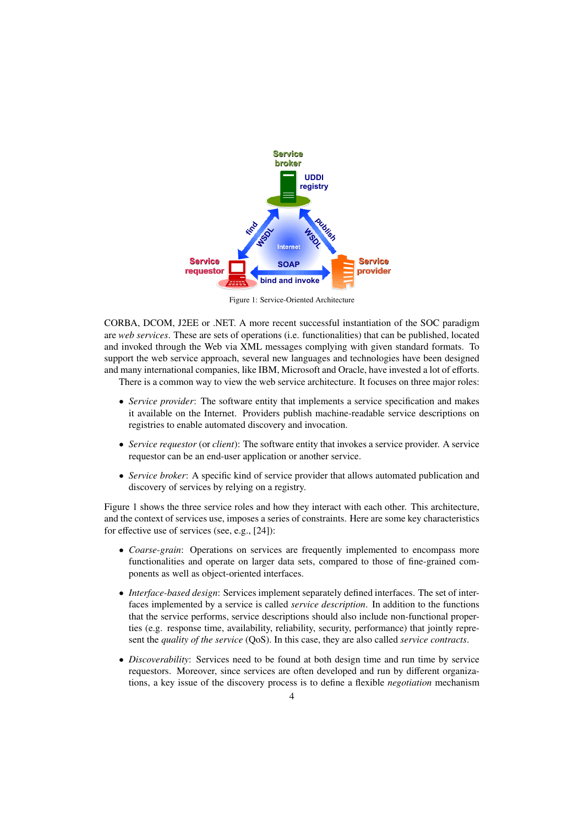

Figure 1: Service-Oriented Architecture

CORBA, DCOM, J2EE or .NET. A more recent successful instantiation of the SOC paradigm are *web services*. These are sets of operations (i.e. functionalities) that can be published, located and invoked through the Web via XML messages complying with given standard formats. To support the web service approach, several new languages and technologies have been designed and many international companies, like IBM, Microsoft and Oracle, have invested a lot of efforts.

There is a common way to view the web service architecture. It focuses on three major roles:

- *Service provider*: The software entity that implements a service specification and makes it available on the Internet. Providers publish machine-readable service descriptions on registries to enable automated discovery and invocation.
- *Service requestor* (or *client*): The software entity that invokes a service provider. A service requestor can be an end-user application or another service.
- *Service broker*: A specific kind of service provider that allows automated publication and discovery of services by relying on a registry.

Figure 1 shows the three service roles and how they interact with each other. This architecture, and the context of services use, imposes a series of constraints. Here are some key characteristics for effective use of services (see, e.g., [24]):

- *Coarse-grain*: Operations on services are frequently implemented to encompass more functionalities and operate on larger data sets, compared to those of fine-grained components as well as object-oriented interfaces.
- *Interface-based design*: Services implement separately defined interfaces. The set of interfaces implemented by a service is called *service description*. In addition to the functions that the service performs, service descriptions should also include non-functional properties (e.g. response time, availability, reliability, security, performance) that jointly represent the *quality of the service* (QoS). In this case, they are also called *service contracts*.
- *Discoverability*: Services need to be found at both design time and run time by service requestors. Moreover, since services are often developed and run by different organizations, a key issue of the discovery process is to define a flexible *negotiation* mechanism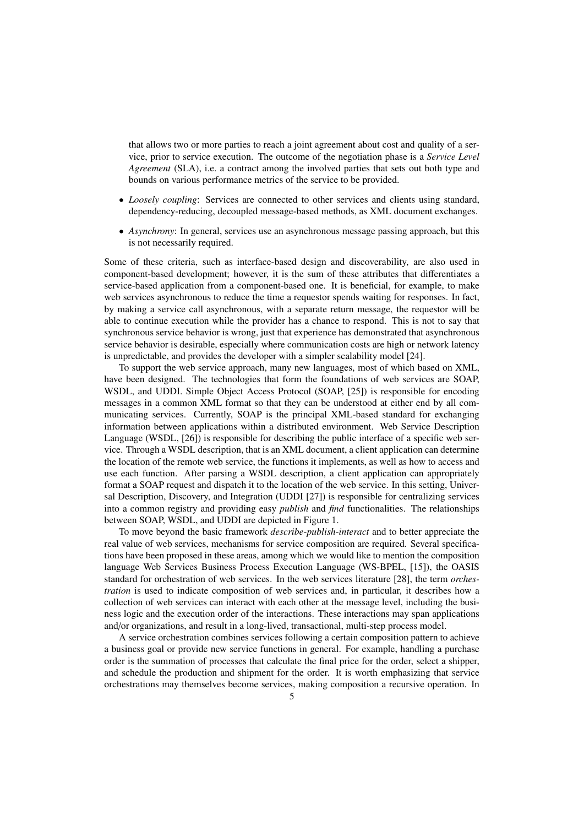that allows two or more parties to reach a joint agreement about cost and quality of a service, prior to service execution. The outcome of the negotiation phase is a *Service Level Agreement* (SLA), i.e. a contract among the involved parties that sets out both type and bounds on various performance metrics of the service to be provided.

- *Loosely coupling*: Services are connected to other services and clients using standard, dependency-reducing, decoupled message-based methods, as XML document exchanges.
- *Asynchrony*: In general, services use an asynchronous message passing approach, but this is not necessarily required.

Some of these criteria, such as interface-based design and discoverability, are also used in component-based development; however, it is the sum of these attributes that differentiates a service-based application from a component-based one. It is beneficial, for example, to make web services asynchronous to reduce the time a requestor spends waiting for responses. In fact, by making a service call asynchronous, with a separate return message, the requestor will be able to continue execution while the provider has a chance to respond. This is not to say that synchronous service behavior is wrong, just that experience has demonstrated that asynchronous service behavior is desirable, especially where communication costs are high or network latency is unpredictable, and provides the developer with a simpler scalability model [24].

To support the web service approach, many new languages, most of which based on XML, have been designed. The technologies that form the foundations of web services are SOAP, WSDL, and UDDI. Simple Object Access Protocol (SOAP, [25]) is responsible for encoding messages in a common XML format so that they can be understood at either end by all communicating services. Currently, SOAP is the principal XML-based standard for exchanging information between applications within a distributed environment. Web Service Description Language (WSDL, [26]) is responsible for describing the public interface of a specific web service. Through a WSDL description, that is an XML document, a client application can determine the location of the remote web service, the functions it implements, as well as how to access and use each function. After parsing a WSDL description, a client application can appropriately format a SOAP request and dispatch it to the location of the web service. In this setting, Universal Description, Discovery, and Integration (UDDI [27]) is responsible for centralizing services into a common registry and providing easy *publish* and *find* functionalities. The relationships between SOAP, WSDL, and UDDI are depicted in Figure 1.

To move beyond the basic framework *describe*-*publish*-*interact* and to better appreciate the real value of web services, mechanisms for service composition are required. Several specifications have been proposed in these areas, among which we would like to mention the composition language Web Services Business Process Execution Language (WS-BPEL, [15]), the OASIS standard for orchestration of web services. In the web services literature [28], the term *orchestration* is used to indicate composition of web services and, in particular, it describes how a collection of web services can interact with each other at the message level, including the business logic and the execution order of the interactions. These interactions may span applications and/or organizations, and result in a long-lived, transactional, multi-step process model.

A service orchestration combines services following a certain composition pattern to achieve a business goal or provide new service functions in general. For example, handling a purchase order is the summation of processes that calculate the final price for the order, select a shipper, and schedule the production and shipment for the order. It is worth emphasizing that service orchestrations may themselves become services, making composition a recursive operation. In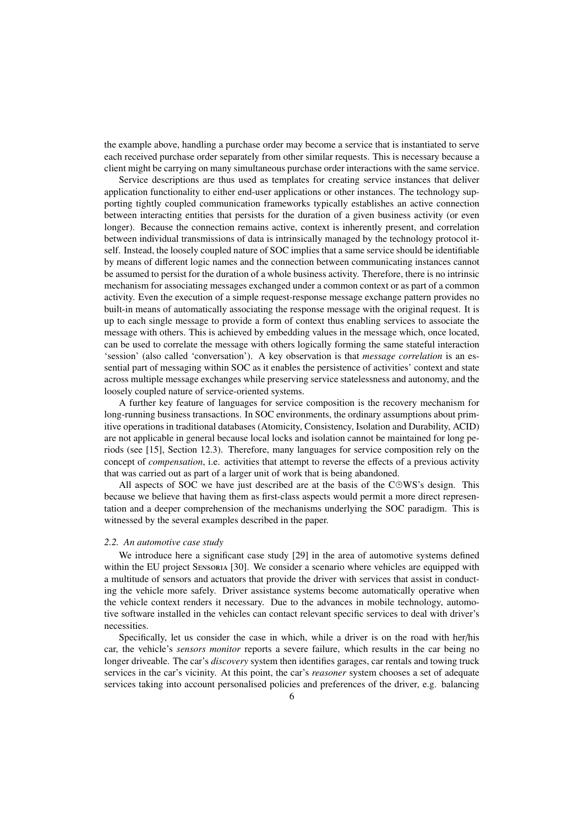the example above, handling a purchase order may become a service that is instantiated to serve each received purchase order separately from other similar requests. This is necessary because a client might be carrying on many simultaneous purchase order interactions with the same service.

Service descriptions are thus used as templates for creating service instances that deliver application functionality to either end-user applications or other instances. The technology supporting tightly coupled communication frameworks typically establishes an active connection between interacting entities that persists for the duration of a given business activity (or even longer). Because the connection remains active, context is inherently present, and correlation between individual transmissions of data is intrinsically managed by the technology protocol itself. Instead, the loosely coupled nature of SOC implies that a same service should be identifiable by means of different logic names and the connection between communicating instances cannot be assumed to persist for the duration of a whole business activity. Therefore, there is no intrinsic mechanism for associating messages exchanged under a common context or as part of a common activity. Even the execution of a simple request-response message exchange pattern provides no built-in means of automatically associating the response message with the original request. It is up to each single message to provide a form of context thus enabling services to associate the message with others. This is achieved by embedding values in the message which, once located, can be used to correlate the message with others logically forming the same stateful interaction 'session' (also called 'conversation'). A key observation is that *message correlation* is an essential part of messaging within SOC as it enables the persistence of activities' context and state across multiple message exchanges while preserving service statelessness and autonomy, and the loosely coupled nature of service-oriented systems.

A further key feature of languages for service composition is the recovery mechanism for long-running business transactions. In SOC environments, the ordinary assumptions about primitive operations in traditional databases (Atomicity, Consistency, Isolation and Durability, ACID) are not applicable in general because local locks and isolation cannot be maintained for long periods (see [15], Section 12.3). Therefore, many languages for service composition rely on the concept of *compensation*, i.e. activities that attempt to reverse the effects of a previous activity that was carried out as part of a larger unit of work that is being abandoned.

All aspects of SOC we have just described are at the basis of the C $\sigma$ WS's design. This because we believe that having them as first-class aspects would permit a more direct representation and a deeper comprehension of the mechanisms underlying the SOC paradigm. This is witnessed by the several examples described in the paper.

#### *2.2. An automotive case study*

We introduce here a significant case study [29] in the area of automotive systems defined within the EU project Sensoria [30]. We consider a scenario where vehicles are equipped with a multitude of sensors and actuators that provide the driver with services that assist in conducting the vehicle more safely. Driver assistance systems become automatically operative when the vehicle context renders it necessary. Due to the advances in mobile technology, automotive software installed in the vehicles can contact relevant specific services to deal with driver's necessities.

Specifically, let us consider the case in which, while a driver is on the road with her/his car, the vehicle's *sensors monitor* reports a severe failure, which results in the car being no longer driveable. The car's *discovery* system then identifies garages, car rentals and towing truck services in the car's vicinity. At this point, the car's *reasoner* system chooses a set of adequate services taking into account personalised policies and preferences of the driver, e.g. balancing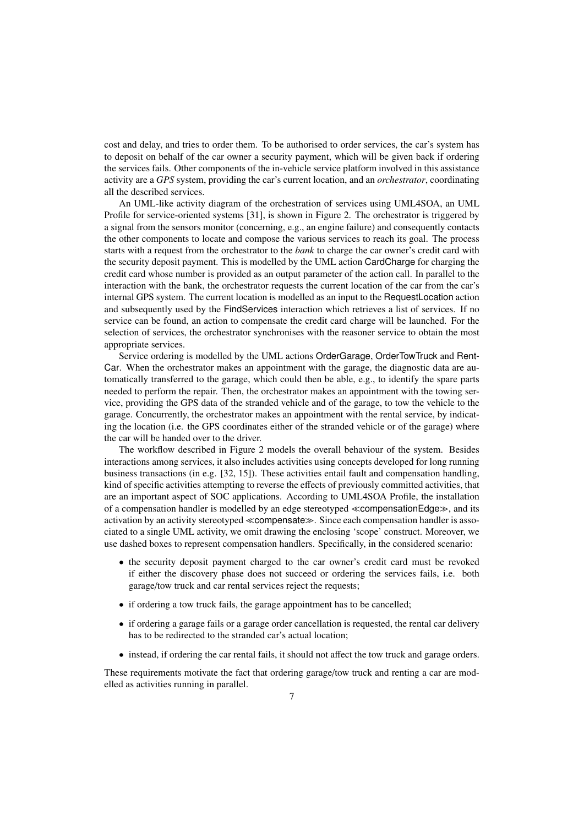cost and delay, and tries to order them. To be authorised to order services, the car's system has to deposit on behalf of the car owner a security payment, which will be given back if ordering the services fails. Other components of the in-vehicle service platform involved in this assistance activity are a *GPS* system, providing the car's current location, and an *orchestrator*, coordinating all the described services.

An UML-like activity diagram of the orchestration of services using UML4SOA, an UML Profile for service-oriented systems [31], is shown in Figure 2. The orchestrator is triggered by a signal from the sensors monitor (concerning, e.g., an engine failure) and consequently contacts the other components to locate and compose the various services to reach its goal. The process starts with a request from the orchestrator to the *bank* to charge the car owner's credit card with the security deposit payment. This is modelled by the UML action CardCharge for charging the credit card whose number is provided as an output parameter of the action call. In parallel to the interaction with the bank, the orchestrator requests the current location of the car from the car's internal GPS system. The current location is modelled as an input to the RequestLocation action and subsequently used by the FindServices interaction which retrieves a list of services. If no service can be found, an action to compensate the credit card charge will be launched. For the selection of services, the orchestrator synchronises with the reasoner service to obtain the most appropriate services.

Service ordering is modelled by the UML actions OrderGarage, OrderTowTruck and Rent-Car. When the orchestrator makes an appointment with the garage, the diagnostic data are automatically transferred to the garage, which could then be able, e.g., to identify the spare parts needed to perform the repair. Then, the orchestrator makes an appointment with the towing service, providing the GPS data of the stranded vehicle and of the garage, to tow the vehicle to the garage. Concurrently, the orchestrator makes an appointment with the rental service, by indicating the location (i.e. the GPS coordinates either of the stranded vehicle or of the garage) where the car will be handed over to the driver.

The workflow described in Figure 2 models the overall behaviour of the system. Besides interactions among services, it also includes activities using concepts developed for long running business transactions (in e.g. [32, 15]). These activities entail fault and compensation handling, kind of specific activities attempting to reverse the effects of previously committed activities, that are an important aspect of SOC applications. According to UML4SOA Profile, the installation of a compensation handler is modelled by an edge stereotyped  $\ll$ compensationEdge $\gg$ , and its activation by an activity stereotyped  $\ll$  compensate $\gg$ . Since each compensation handler is associated to a single UML activity, we omit drawing the enclosing 'scope' construct. Moreover, we use dashed boxes to represent compensation handlers. Specifically, in the considered scenario:

- the security deposit payment charged to the car owner's credit card must be revoked if either the discovery phase does not succeed or ordering the services fails, i.e. both garage/tow truck and car rental services reject the requests;
- if ordering a tow truck fails, the garage appointment has to be cancelled;
- if ordering a garage fails or a garage order cancellation is requested, the rental car delivery has to be redirected to the stranded car's actual location;
- instead, if ordering the car rental fails, it should not affect the tow truck and garage orders.

These requirements motivate the fact that ordering garage/tow truck and renting a car are modelled as activities running in parallel.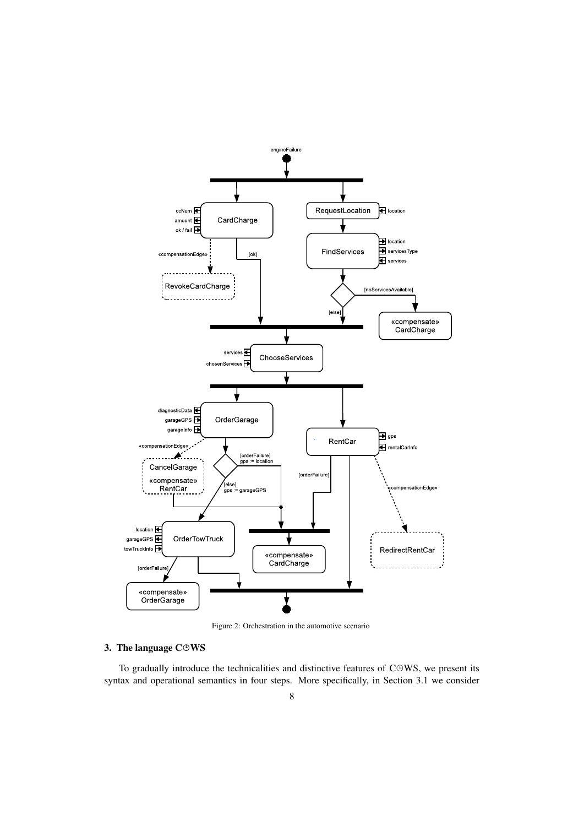

Figure 2: Orchestration in the automotive scenario

## 3. The language COWS

To gradually introduce the technicalities and distinctive features of CWS, we present its syntax and operational semantics in four steps. More specifically, in Section 3.1 we consider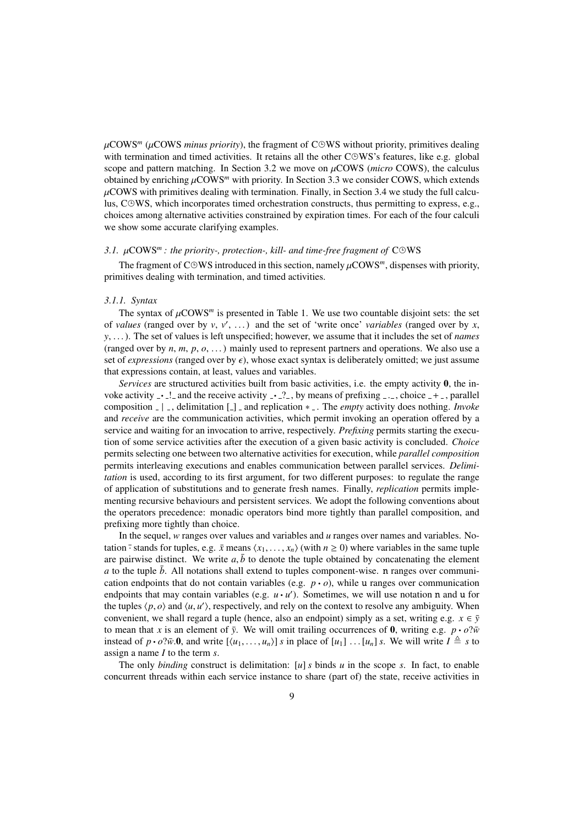$\mu$ COWS<sup>*m*</sup> ( $\mu$ COWS *minus priority*), the fragment of C $\odot$ WS without priority, primitives dealing with termination and timed activities. It retains all the other COWS's features, like e.g. global scope and pattern matching. In Section 3.2 we move on µCOWS (*micro* COWS), the calculus obtained by enriching µCOWS*<sup>m</sup>* with priority. In Section 3.3 we consider COWS, which extends  $\mu$ COWS with primitives dealing with termination. Finally, in Section 3.4 we study the full calculus, CWS, which incorporates timed orchestration constructs, thus permitting to express, e.g., choices among alternative activities constrained by expiration times. For each of the four calculi we show some accurate clarifying examples.

## *3.1.* µCOWS*<sup>m</sup> : the priority-, protection-, kill- and time-free fragment of* <sup>C</sup>WS

The fragment of C $\odot$ WS introduced in this section, namely  $\mu$ COWS<sup>*m*</sup>, dispenses with priority, primitives dealing with termination, and timed activities.

## *3.1.1. Syntax*

The syntax of  $\mu$ COWS<sup>*m*</sup> is presented in Table 1. We use two countable disjoint sets: the set of *values* (ranged over by *v*, *v'*, ...) and the set of 'write once' *variables* (ranged over by *x*, *y*, . . . ). The set of values is left unspecified; however, we assume that it includes the set of *names* (ranged over by  $n, m, p, o, \ldots$ ) mainly used to represent partners and operations. We also use a set of *expressions* (ranged over by  $\epsilon$ ), whose exact syntax is deliberately omitted; we just assume that expressions contain, at least, values and variables.

*Services* are structured activities built from basic activities, i.e. the empty activity **0**, the invoke activity  $\cdot \cdot$  ! and the receive activity  $\cdot \cdot$  ?.., by means of prefixing  $\dots$ , choice  $-$  +  $\dots$ , parallel composition | , delimitation [ ] and replication ∗ . The *empty* activity does nothing. *Invoke* and *receive* are the communication activities, which permit invoking an operation offered by a service and waiting for an invocation to arrive, respectively. *Prefixing* permits starting the execution of some service activities after the execution of a given basic activity is concluded. *Choice* permits selecting one between two alternative activities for execution, while *parallel composition* permits interleaving executions and enables communication between parallel services. *Delimitation* is used, according to its first argument, for two different purposes: to regulate the range of application of substitutions and to generate fresh names. Finally, *replication* permits implementing recursive behaviours and persistent services. We adopt the following conventions about the operators precedence: monadic operators bind more tightly than parallel composition, and prefixing more tightly than choice.

In the sequel, *w* ranges over values and variables and *u* ranges over names and variables. Notation  $\overline{\cdot}$  stands for tuples, e.g.  $\overline{x}$  means  $\langle x_1, \ldots, x_n \rangle$  (with  $n \ge 0$ ) where variables in the same tuple are pairwise distinct. We write  $a, \bar{b}$  to denote the tuple obtained by concatenating the element *a* to the tuple  $\bar{b}$ . All notations shall extend to tuples component-wise. n ranges over communication endpoints that do not contain variables (e.g.  $p \cdot o$ ), while u ranges over communication endpoints that may contain variables (e.g.  $u \cdot u'$ ). Sometimes, we will use notation n and u for the tuples  $\langle p, \rho \rangle$  and  $\langle u, u' \rangle$ , respectively, and rely on the context to resolve any ambiguity. When<br>convenient, we shall regard a tuple (hence, also an endpoint) simply as a set, writing e.g.,  $x \in \overline{S}$ convenient, we shall regard a tuple (hence, also an endpoint) simply as a set, writing e.g.  $x \in \overline{y}$ to mean that *x* is an element of  $\bar{y}$ . We will omit trailing occurrences of 0, writing e.g. *p* •  $o^2\bar{w}$ instead of  $p \cdot o \nImes \overline{w}$ .0, and write  $\left[\langle u_1, \ldots, u_n \rangle\right]$  *s* in place of  $\left[u_1\right] \ldots \left[u_n\right]$  *s*. We will write  $I \triangleq s$  to assign a name *I* to the term *s*.

The only *binding* construct is delimitation:  $[u]$  *s* binds *u* in the scope *s*. In fact, to enable concurrent threads within each service instance to share (part of) the state, receive activities in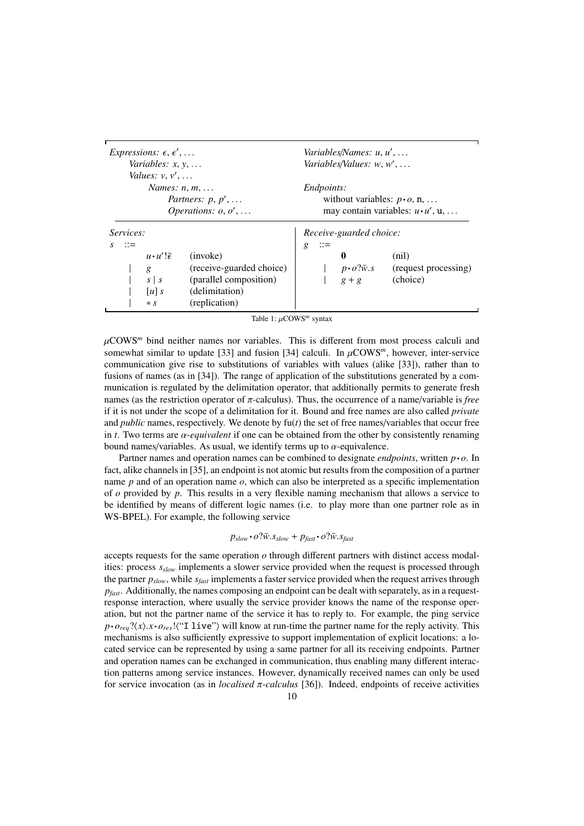|                                                                                                                                                  | <i>Expressions:</i> $\epsilon, \epsilon', \ldots$<br>Variables: $x, y, \ldots$ |                                                                                                        |   |       | Variables/Names: $u, u', \ldots$<br>Variables/Values: $w, w', \ldots$ |                                           |
|--------------------------------------------------------------------------------------------------------------------------------------------------|--------------------------------------------------------------------------------|--------------------------------------------------------------------------------------------------------|---|-------|-----------------------------------------------------------------------|-------------------------------------------|
| Values: $v, v', \ldots$<br>Names: $n, m, \ldots$<br><i>Partners: <math>p, p', \ldots</math></i><br><i>Operations: <math>o, o', \ldots</math></i> |                                                                                | Endpoints:<br>without variables: $p \cdot o, n, \ldots$<br>may contain variables: $u \cdot u'$ , $u$ , |   |       |                                                                       |                                           |
| Services:<br>$\therefore =$                                                                                                                      |                                                                                |                                                                                                        | g | $::=$ | Receive-guarded choice:                                               |                                           |
|                                                                                                                                                  | $u \cdot u'$ ! $\bar{\epsilon}$<br>g<br>$s \mid s$<br> u s<br>$*S$             | (invoke)<br>(receive-guarded choice)<br>(parallel composition)<br>(delimitation)<br>(replication)      |   |       | 0<br>$p \cdot o? \bar{w}.s$<br>$g+g$                                  | (nil)<br>(request processing)<br>(choice) |

Table 1: µCOWS*<sup>m</sup>* syntax

 $\mu$ COWS<sup>*m*</sup> bind neither names nor variables. This is different from most process calculi and somewhat similar to update [33] and fusion [34] calculi. In  $\mu$ COWS<sup>*m*</sup>, however, inter-service communication give rise to substitutions of variables with values (alike [33]), rather than to fusions of names (as in [34]). The range of application of the substitutions generated by a communication is regulated by the delimitation operator, that additionally permits to generate fresh names (as the restriction operator of π-calculus). Thus, the occurrence of a name/variable is *free* if it is not under the scope of a delimitation for it. Bound and free names are also called *private* and *public* names, respectively. We denote by  $f<sub>u</sub>(t)$  the set of free names/variables that occur free in *t*. Two terms are  $\alpha$ -*equivalent* if one can be obtained from the other by consistently renaming bound names/variables. As usual, we identify terms up to  $\alpha$ -equivalence.

Partner names and operation names can be combined to designate *endpoints*, written *p*• *o*. In fact, alike channels in [35], an endpoint is not atomic but results from the composition of a partner name *p* and of an operation name *o*, which can also be interpreted as a specific implementation of *o* provided by *p*. This results in a very flexible naming mechanism that allows a service to be identified by means of different logic names (i.e. to play more than one partner role as in WS-BPEL). For example, the following service

## $p_{slow} \cdot o? \bar{w}. s_{slow} + p_{fast} \cdot o? \bar{w}. s_{fast}$

accepts requests for the same operation  $\sigma$  through different partners with distinct access modalities: process *sslow* implements a slower service provided when the request is processed through the partner *pslow*, while *sfast* implements a faster service provided when the request arrives through  $p_{\text{fast}}$ . Additionally, the names composing an endpoint can be dealt with separately, as in a requestresponse interaction, where usually the service provider knows the name of the response operation, but not the partner name of the service it has to reply to. For example, the ping service  $p \cdot o_{reg}$ ? $\langle x \rangle$ . $x \cdot o_{res}$ ! $\langle$ "I live" $\rangle$  will know at run-time the partner name for the reply activity. This mechanisms is also sufficiently expressive to support implementation of explicit locations: a located service can be represented by using a same partner for all its receiving endpoints. Partner and operation names can be exchanged in communication, thus enabling many different interaction patterns among service instances. However, dynamically received names can only be used for service invocation (as in *localised* π*-calculus* [36]). Indeed, endpoints of receive activities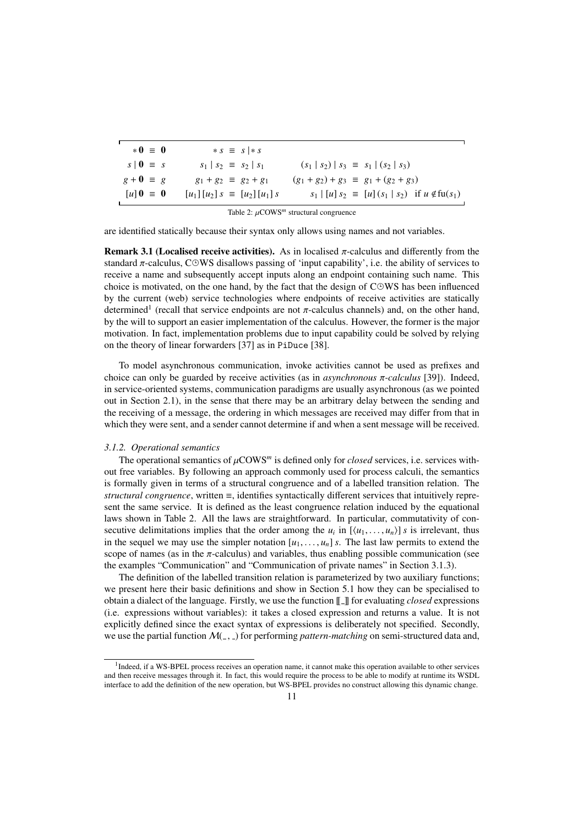| $\ast 0 = 0$                 | $\ast s \equiv s \mid \ast s$          |                                                                    |
|------------------------------|----------------------------------------|--------------------------------------------------------------------|
| $s \mid \mathbf{0} \equiv s$ | $s_1   s_2 \equiv s_2   s_1$           | $(s_1   s_2)   s_3 \equiv s_1   (s_2   s_3)$                       |
| $g + \mathbf{0} = g$         | $g_1 + g_2 \equiv g_2 + g_1$           | $(g_1 + g_2) + g_3 \equiv g_1 + (g_2 + g_3)$                       |
| $[u]0 \equiv 0$              | $[u_1][u_2]$ $s \equiv [u_2][u_1]$ $s$ | $s_1$   [u] $s_2$ = [u] $(s_1   s_2)$ if $u \notin \text{fu}(s_1)$ |

Table 2: µCOWS*<sup>m</sup>* structural congruence

are identified statically because their syntax only allows using names and not variables.

Remark 3.1 (Localised receive activities). As in localised  $\pi$ -calculus and differently from the standard π-calculus, CWS disallows passing of 'input capability', i.e. the ability of services to receive a name and subsequently accept inputs along an endpoint containing such name. This choice is motivated, on the one hand, by the fact that the design of  $C@WS$  has been influenced by the current (web) service technologies where endpoints of receive activities are statically determined<sup>1</sup> (recall that service endpoints are not  $\pi$ -calculus channels) and, on the other hand, by the will to support an easier implementation of the calculus. However, the former is the major by the will to support an easier implementation of the calculus. However, the former is the major motivation. In fact, implementation problems due to input capability could be solved by relying on the theory of linear forwarders [37] as in PiDuce [38].

To model asynchronous communication, invoke activities cannot be used as prefixes and choice can only be guarded by receive activities (as in *asynchronous* π*-calculus* [39]). Indeed, in service-oriented systems, communication paradigms are usually asynchronous (as we pointed out in Section 2.1), in the sense that there may be an arbitrary delay between the sending and the receiving of a message, the ordering in which messages are received may differ from that in which they were sent, and a sender cannot determine if and when a sent message will be received.

## *3.1.2. Operational semantics*

The operational semantics of  $\mu$ COWS<sup>*m*</sup> is defined only for *closed* services, i.e. services without free variables. By following an approach commonly used for process calculi, the semantics is formally given in terms of a structural congruence and of a labelled transition relation. The *structural congruence*, written ≡, identifies syntactically different services that intuitively represent the same service. It is defined as the least congruence relation induced by the equational laws shown in Table 2. All the laws are straightforward. In particular, commutativity of consecutive delimitations implies that the order among the  $u_i$  in  $[\langle u_1, \ldots, u_n \rangle]$  *s* is irrelevant, thus in the sequel we may use the simpler potation  $[u_i, \ldots, u_n]$  *s*. The last law permits to extend the in the sequel we may use the simpler notation  $[u_1, \ldots, u_n]$  *s*. The last law permits to extend the scope of names (as in the  $\pi$ -calculus) and variables, thus enabling possible communication (see the examples "Communication" and "Communication of private names" in Section 3.1.3).

The definition of the labelled transition relation is parameterized by two auxiliary functions; we present here their basic definitions and show in Section 5.1 how they can be specialised to obtain a dialect of the language. Firstly, we use the function [[ ]] for evaluating *closed* expressions (i.e. expressions without variables): it takes a closed expression and returns a value. It is not explicitly defined since the exact syntax of expressions is deliberately not specified. Secondly, we use the partial function  $\mathcal{M}(\_)$ , for performing *pattern-matching* on semi-structured data and,

<sup>&</sup>lt;sup>1</sup>Indeed, if a WS-BPEL process receives an operation name, it cannot make this operation available to other services and then receive messages through it. In fact, this would require the process to be able to modify at runtime its WSDL interface to add the definition of the new operation, but WS-BPEL provides no construct allowing this dynamic change.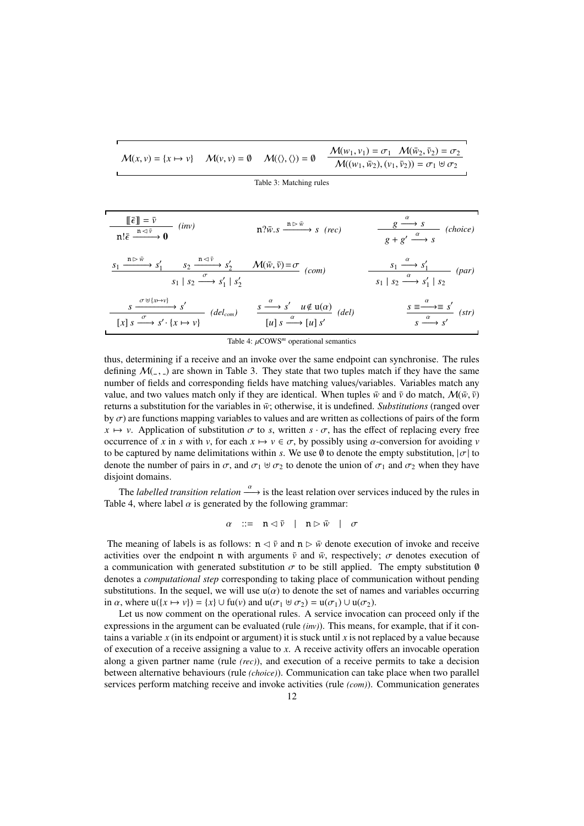Table 3: Matching rules

| $\left[\left[\bar{\epsilon}\right]\right]=\bar{v}$<br>(inv)<br>$n! \bar{\epsilon} \xrightarrow{n \triangleleft \bar{\nu}} 0$                                                                                                                                                                                                                                | $n?\bar{w}.s \xrightarrow{n \rhd \bar{w}} s$ (rec)                                                         | $\frac{g \xrightarrow{\alpha} s}{g + g' \xrightarrow{\alpha} s}$<br>(choice)                                   |
|-------------------------------------------------------------------------------------------------------------------------------------------------------------------------------------------------------------------------------------------------------------------------------------------------------------------------------------------------------------|------------------------------------------------------------------------------------------------------------|----------------------------------------------------------------------------------------------------------------|
| $\begin{array}{ccccc}&&n\vartriangleright\bar{w}&\\ \underline{s_1\stackrel{n\vartriangleright\bar{w}}{\xrightarrow{\hspace{0.8cm}}} s'_1&s_2\stackrel{n\vartriangleleft\bar{v}}{\xrightarrow{\hspace{0.8cm}}} s'_2&\mathcal{M}(\bar{w},\bar{v})=\sigma}&(com)\\ &&s_1\mid s_2\stackrel{\sigma}{\xrightarrow{\hspace{0.8cm}}} s'_1\mid s'_2&\\ \end{array}$ |                                                                                                            | $\frac{s_1 \xrightarrow{\alpha} s'_1}{s_1 \mid s_2 \xrightarrow{\alpha} s'_1 \mid s_2}$ (par)                  |
| $\begin{array}{c}\n\mathit{s} \xrightarrow{\sigma \uplus \{x \mapsto v\}} \mathit{s'} \\ \hline\n[x] \mathit{s} \xrightarrow{\sigma} \mathit{s'} \cdot \{x \mapsto v\}\n\end{array} \quad (del_{com})$                                                                                                                                                      | $\frac{s \xrightarrow{\alpha} s' \quad u \notin u(\alpha)}{[u] s \xrightarrow{\alpha} [u] s'} \quad (del)$ | $\frac{s \equiv \stackrel{\alpha}{\longrightarrow} s'}{s \stackrel{\alpha}{\longrightarrow} s'} \text{ (str)}$ |

Table 4:  $\mu$ COWS<sup>*m*</sup> operational semantics

thus, determining if a receive and an invoke over the same endpoint can synchronise. The rules defining  $\mathcal{M}(\ldots)$  are shown in Table 3. They state that two tuples match if they have the same number of fields and corresponding fields have matching values/variables. Variables match any value, and two values match only if they are identical. When tuples  $\bar{w}$  and  $\bar{v}$  do match,  $\mathcal{M}(\bar{w}, \bar{v})$ returns a substitution for the variables in  $\bar{w}$ ; otherwise, it is undefined. *Substitutions* (ranged over by  $\sigma$ ) are functions mapping variables to values and are written as collections of pairs of the form  $x \mapsto v$ . Application of substitution  $\sigma$  to *s*, written  $s \cdot \sigma$ , has the effect of replacing every free occurrence of x in s with v, for each  $x \mapsto y \in \sigma$ , by possibly using  $\alpha$ -conversion for avoiding v to be captured by name delimitations within *s*. We use  $\emptyset$  to denote the empty substitution,  $|\sigma|$  to denote the number of pairs in  $\sigma$ , and  $\sigma_1 \oplus \sigma_2$  to denote the union of  $\sigma_1$  and  $\sigma_2$  when they have disjoint domains.

The *labelled transition relation* → is the least relation over services induced by the rules in Table 4, where label  $\alpha$  is generated by the following grammar:

$$
\alpha \quad ::= \quad \mathbf{n} \lhd \bar{\mathbf{v}} \quad | \quad \mathbf{n} \rhd \bar{\mathbf{w}} \quad | \quad \sigma
$$

The meaning of labels is as follows:  $\mathbf{n} \leq \bar{v}$  and  $\mathbf{n} \geq \bar{w}$  denote execution of invoke and receive activities over the endpoint n with arguments  $\bar{v}$  and  $\bar{w}$ , respectively;  $\sigma$  denotes execution of a communication with generated substitution  $\sigma$  to be still applied. The empty substitution  $\emptyset$ denotes a *computational step* corresponding to taking place of communication without pending substitutions. In the sequel, we will use  $u(\alpha)$  to denote the set of names and variables occurring in  $\alpha$ , where  $u({x \mapsto v}) = {x} \cup f(u(v))$  and  $u(\sigma_1 \uplus \sigma_2) = u(\sigma_1) \cup u(\sigma_2)$ .

Let us now comment on the operational rules. A service invocation can proceed only if the expressions in the argument can be evaluated (rule *(inv)*). This means, for example, that if it contains a variable *x* (in its endpoint or argument) it is stuck until *x* is not replaced by a value because of execution of a receive assigning a value to *x*. A receive activity offers an invocable operation along a given partner name (rule *(rec)*), and execution of a receive permits to take a decision between alternative behaviours (rule *(choice)*). Communication can take place when two parallel services perform matching receive and invoke activities (rule *(com)*). Communication generates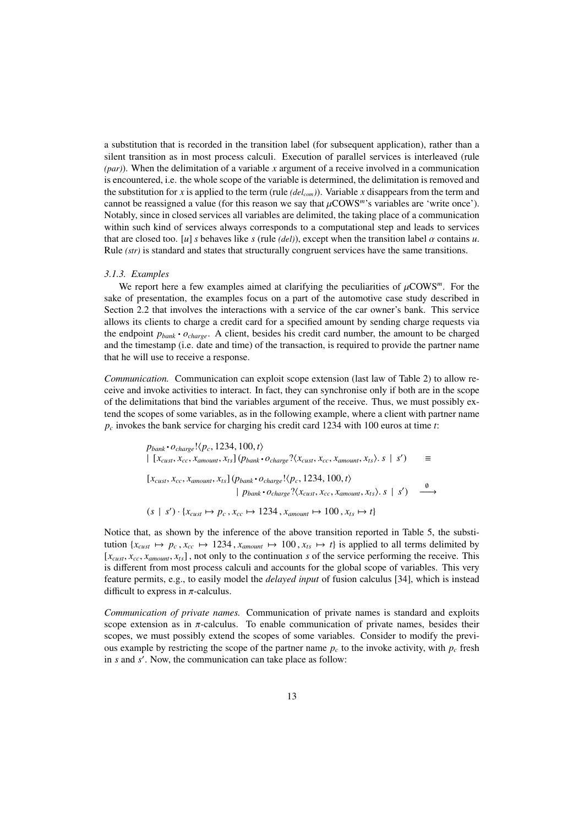a substitution that is recorded in the transition label (for subsequent application), rather than a silent transition as in most process calculi. Execution of parallel services is interleaved (rule *(par)*). When the delimitation of a variable *x* argument of a receive involved in a communication is encountered, i.e. the whole scope of the variable is determined, the delimitation is removed and the substitution for *x* is applied to the term (rule  $(de_{com})$ ). Variable *x* disappears from the term and cannot be reassigned a value (for this reason we say that  $\mu$ COWS<sup>*m*</sup>'s variables are 'write once'). Notably, since in closed services all variables are delimited, the taking place of a communication within such kind of services always corresponds to a computational step and leads to services that are closed too. [*u*] *s* behaves like *s* (rule *(del)*), except when the transition label  $\alpha$  contains  $u$ . Rule *(str)* is standard and states that structurally congruent services have the same transitions.

## *3.1.3. Examples*

We report here a few examples aimed at clarifying the peculiarities of  $\mu$ COWS<sup>*m*</sup>. For the sake of presentation, the examples focus on a part of the automotive case study described in Section 2.2 that involves the interactions with a service of the car owner's bank. This service allows its clients to charge a credit card for a specified amount by sending charge requests via the endpoint *pbank* • *ocharge*. A client, besides his credit card number, the amount to be charged and the timestamp (i.e. date and time) of the transaction, is required to provide the partner name that he will use to receive a response.

*Communication.* Communication can exploit scope extension (last law of Table 2) to allow receive and invoke activities to interact. In fact, they can synchronise only if both are in the scope of the delimitations that bind the variables argument of the receive. Thus, we must possibly extend the scopes of some variables, as in the following example, where a client with partner name  $p_c$  invokes the bank service for charging his credit card 1234 with 100 euros at time *t*:

$$
p_{bank} \cdot o_{charge}! \langle p_c, 1234, 100, t \rangle
$$
  
\n
$$
\begin{aligned}\n& \left[ x_{cuts}, x_{cc}, x_{amount}, x_{ts} \right] (p_{bank} \cdot o_{charge}! \langle x_{cust}, x_{cc}, x_{amount}, x_{ts} \rangle. s \mid s' \right) \\
& \left[ x_{cuts}, x_{cc}, x_{amount}, x_{ts} \right] (p_{bank} \cdot o_{charge}! \langle p_c, 1234, 100, t \rangle \\
& \left[ p_{bank} \cdot o_{charge}! \langle x_{cust}, x_{cc}, x_{amount}, x_{ts} \rangle. s \mid s' \right) \longrightarrow \\
& \left[ s \mid s' \right] \cdot \left\{ x_{cust} \mapsto p_c, x_{cc} \mapsto 1234, x_{amount} \mapsto 100, x_{ts} \mapsto t \right\}\n\end{aligned}
$$

Notice that, as shown by the inference of the above transition reported in Table 5, the substitution  $\{x_{\text{cut}} \mapsto p_c, x_{\text{cc}} \mapsto 1234, x_{\text{amount}} \mapsto 100, x_{\text{ts}} \mapsto t\}$  is applied to all terms delimited by [*xcust*, *<sup>x</sup>cc*, *<sup>x</sup>amount*, *<sup>x</sup>ts*] , not only to the continuation *<sup>s</sup>* of the service performing the receive. This is different from most process calculi and accounts for the global scope of variables. This very feature permits, e.g., to easily model the *delayed input* of fusion calculus [34], which is instead difficult to express in  $\pi$ -calculus.

*Communication of private names.* Communication of private names is standard and exploits scope extension as in  $\pi$ -calculus. To enable communication of private names, besides their scopes, we must possibly extend the scopes of some variables. Consider to modify the previous example by restricting the scope of the partner name  $p_c$  to the invoke activity, with  $p_c$  fresh in *s* and *s'*. Now, the communication can take place as follow: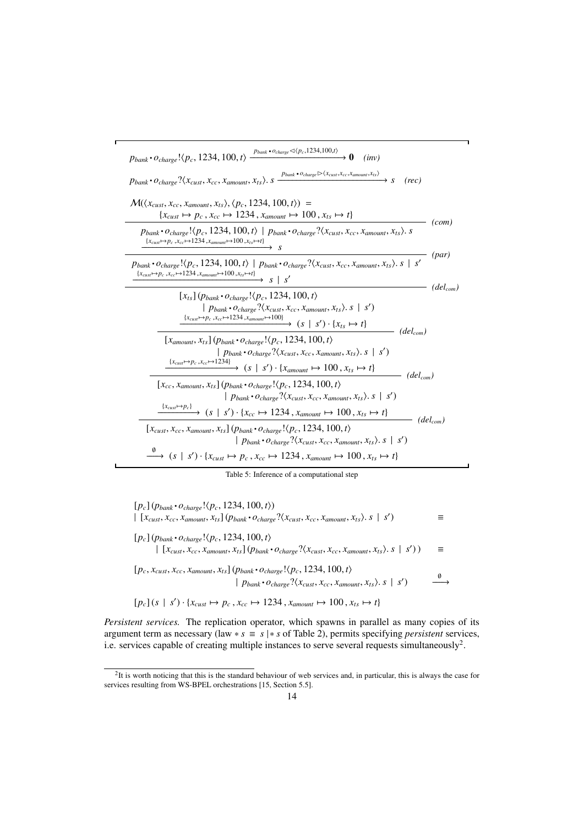| $p_{bank} \bullet o_{charge} \lhd \langle p_c, 1234, 100, t \rangle$<br>$p_{bank} \cdot o_{charge}! \langle p_c, 1234, 100, t \rangle$ -<br>→ 0<br>(inv)                                                                                                                                                                                                           |               |
|--------------------------------------------------------------------------------------------------------------------------------------------------------------------------------------------------------------------------------------------------------------------------------------------------------------------------------------------------------------------|---------------|
| $p_{bank} \cdot o_{charge} ? \langle x_{cuts}, x_{cc}, x_{amount}, x_{ts} \rangle.$ $s \xrightarrow{p_{bank} \cdot o_{charge} \triangleright \langle x_{cuts}, x_{cc}, x_{amount}, x_{ts} \rangle} s$<br>(rec)                                                                                                                                                     |               |
| $M(\langle x_{\text{cust}}, x_{\text{cc}}, x_{\text{amount}}, x_{\text{ts}} \rangle, \langle p_c, 1234, 100, t \rangle)$ =<br>$\{x_{\text{cuts}} \mapsto p_{\text{c}}, x_{\text{cc}} \mapsto 1234, x_{\text{amount}} \mapsto 100, x_{\text{ts}} \mapsto t\}$                                                                                                       | (com)         |
| $p_{bank} \cdot o_{charge}! \langle p_c, 1234, 100, t \rangle \mid p_{bank} \cdot o_{charge}? \langle x_{cuts}, x_{cc}, x_{amount}, x_{ts} \rangle$ . S<br>${x_{cust}} \rightarrow p_c, x_{cc} \rightarrow 1234, x_{amount} \rightarrow 100, x_{ts} \rightarrow t$<br>$\rightarrow$ s                                                                              |               |
| $p_{bank} \cdot o_{charge}! \langle p_c, 1234, 100, t \rangle \mid p_{bank} \cdot o_{charge} ? \langle x_{cust}, x_{cc}, x_{amount}, x_{ts} \rangle.$ s   s'<br>${x_{\text{cust}} \mapsto p_c, x_{\text{cc}} \mapsto 1234, x_{\text{amount}} \mapsto 100, x_{\text{ts}} \mapsto t}$<br>$\rightarrow$ s s'                                                          | (par)         |
| $[x_{ts}]$ ( $p_{bank} \cdot o_{charge}$ ! $\langle p_c, 1234, 100, t \rangle$<br>$\mid p_{bank} \cdot o_{charge} ? \langle x_{cust}, x_{cc}, x_{amount}, x_{ts} \rangle$ . $s \mid s'$<br>$\{x_{cust} \rightarrow p_c, x_{cc} \rightarrow 1234, x_{amount} \rightarrow 100\}$<br>$\rightarrow$ $(s   s') \cdot \{x_{ts} \mapsto t\}$<br>$(del_{com})$             | $(del_{com})$ |
| $[x_{amount}, x_{ts}](p_{bank} \cdot o_{charge}! \langle p_c, 1234, 100, t \rangle)$<br>$\mid$ Pbank $\cdot$ Ocharge $\left\{X_{\text{Cust}}, X_{\text{cc}}, X_{\text{amount}}, X_{\text{ts}}\right\}$ , $S \mid S'$<br>$\{x_{\text{cust}}\mapsto p_c, x_{\text{cc}}\mapsto 1234\}$<br>$\rightarrow$ $(s   s') \cdot \{x_{amount} \mapsto 100, x_{ts} \mapsto t\}$ |               |
| $(del_{com})$<br>$[x_{cc}, x_{amount}, x_{ts}]$ ( $p_{bank} \cdot o_{charge}! \langle p_c, 1234, 100, t \rangle$<br>$\mid$ Pbank • Ocharge ? $(x_{\text{cust}}, x_{\text{cc}}, x_{\text{amount}}, x_{\text{ts}})$ . $s \mid s'$ )                                                                                                                                  |               |
| $\xrightarrow{\{x_{casi} \mapsto p_c\}} (s \mid s') \cdot \{x_{cc} \mapsto 1234, x_{amount} \mapsto 100, x_{ts} \mapsto t\}$<br>$[x_{\text{cust}}, x_{\text{cc}}, x_{\text{amount}}, x_{\text{ts}}]$ ( $p_{\text{bank}} \cdot o_{\text{charge}}! \langle p_c, 1234, 100, t \rangle$                                                                                | $(del_{com})$ |
| $\mid$ Pbank • Ocharge ? $\langle x_{\text{cust}}, x_{\text{cc}}, x_{\text{amount}}, x_{\text{ts}} \rangle$ . $s \mid s' \rangle$<br>$\stackrel{\scriptscriptstyle 0}{\longrightarrow}$ $(s \mid s') \cdot \{x_{\text{cust}} \mapsto p_c, x_{\text{cc}} \mapsto 1234, x_{\text{amount}} \mapsto 100, x_{\text{ts}} \mapsto t\}$                                    |               |

Table 5: Inference of a computational step

 $[p_c](p_{bank} \cdot o_{charge}! \langle p_c, 1234, 100, t \rangle)$  $\left[X_{\text{cuts}}, X_{\text{cc}}, X_{\text{amount}}, X_{\text{ts}}\right](p_{\text{bank}} \cdot o_{\text{charge}}? \langle X_{\text{cuts}}, X_{\text{cc}}, X_{\text{amount}}, X_{\text{ts}}\rangle. s \mid s')$  $\equiv$  $[p_c](p_{bank} \cdot o_{charge}! \langle p_c, 1234, 100, t \rangle)$ 

 $\left[X_{\text{cuts}}, X_{\text{cc}}, X_{\text{amount}}, X_{\text{ts}}\right](p_{\text{bank}} \cdot o_{\text{charge}}? \langle X_{\text{cust}}, X_{\text{cc}}, X_{\text{amount}}, X_{\text{ts}}\rangle. s \mid s')\right)$   $\equiv$ 

 $[p_c, x_{\text{cust}}, x_{\text{cc}}, x_{\text{amount}}, x_{\text{ts}}]$  ( $p_{\text{bank}} \cdot o_{\text{charge}}! \langle p_c, 1234, 100, t \rangle$  $\int$  *Pbank* • *Ocharge* ? $\langle x_{\text{cust}}, x_{\text{c}}, x_{\text{amount}}, x_{\text{ts}} \rangle$ . *s*  $\mid$  *s'*)  $\stackrel{\emptyset}{\longrightarrow}$ 

 $[p_c](s \mid s') \cdot \{x_{cust} \mapsto p_c, x_{cc} \mapsto 1234, x_{amount} \mapsto 100, x_{ts} \mapsto t\}$ 

*Persistent services.* The replication operator, which spawns in parallel as many copies of its argument term as necessary (law ∗ *s* ≡ *s* |∗ *s* of Table 2), permits specifying *persistent* services, i.e. services capable of creating multiple instances to serve several requests simultaneously<sup>2</sup>.

 ${}^{2}$ It is worth noticing that this is the standard behaviour of web services and, in particular, this is always the case for services resulting from WS-BPEL orchestrations [15, Section 5.5].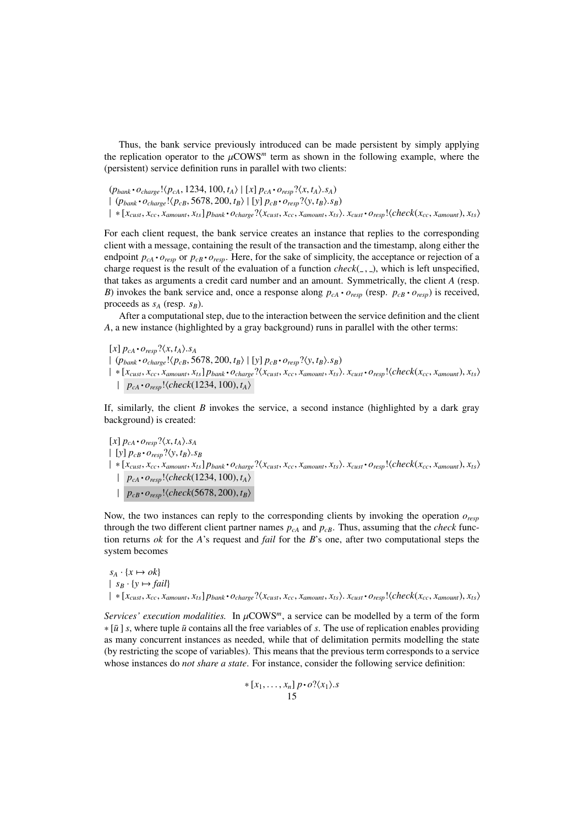Thus, the bank service previously introduced can be made persistent by simply applying the replication operator to the  $\mu$ COWS<sup>*m*</sup> term as shown in the following example, where the (persistent) service definition runs in parallel with two clients:

 $(p_{bank} \cdot o_{charge}! \langle p_{cA}, 1234, 100, t_A \rangle | [x] p_{cA} \cdot o_{resp}? \langle x, t_A \rangle . s_A)$  $| \left( p_{bank} \cdot o_{charge}! \langle p_{cB}, 5678, 200, t_B \rangle \right|$  [*y*]  $p_{cB} \cdot o_{resp}$ ? $\langle y, t_B \rangle$ .*s*<sub>*B*</sub>)  $\vert * [\mathbf{x}_{\text{cuts}}, \mathbf{x}_{\text{cc}}, \mathbf{x}_{\text{amount}}, \mathbf{x}_{\text{ts}}]$   $p_{\text{bank}} \cdot o_{\text{charge}}$   $\langle \mathbf{x}_{\text{cuts}}, \mathbf{x}_{\text{cc}}, \mathbf{x}_{\text{amount}}, \mathbf{x}_{\text{ts}} \rangle$ .  $\mathbf{x}_{\text{cuts}} \cdot o_{\text{resp}}$   $\langle \text{check}(\mathbf{x}_{\text{cc}}, \mathbf{x}_{\text{amount}}, \mathbf{x}_{\text{ts}}) \rangle$ 

For each client request, the bank service creates an instance that replies to the corresponding client with a message, containing the result of the transaction and the timestamp, along either the endpoint  $p_{cA} \cdot o_{resp}$  or  $p_{cB} \cdot o_{resp}$ . Here, for the sake of simplicity, the acceptance or rejection of a charge request is the result of the evaluation of a function  $check(\_ \, )$ , which is left unspecified, that takes as arguments a credit card number and an amount. Symmetrically, the client *A* (resp. *B*) invokes the bank service and, once a response along  $p_{cA} \cdot o_{resp}$  (resp.  $p_{cB} \cdot o_{resp}$ ) is received, proceeds as  $s_A$  (resp.  $s_B$ ).

After a computational step, due to the interaction between the service definition and the client *A*, a new instance (highlighted by a gray background) runs in parallel with the other terms:

 $[x]$   $p_{cA} \cdot o_{resp}$  ? $\langle x, t_A \rangle$ .  $s_A$ 

 $| (p_{bank} \cdot o_{charge}! \langle p_{cB}, 5678, 200, t_B \rangle | [y] p_{cB} \cdot o_{resp}? \langle y, t_B \rangle . s_B)|$ 

 $\vert * [x_{\text{cuts}}, x_{\text{cc}}, x_{\text{amount}}, x_{\text{ts}}] p_{\text{bank}} \cdot o_{\text{charge}}? \langle x_{\text{cuts}}, x_{\text{cc}}, x_{\text{amount}}, x_{\text{ts}} \rangle.$   $x_{\text{cuts}} \cdot o_{\text{resp}}! \langle \text{check}(x_{\text{cc}}, x_{\text{amount}}), x_{\text{ts}} \rangle$  $| p_{cA} \cdot o_{resp}! \langle check(1234, 100), t_A \rangle$ 

If, similarly, the client *B* invokes the service, a second instance (highlighted by a dark gray background) is created:

$$
[x] p_{cA} \cdot o_{resp} ?\langle x, t_A \rangle .s_A
$$
  
\n
$$
[y] p_{cB} \cdot o_{resp} ?\langle y, t_B \rangle .s_B
$$
  
\n
$$
* [x_{cust}, x_{cc}, x_{amount}, x_{ts}] p_{bank} \cdot o_{charge} ?\langle x_{cust}, x_{cc}, x_{amount}, x_{ts} \rangle . x_{cust} \cdot o_{resp}! \langle check(x_{cc}, x_{amount}), x_{ts} \rangle
$$
  
\n
$$
p_{cA} \cdot o_{resp}! \langle check(1234, 100), t_A \rangle
$$
  
\n
$$
p_{cB} \cdot o_{resp}! \langle check(5678, 200), t_B \rangle
$$

Now, the two instances can reply to the corresponding clients by invoking the operation *oresp* through the two different client partner names  $p_{cA}$  and  $p_{cB}$ . Thus, assuming that the *check* function returns *ok* for the *A*'s request and *fail* for the *B*'s one, after two computational steps the system becomes

 $s_A \cdot \{x \mapsto ok\}$  $| s_B \cdot \{y \mapsto fail\}$  $\vert *[\chi_{\text{cut}}, \chi_{\text{cc}}, \chi_{\text{amount}}, \chi_{\text{ts}}]$  Phank • Ocharee  $\langle \chi_{\text{cut}}, \chi_{\text{cc}}, \chi_{\text{amount}}, \chi_{\text{ts}} \rangle$ .  $\chi_{\text{cut}}$  • Oresp  $\langle \langle \text{check}(\chi_{\text{cc}}, \chi_{\text{amount}}), \chi_{\text{ts}} \rangle$ 

*Services' execution modalities.* In  $\mu$ COWS<sup>*m*</sup>, a service can be modelled by a term of the form  $\ast$  [ $\bar{u}$ ] *s*, where tuple  $\bar{u}$  contains all the free variables of *s*. The use of replication enables providing as many concurrent instances as needed, while that of delimitation permits modelling the state (by restricting the scope of variables). This means that the previous term corresponds to a service whose instances do *not share a state*. For instance, consider the following service definition:

$$
\begin{array}{c}\n*[x_1,\ldots,x_n] \, p\cdot o?\langle x_1\rangle . s \\
15\n\end{array}
$$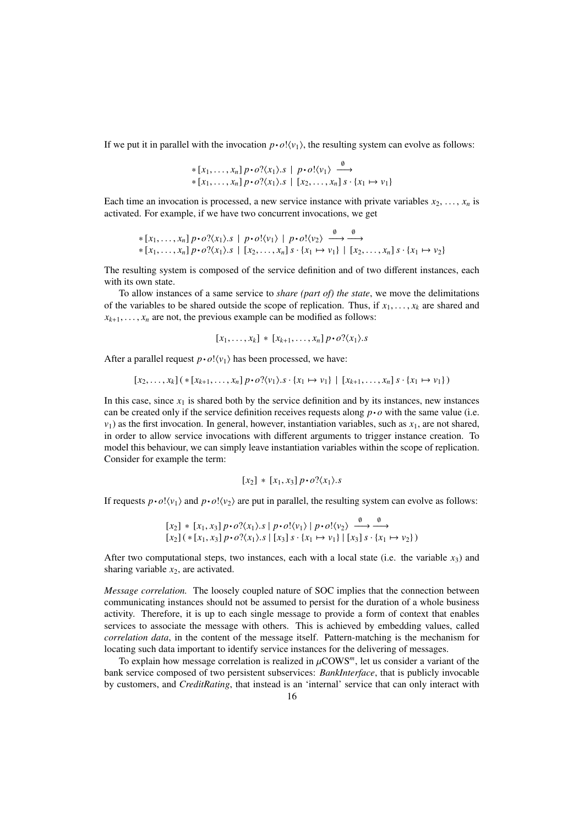If we put it in parallel with the invocation  $p \cdot o! \langle v_1 \rangle$ , the resulting system can evolve as follows:

$$
\begin{array}{l}\n*[x_1, \ldots, x_n] \ p \cdot o? \langle x_1 \rangle .s \mid p \cdot o! \langle v_1 \rangle \xrightarrow{\theta} \\
*[x_1, \ldots, x_n] \ p \cdot o? \langle x_1 \rangle .s \mid [x_2, \ldots, x_n] \ s \cdot \{x_1 \mapsto v_1\}\n\end{array}
$$

Each time an invocation is processed, a new service instance with private variables  $x_2, \ldots, x_n$  is activated. For example, if we have two concurrent invocations, we get

$$
\begin{aligned}\n& \ast [x_1, \ldots, x_n] \ p \cdot o? \langle x_1 \rangle \cdot s \mid p \cdot o! \langle v_1 \rangle \mid p \cdot o! \langle v_2 \rangle \xrightarrow{\emptyset} \xrightarrow{\emptyset} \\
& \ast [x_1, \ldots, x_n] \ p \cdot o? \langle x_1 \rangle \cdot s \mid [x_2, \ldots, x_n] \ s \cdot \{x_1 \mapsto v_1\} \mid [x_2, \ldots, x_n] \ s \cdot \{x_1 \mapsto v_2\}\n\end{aligned}
$$

The resulting system is composed of the service definition and of two different instances, each with its own state.

To allow instances of a same service to *share (part of) the state*, we move the delimitations of the variables to be shared outside the scope of replication. Thus, if  $x_1, \ldots, x_k$  are shared and  $x_{k+1}, \ldots, x_n$  are not, the previous example can be modified as follows:

$$
[x_1,\ldots,x_k] * [x_{k+1},\ldots,x_n] p \cdot o? \langle x_1 \rangle.s
$$

After a parallel request  $p \cdot o! \langle v_1 \rangle$  has been processed, we have:

$$
[x_2,...,x_k] (* [x_{k+1},...,x_n] p \cdot o? \langle v_1 \rangle . s \cdot \{x_1 \mapsto v_1\} | [x_{k+1},...,x_n] s \cdot \{x_1 \mapsto v_1\})
$$

In this case, since  $x_1$  is shared both by the service definition and by its instances, new instances can be created only if the service definition receives requests along  $p \cdot o$  with the same value (i.e.  $v_1$ ) as the first invocation. In general, however, instantiation variables, such as  $x_1$ , are not shared, in order to allow service invocations with different arguments to trigger instance creation. To model this behaviour, we can simply leave instantiation variables within the scope of replication. Consider for example the term:

$$
[x_2] * [x_1, x_3] p \cdot o? \langle x_1 \rangle . s
$$

If requests  $p \cdot o! \langle v_1 \rangle$  and  $p \cdot o! \langle v_2 \rangle$  are put in parallel, the resulting system can evolve as follows:

$$
\begin{array}{l}[x_2] * [x_1, x_3] p \cdot o? \langle x_1 \rangle . s | p \cdot o! \langle v_1 \rangle | p \cdot o! \langle v_2 \rangle \xrightarrow{\emptyset} \longrightarrow \\ \hline [x_2] (* [x_1, x_3] p \cdot o? \langle x_1 \rangle . s | [x_3] s \cdot \{x_1 \mapsto v_1\} | [x_3] s \cdot \{x_1 \mapsto v_2\}) \end{array}
$$

After two computational steps, two instances, each with a local state (i.e. the variable  $x_3$ ) and sharing variable  $x_2$ , are activated.

*Message correlation.* The loosely coupled nature of SOC implies that the connection between communicating instances should not be assumed to persist for the duration of a whole business activity. Therefore, it is up to each single message to provide a form of context that enables services to associate the message with others. This is achieved by embedding values, called *correlation data*, in the content of the message itself. Pattern-matching is the mechanism for locating such data important to identify service instances for the delivering of messages.

To explain how message correlation is realized in  $\mu$ COWS<sup>*m*</sup>, let us consider a variant of the bank service composed of two persistent subservices: *BankInterface*, that is publicly invocable by customers, and *CreditRating*, that instead is an 'internal' service that can only interact with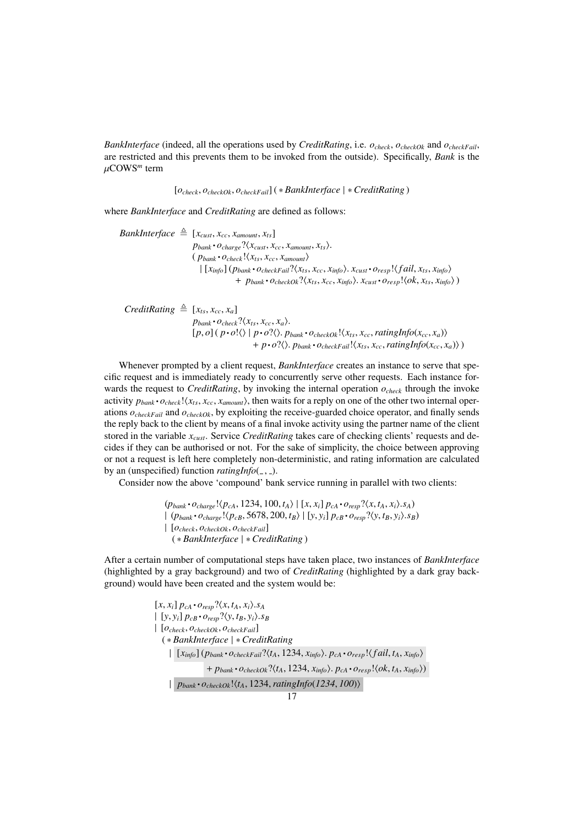*BankInterface* (indeed, all the operations used by *CreditRating*, i.e. *ocheck*, *ocheckOk* and *ocheckFail*, are restricted and this prevents them to be invoked from the outside). Specifically, *Bank* is the µCOWS*<sup>m</sup>* term

[*ocheck*, *<sup>o</sup>checkOk*, *<sup>o</sup>checkFail*] ( <sup>∗</sup> *BankInterface* | ∗*CreditRating* )

where *BankInterface* and *CreditRating* are defined as follows:

*BankInterface*  $\triangleq [x_{\text{cust}}, x_{\text{cc}}, x_{\text{amount}}, x_{\text{ts}}]$  $p_{bank} \cdot o_{charge}$ ? $\langle X_{cust}, X_{cc}, X_{amount}, X_{ts} \rangle$ .  $(p_{bank} \cdot o_{check}! \langle x_{ts}, x_{cc}, x_{amount})$  $\left[\left[x_{info}\right](p_{bank} \cdot o_{checkFall}?\langle x_{ts}, x_{cc}, x_{info}\rangle, x_{cuts} \cdot o_{resp.}\rangle\langle fail, x_{ts}, x_{info}\rangle\right]$  $+ p_{bank} \cdot o_{checkOk}$ ? $\langle x_{ts}, x_{cc}, x_{info} \rangle$ .  $x_{cust} \cdot o_{resp}$ ! $\langle ok, x_{ts}, x_{info} \rangle$ )

 $CreditRating \triangleq [x_{ts}, x_{cc}, x_a]$  $p_{bank} \cdot o_{check}? \langle x_{ts}, x_{cc}, x_a \rangle.$  $[p, o]$  ( $p \cdot o!$ )  $\langle \rangle \mid p \cdot o?$   $\langle \rangle$ ,  $p_{bank} \cdot o_{checkok}!$   $\langle x_{ts}, x_{cc}, ratingInfo(x_{cc}, x_a) \rangle$  $+ p \cdot o?\langle\rangle$ .  $p_{bank} \cdot o_{checkFall}! \langle x_{ts}, x_{cc}, ratingInfo(x_{cc}, x_a) \rangle)$ 

Whenever prompted by a client request, *BankInterface* creates an instance to serve that specific request and is immediately ready to concurrently serve other requests. Each instance forwards the request to *CreditRating*, by invoking the internal operation *ocheck* through the invoke activity  $p_{bank} \cdot o_{check}! \langle x_{ts}, x_{cc}, x_{amount} \rangle$ , then waits for a reply on one of the other two internal operations *ocheckFail* and *ocheckOk*, by exploiting the receive-guarded choice operator, and finally sends the reply back to the client by means of a final invoke activity using the partner name of the client stored in the variable *xcust*. Service *CreditRating* takes care of checking clients' requests and decides if they can be authorised or not. For the sake of simplicity, the choice between approving or not a request is left here completely non-deterministic, and rating information are calculated by an (unspecified) function  $\text{ratingInfo}(\_ \, )$ .

Consider now the above 'compound' bank service running in parallel with two clients:

 $(p_{bank} \cdot o_{charge}! \langle p_{cA}, 1234, 100, t_A \rangle | [x, x_i] p_{cA} \cdot o_{resp} ? \langle x, t_A, x_i \rangle . s_A)$  $\left( \frac{p_{bank} \cdot o_{charge}}{p_{cB} \cdot o_{charge}} \right)$  ( $p_{cB}$ , 5678, 200,  $t_B$ )  $\left[ y, y_i \right] p_{cB} \cdot o_{resp}$ ? (y,  $t_B, y_i$ ).  $s_B$ ) <sup>|</sup> [*ocheck*, *<sup>o</sup>checkOk*, *<sup>o</sup>checkFail*] ( ∗ *BankInterface* | ∗*CreditRating* )

After a certain number of computational steps have taken place, two instances of *BankInterface* (highlighted by a gray background) and two of *CreditRating* (highlighted by a dark gray background) would have been created and the system would be:

> $[x, x_i]$   $p_{cA} \cdot o_{resp}$  ? $\langle x, t_A, x_i \rangle$ .  $s_A$ |  $[y, y_i]$   $p_{cB} \cdot o_{resp}$ ? $\langle y, t_B, y_i \rangle$ .  $s_B$ <sup>|</sup> [*ocheck*, *<sup>o</sup>checkOk*, *<sup>o</sup>checkFail*] ( ∗ *BankInterface* | ∗*CreditRating*  $\int [x_{\text{info}}](p_{\text{bank}} \cdot o_{\text{check$ ?/ $t_A$ , 1234,  $x_{\text{info}}$ .  $p_{\text{cA}} \cdot o_{\text{resp}}$ !/ $\{ \text{fail}, t_A, x_{\text{info}} \}$  $+ p_{bank} \cdot o_{checkOk} ?(t_A, 1234, x_{info}) \cdot p_{cA} \cdot o_{resp}! (ok, t_A, x_{info}))$  $\langle p_{\text{bank}} \cdot o_{\text{checkOk}}! \langle t_A, 1234, \text{ratingInfo}(1234, 100) \rangle$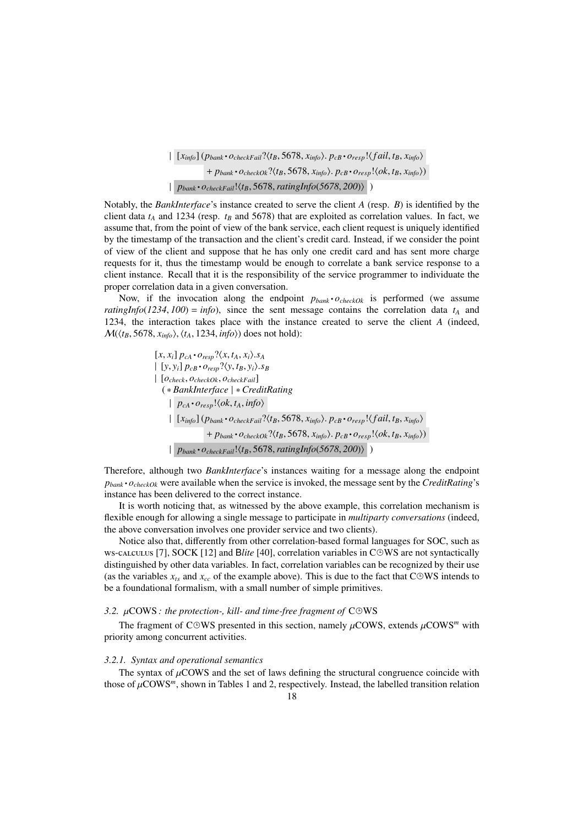$$
\begin{aligned}\n& [x_{info}](p_{bank} \cdot o_{checkFail}?\langle t_B, 5678, x_{info} \rangle, p_{CB} \cdot o_{resp}! \langle fail, t_B, x_{info} \rangle \\
&\quad + p_{bank} \cdot o_{checkC}?\langle t_B, 5678, x_{info} \rangle, p_{CB} \cdot o_{resp}! \langle ok, t_B, x_{info} \rangle)\n\end{aligned}
$$
\n
$$
\begin{aligned}\n& [p_{bank} \cdot o_{checkFail}]\langle t_B, 5678, x_{info} \rangle, p_{CB} \cdot o_{resp}! \langle ok, t_B, x_{info} \rangle\n\end{aligned}
$$

Notably, the *BankInterface*'s instance created to serve the client *A* (resp. *B*) is identified by the client data *t<sup>A</sup>* and 1234 (resp. *t<sup>B</sup>* and 5678) that are exploited as correlation values. In fact, we assume that, from the point of view of the bank service, each client request is uniquely identified by the timestamp of the transaction and the client's credit card. Instead, if we consider the point of view of the client and suppose that he has only one credit card and has sent more charge requests for it, thus the timestamp would be enough to correlate a bank service response to a client instance. Recall that it is the responsibility of the service programmer to individuate the proper correlation data in a given conversation.

Now, if the invocation along the endpoint *pbank* • *ocheckOk* is performed (we assume *ratingInfo*( $1234, 100$ ) = *info*), since the sent message contains the correlation data  $t_A$  and 1234, the interaction takes place with the instance created to serve the client *A* (indeed,  $M(\langle t_B, 5678, x_{info} \rangle, \langle t_A, 1234, info \rangle)$  does not hold):

> $[x, x_i]$   $p_{cA} \cdot o_{resp}$ ? $\langle x, t_A, x_i \rangle$ .  $s_A$ |  $[y, y_i]$   $p_{cB} \cdot o_{resp}$ ? $\langle y, t_B, y_i \rangle$ .  $s_B$ <sup>|</sup> [*ocheck*, *<sup>o</sup>checkOk*, *<sup>o</sup>checkFail*] ( ∗ *BankInterface* | ∗*CreditRating*  $\vert p_{cA} \cdot o_{resp}! \langle ok, t_A, info \rangle$  $\left[ \right. \left[ \left( x_{info} \right] \left( p_{bank} \cdot o_{checkFall} ? \langle t_B, 5678, x_{info} \rangle, p_{CB} \cdot o_{resp}! \langle fail, t_B, x_{info} \rangle \right] \right]$  $+ p_{bank} \cdot o_{checkOk}$ ? $\langle t_B, 5678, x_{info} \rangle$ .  $p_{CB} \cdot o_{resp}$ ! $\langle ok, t_B, x_{info} \rangle$  $\langle p_{\text{bank}} \cdot o_{\text{check$  $\text{Fall}}}! \langle t_B, 5678, \text{rating} \rangle \langle f \rangle$  (*formal)* )

Therefore, although two *BankInterface*'s instances waiting for a message along the endpoint *pbank* • *ocheckOk* were available when the service is invoked, the message sent by the *CreditRating*'s instance has been delivered to the correct instance.

It is worth noticing that, as witnessed by the above example, this correlation mechanism is flexible enough for allowing a single message to participate in *multiparty conversations* (indeed, the above conversation involves one provider service and two clients).

Notice also that, differently from other correlation-based formal languages for SOC, such as ws-calculus [7], SOCK [12] and <sup>B</sup>*lite* [40], correlation variables in CWS are not syntactically distinguished by other data variables. In fact, correlation variables can be recognized by their use (as the variables  $x_{ts}$  and  $x_{cc}$  of the example above). This is due to the fact that COWS intends to be a foundational formalism, with a small number of simple primitives.

## *3.2.* µCOWS *: the protection-, kill- and time-free fragment of* <sup>C</sup>WS

The fragment of COWS presented in this section, namely  $\mu$ COWS, extends  $\mu$ COWS<sup>*m*</sup> with priority among concurrent activities.

## *3.2.1. Syntax and operational semantics*

The syntax of  $\mu$ COWS and the set of laws defining the structural congruence coincide with those of  $\mu$ COWS<sup>*m*</sup>, shown in Tables 1 and 2, respectively. Instead, the labelled transition relation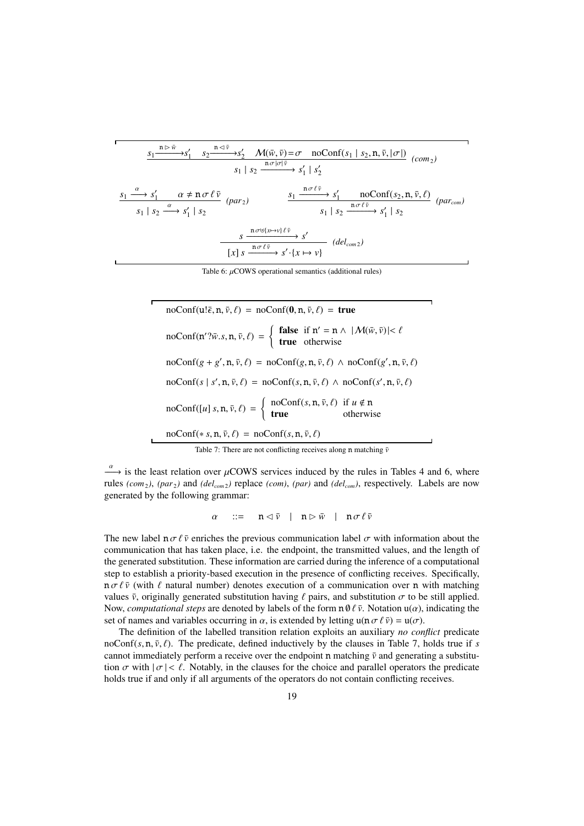*s*1 <sup>n</sup> *<sup>w</sup>*¯ −−−−−−→*s* 0 1 *s*2 <sup>n</sup> *<sup>v</sup>*¯ −−−−−→*s* 0 <sup>2</sup> <sup>M</sup>( ¯*w*, *<sup>v</sup>*¯)=<sup>σ</sup> noConf(*s*<sup>1</sup> <sup>|</sup> *<sup>s</sup>*2, <sup>n</sup>, *<sup>v</sup>*¯, <sup>|</sup>σ|) *(com*2*) s*<sup>1</sup> | *s*<sup>2</sup> <sup>n</sup>σ|σ<sup>|</sup> *<sup>v</sup>*¯ −−−−−−−→ *s* 0 1 | *s* 0 2 *s*1 α −−−→ *s* 0 <sup>1</sup> <sup>α</sup> , <sup>n</sup>σ ` *<sup>v</sup>*¯ *(par* <sup>2</sup>*) s*<sup>1</sup> | *s*<sup>2</sup> α −−−→ *s* 0 1 | *s*<sup>2</sup> *s*1 <sup>n</sup>σ ` *<sup>v</sup>*¯ −−−−−−→ *s* 0 1 noConf(*s*2, <sup>n</sup>, *<sup>v</sup>*¯, `) *(parcom) s*<sup>1</sup> | *s*<sup>2</sup> <sup>n</sup>σ ` *<sup>v</sup>*¯ −−−−−−→ *s* 0 1 | *s*<sup>2</sup> *s* <sup>n</sup>σ]{*x*7→*v*} ` *<sup>v</sup>*¯ −−−−−−−−−−−→ *s* 0 *(delcom* <sup>2</sup>*)* [*x*] *s* <sup>n</sup>σ ` *<sup>v</sup>*¯ −−−−−−→ *s* 0 ·{*x* 7→ *v*}

Table 6:  $\mu$ COWS operational semantics (additional rules)

 $noConf(u.\overline{\varepsilon}, n, \overline{\nu}, \ell) = noConf(0, n, \overline{\nu}, \ell) = true$  $\text{noConf}(n' \in \mathbb{R}, n, \bar{\nu}, \ell) = \begin{cases} \text{false} & \text{if } n' = n \land \vert \mathcal{M}(\bar{\nu}, \bar{\nu}) \vert < \ell \\ \text{true} & \text{otherwise} \end{cases}$  $\operatorname{noConf}(g + g', \mathbf{n}, \bar{v}, \ell) = \operatorname{noConf}(g, \mathbf{n}, \bar{v}, \ell) \land \operatorname{noConf}(g', \mathbf{n}, \bar{v}, \ell)$  $\text{noConf}(s \mid s', \mathbf{n}, \bar{v}, \ell) = \text{noConf}(s, \mathbf{n}, \bar{v}, \ell) \land \text{noConf}(s', \mathbf{n}, \bar{v}, \ell)$  $\text{noConf}([u] \, s, \mathfrak{n}, \bar{v}, \ell) = \begin{cases} \text{noConf}(s, \mathfrak{n}, \bar{v}, \ell) & \text{if } u \notin \mathfrak{n} \\ \text{true} & \text{otherwise} \end{cases}$  $noConf(* s, n, \overline{v}, \ell) = noConf(s, n, \overline{v}, \ell)$ 

Table 7: There are not conflicting receives along n matching  $\bar{v}$ 

 $\frac{a}{x}$  is the least relation over  $\mu$ COWS services induced by the rules in Tables 4 and 6, where<br>rules (com) (par) and (del s) replace (com) (par) and (del s) respectively. Labels are now rules  $(com_2)$ ,  $(par_2)$  and  $(de_{com})$  replace  $(com)$ ,  $(par)$  and  $(de_{com})$ , respectively. Labels are now generated by the following grammar:

 $\alpha$  ::=  $\mathbf{n} \triangleleft \bar{v}$  |  $\mathbf{n} \triangleright \bar{w}$  |  $\mathbf{n} \sigma \ell \bar{v}$ 

The new label  $\mathbf{n}\sigma \ell \bar{v}$  enriches the previous communication label  $\sigma$  with information about the communication that has taken place, i.e. the endpoint, the transmitted values, and the length of the generated substitution. These information are carried during the inference of a computational step to establish a priority-based execution in the presence of conflicting receives. Specifically,  $\mathbf{n}\sigma \ell \bar{\mathbf{v}}$  (with  $\ell$  natural number) denotes execution of a communication over n with matching values  $\bar{v}$ , originally generated substitution having  $\ell$  pairs, and substitution  $\sigma$  to be still applied. Now, *computational steps* are denoted by labels of the form  $\mathbf{n} \theta \ell \bar{v}$ . Notation u( $\alpha$ ), indicating the set of names and variables occurring in  $\alpha$ , is extended by letting  $u(n \sigma \ell \bar{v}) = u(\sigma)$ .

The definition of the labelled transition relation exploits an auxiliary *no conflict* predicate noConf( $s, n, \bar{v}, \ell$ ). The predicate, defined inductively by the clauses in Table 7, holds true if *s* cannot immediately perform a receive over the endpoint n matching  $\bar{v}$  and generating a substitution  $\sigma$  with  $|\sigma| < \ell$ . Notably, in the clauses for the choice and parallel operators the predicate holds true if and only if all arguments of the operators do not contain conflicting receives.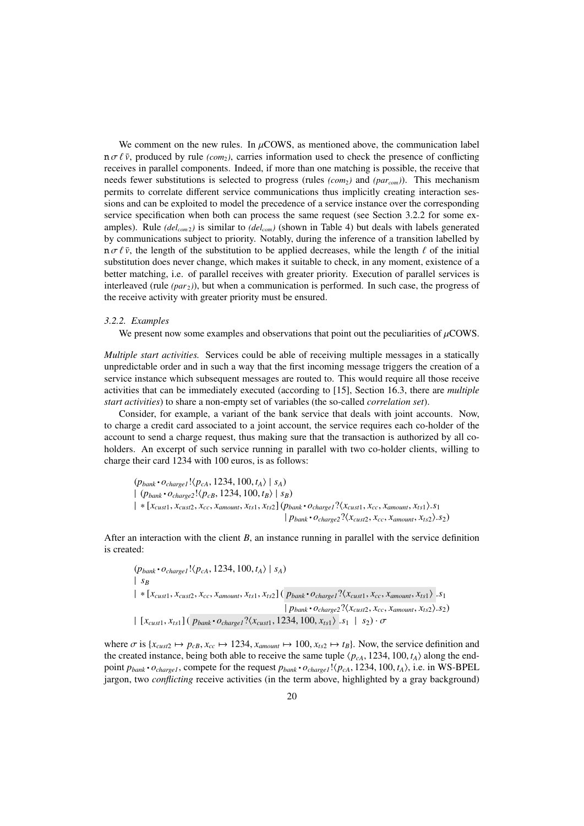We comment on the new rules. In  $\mu$ COWS, as mentioned above, the communication label  $\mathbf{n}\sigma\ell\bar{v}$ , produced by rule *(com<sub>2</sub>)*, carries information used to check the presence of conflicting receives in parallel components. Indeed, if more than one matching is possible, the receive that needs fewer substitutions is selected to progress (rules *(com*2*)* and *(parcom)*). This mechanism permits to correlate different service communications thus implicitly creating interaction sessions and can be exploited to model the precedence of a service instance over the corresponding service specification when both can process the same request (see Section 3.2.2 for some examples). Rule *(delcom* <sup>2</sup>*)* is similar to *(delcom)* (shown in Table 4) but deals with labels generated by communications subject to priority. Notably, during the inference of a transition labelled by  $n \sigma \ell \bar{\nu}$ , the length of the substitution to be applied decreases, while the length  $\ell$  of the initial substitution does never change, which makes it suitable to check, in any moment, existence of a better matching, i.e. of parallel receives with greater priority. Execution of parallel services is interleaved (rule *(par* <sup>2</sup>*)*), but when a communication is performed. In such case, the progress of the receive activity with greater priority must be ensured.

#### *3.2.2. Examples*

We present now some examples and observations that point out the peculiarities of  $\mu$ COWS.

*Multiple start activities.* Services could be able of receiving multiple messages in a statically unpredictable order and in such a way that the first incoming message triggers the creation of a service instance which subsequent messages are routed to. This would require all those receive activities that can be immediately executed (according to [15], Section 16.3, there are *multiple start activities*) to share a non-empty set of variables (the so-called *correlation set*).

Consider, for example, a variant of the bank service that deals with joint accounts. Now, to charge a credit card associated to a joint account, the service requires each co-holder of the account to send a charge request, thus making sure that the transaction is authorized by all coholders. An excerpt of such service running in parallel with two co-holder clients, willing to charge their card 1234 with 100 euros, is as follows:

 $(p_{bank} \cdot o_{charged}! \langle p_{cA}, 1234, 100, t_A \rangle | s_A)$  $|(p_{bank} \cdot o_{charge}! \langle p_{cB}, 1234, 100, t_B \rangle | s_B)|$  $\vert * [x_{\text{cust1}}, x_{\text{cust2}}, x_{\text{c}}, x_{\text{amount}}, x_{\text{tsl}}, x_{\text{d}}]$  ( $p_{\text{bank}} \cdot o_{\text{charge1}}$ ?  $\langle x_{\text{cust1}}, x_{\text{c}}, x_{\text{amount}}, x_{\text{tsl}} \rangle$ . S<sub>1</sub>  $\{p_{bank} \cdot o_{charge2}?\langle x_{cust2}, x_{cc}, x_{amount}, x_{ts2} \rangle .$ <sup>5</sup>2)

After an interaction with the client *B*, an instance running in parallel with the service definition is created:

$$
(p_{bank} \cdot o_{charge}! \langle p_{ca}, 1234, 100, t_A \rangle | s_A)
$$
\n
$$
| s_B | * [x_{cust1}, x_{cust2}, x_{cc}, x_{amount}, x_{ts1}, x_{ts2}] (p_{bank} \cdot o_{charge} ? \langle x_{cust1}, x_{cc}, x_{amount}, x_{ts1} \rangle .s_1 | p_{bank} \cdot o_{charge} ? \langle x_{cust2}, x_{cc}, x_{amount}, x_{ts2} \rangle .s_2)
$$
\n
$$
| [x_{cust1}, x_{ts1}] (p_{bank} \cdot o_{charge} ? \langle x_{cust1}, 1234, 100, x_{ts1} \rangle .s_1 | s_2) \cdot \sigma
$$

where  $\sigma$  is  $\{x_{cust2} \mapsto p_{cB}, x_{cc} \mapsto 1234, x_{amount} \mapsto 100, x_{ts2} \mapsto t_B\}$ . Now, the service definition and the created instance, being both able to receive the same tuple  $\langle p_{cA}, 1234, 100, t_A \rangle$  along the endpoint  $p_{bank} \cdot o_{charge1}$ , compete for the request  $p_{bank} \cdot o_{charge1}! (p_{cA}, 1234, 100, t_A)$ , i.e. in WS-BPEL jargon, two *conflicting* receive activities (in the term above, highlighted by a gray background)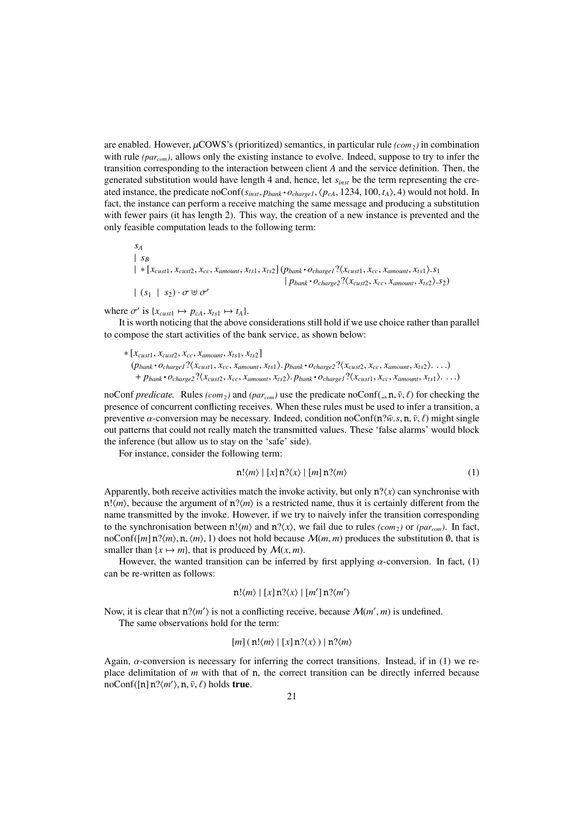are enabled. However,  $\mu$ COWS's (prioritized) semantics, in particular rule  $(com_2)$  in combination with rule *(par<sub>com</sub>*), allows only the existing instance to evolve. Indeed, suppose to try to infer the transition corresponding to the interaction between client *A* and the service definition. Then, the generated substitution would have length 4 and, hence, let  $s_{inst}$  be the term representing the created instance, the predicate noConf( $s_{inst}$ ,  $p_{bank} \cdot o_{charge1}$ ,  $\langle p_{CA}, 1234, 100, t_A \rangle$ , 4) would not hold. In fact, the instance can perform a receive matching the same message and producing a substitution with fewer pairs (it has length 2). This way, the creation of a new instance is prevented and the only feasible computation leads to the following term:

*sA* | *s<sup>B</sup>*  $\vert * [x_{\text{cust1}}, x_{\text{cust2}}, x_{\text{cc}}, x_{\text{amount}}, x_{\text{ts1}}, x_{\text{ts2}}]$  ( $p_{\text{bank}} \cdot o_{\text{charged}}$ ? ( $x_{\text{cust1}}, x_{\text{cc}}, x_{\text{amount}}, x_{\text{ts1}}$ ).  $s_1$  $\{p_{bank} \cdot o_{charge} \cdot \chi_{cust2}, x_{cc}, x_{amount}, x_{ts2}, s_2\}$  $|(s_1 | s_2) \cdot \sigma \uplus \sigma'$ 

where  $\sigma'$  is  $\{x_{\text{cust1}} \mapsto p_{cA}, x_{ts1} \mapsto t_A\}$ .<br>It is worth noticing that the above

It is worth noticing that the above considerations still hold if we use choice rather than parallel to compose the start activities of the bank service, as shown below:

<sup>∗</sup> [*xcust*1, *<sup>x</sup>cust*2, *<sup>x</sup>cc*, *<sup>x</sup>amount*, *<sup>x</sup>ts*1, *<sup>x</sup>ts*2]  $(p_{bank} \cdot o_{charge1}?\langle x_{cust1}, x_{cc}, x_{amount}, x_{ts1} \rangle.$   $p_{bank} \cdot o_{charge2}?\langle x_{cust2}, x_{cc}, x_{amount}, x_{ts2} \rangle.$ ...) +  $p_{bank} \cdot o_{charge2}$  ? $(x_{cust2}, x_{cc}, x_{amount}, x_{ts2}) \cdot p_{bank} \cdot o_{charge1}$  ? $(x_{cust1}, x_{cc}, x_{amount}, x_{ts1}) \cdot ...)$ 

noConf *predicate.* Rules  $(com_2)$  and  $(par_{com})$  use the predicate noConf(, n,  $\bar{v}$ ,  $\ell$ ) for checking the presence of concurrent conflicting receives. When these rules must be used to infer a transition, a preventive  $\alpha$ -conversion may be necessary. Indeed, condition noConf(n? $\overline{w}.s, n, \overline{v}, \ell$ ) might single out patterns that could not really match the transmitted values. These 'false alarms' would block the inference (but allow us to stay on the 'safe' side).

For instance, consider the following term:

$$
\mathbf{n}!\langle m\rangle \mid [x]\,\mathbf{n}?\langle x\rangle \mid [m]\,\mathbf{n}?\langle m\rangle\tag{1}
$$

Apparently, both receive activities match the invoke activity, but only  $n$ ? $\langle x \rangle$  can synchronise with  $n! \langle m \rangle$ , because the argument of  $n? \langle m \rangle$  is a restricted name, thus it is certainly different from the name transmitted by the invoke. However, if we try to naively infer the transition corresponding to the synchronisation between  $\mathbf{n}! \langle m \rangle$  and  $\mathbf{n}? \langle x \rangle$ , we fail due to rules  $(com_2)$  or  $(par_{com})$ . In fact, noConf( $[m]$  n? $\langle m \rangle$ , n, $\langle m \rangle$ , 1) does not hold because  $M(m, m)$  produces the substitution  $\emptyset$ , that is smaller than  $\{x \mapsto m\}$ , that is produced by  $\mathcal{M}(x, m)$ .

However, the wanted transition can be inferred by first applying  $\alpha$ -conversion. In fact, (1) can be re-written as follows:

$$
\mathbf{n}!\langle m\rangle | [x]\,\mathbf{n}?\langle x\rangle | [m']\,\mathbf{n}?\langle m'\rangle
$$

Now, it is clear that  $n\frac{2}{m'}$  is not a conflicting receive, because  $M(m', m)$  is undefined.<br>The same observations hold for the term:

The same observations hold for the term:

$$
[m] (n! \langle m \rangle | [x] n? \langle x \rangle) | n? \langle m \rangle
$$

Again,  $\alpha$ -conversion is necessary for inferring the correct transitions. Instead, if in (1) we replace delimitation of *m* with that of n, the correct transition can be directly inferred because noConf([n]  $n?\langle m'\rangle$ ,  $n, \bar{\nu}, \ell$ ) holds **true**.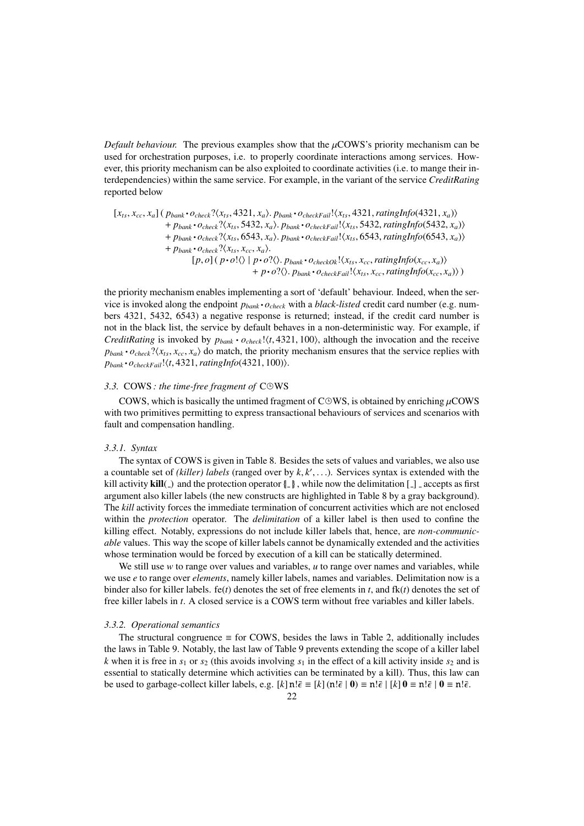*Default behaviour.* The previous examples show that the  $\mu$ COWS's priority mechanism can be used for orchestration purposes, i.e. to properly coordinate interactions among services. However, this priority mechanism can be also exploited to coordinate activities (i.e. to mange their interdependencies) within the same service. For example, in the variant of the service *CreditRating* reported below

 $[x_{ts}, x_{cc}, x_a]$  ( $p_{bank} \cdot o_{check}$ ? $\langle x_{ts}, 4321, x_a \rangle$ .  $p_{bank} \cdot o_{check$  $Fail}$  $\langle x_{ts}, 4321, ratingInfo(4321, x_a) \rangle$  $+ p_{bank} \cdot o_{check}$ ? $\langle x_{ts}, 5432, x_a \rangle$ .  $p_{bank} \cdot o_{checkFall}$ ! $\langle x_{ts}, 5432, \text{ratingInfo}(5432, x_a) \rangle$  $+ p_{bank} \cdot o_{check}?\langle x_{ts}, 6543, x_a \rangle.$   $p_{bank} \cdot o_{checkFall}!\langle x_{ts}, 6543, ratingInfo(6543, x_a) \rangle$  $+ p_{bank} \cdot o_{check}?\langle x_{ts}, x_{cc}, x_a \rangle.$  $[p, o]$  ( $p \cdot o! \langle \rangle \mid p \cdot o? \langle \rangle$ ,  $p_{bank} \cdot o_{checkok}! \langle x_{ts}, x_{cc}, ratingInfo(x_{cc}, x_a) \rangle$  $+ p \cdot o? \langle \rangle$ .  $p_{bank} \cdot o_{checkFall}! \langle x_{ts}, x_{cc}, ratingInfo(x_{cc}, x_a) \rangle$ 

the priority mechanism enables implementing a sort of 'default' behaviour. Indeed, when the service is invoked along the endpoint *pbank* • *ocheck* with a *black-listed* credit card number (e.g. numbers 4321, 5432, 6543) a negative response is returned; instead, if the credit card number is not in the black list, the service by default behaves in a non-deterministic way. For example, if *CreditRating* is invoked by  $p_{bank} \cdot o_{check}! \langle t, 4321, 100 \rangle$ , although the invocation and the receive  $p_{bank} \cdot o_{check}$ ? $(x_{ts}, x_{cc}, x_a)$  do match, the priority mechanism ensures that the service replies with  $p_{bank} \cdot o_{checkFall}(t, 4321, ratingInfo(4321, 100)).$ 

## 3.3. COWS : the time-free fragment of COWS

COWS, which is basically the untimed fragment of COWS, is obtained by enriching  $\mu$ COWS with two primitives permitting to express transactional behaviours of services and scenarios with fault and compensation handling.

## *3.3.1. Syntax*

The syntax of COWS is given in Table 8. Besides the sets of values and variables, we also use a countable set of *(killer) labels* (ranged over by  $k, k', \ldots$ ). Services syntax is extended with the kill activity **kill** ( ) and the protection operator  $\ell$ , while now the delimitation  $\ell$ , accepts as first kill activity  $\textbf{kill}( \_ )$  and the protection operator  $\| \_ \|$ , while now the delimitation  $[ \_ ]$  accepts as first argument also killer labels (the new constructs are highlighted in Table 8 by a gray background). The *kill* activity forces the immediate termination of concurrent activities which are not enclosed within the *protection* operator. The *delimitation* of a killer label is then used to confine the killing effect. Notably, expressions do not include killer labels that, hence, are *non-communicable* values. This way the scope of killer labels cannot be dynamically extended and the activities whose termination would be forced by execution of a kill can be statically determined.

We still use *w* to range over values and variables, *u* to range over names and variables, while we use *e* to range over *elements*, namely killer labels, names and variables. Delimitation now is a binder also for killer labels. fe(*t*) denotes the set of free elements in *t*, and fk(*t*) denotes the set of free killer labels in *t*. A closed service is a COWS term without free variables and killer labels.

#### *3.3.2. Operational semantics*

The structural congruence  $\equiv$  for COWS, besides the laws in Table 2, additionally includes the laws in Table 9. Notably, the last law of Table 9 prevents extending the scope of a killer label *k* when it is free in  $s_1$  or  $s_2$  (this avoids involving  $s_1$  in the effect of a kill activity inside  $s_2$  and is essential to statically determine which activities can be terminated by a kill). Thus, this law can be used to garbage-collect killer labels, e.g.  $[k]$  n! $\bar{\epsilon} \equiv [k]$  (n! $\bar{\epsilon} | 0 \rangle \equiv n! \bar{\epsilon} | [k]$ )  $\bar{\epsilon} \equiv n! \bar{\epsilon} | 0 \equiv n! \bar{\epsilon}$ .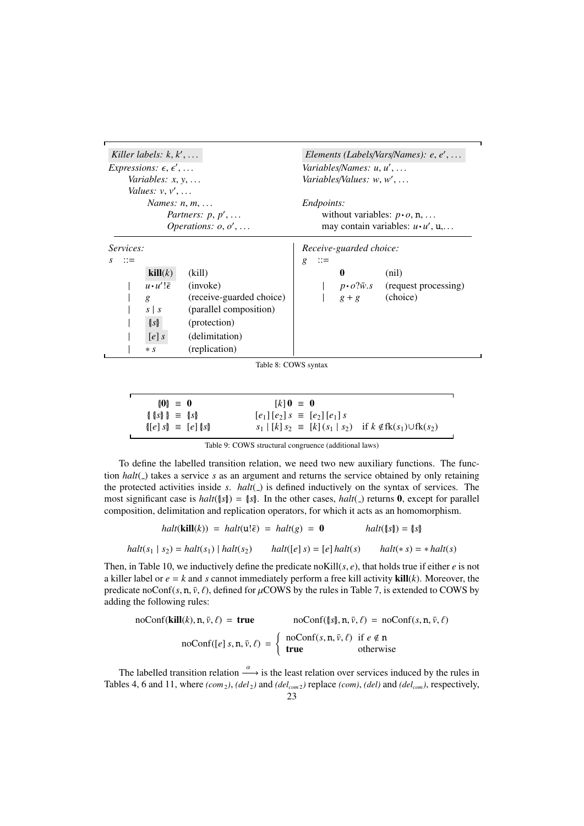| Killer labels: $k, k', \ldots$                                                                            |                          |                                                                                    |                         | Elements (Labels/Vars/Names): $e, e', \ldots$        |  |
|-----------------------------------------------------------------------------------------------------------|--------------------------|------------------------------------------------------------------------------------|-------------------------|------------------------------------------------------|--|
| <i>Expressions:</i> $\epsilon, \epsilon', \ldots$<br>Variables: $x, y, \ldots$<br>Values: $v, v', \ldots$ |                          | Variables/Names: $u, u', \ldots$                                                   |                         |                                                      |  |
|                                                                                                           |                          | Variables/Values: $w, w', \ldots$                                                  |                         |                                                      |  |
|                                                                                                           |                          |                                                                                    |                         |                                                      |  |
| Partners: $p, p', \ldots$<br>Operations: $o, o', \ldots$                                                  |                          | without variables: $p \cdot o$ , n,<br>may contain variables: $u \cdot u'$ , $u$ , |                         |                                                      |  |
| <i>Services:</i>                                                                                          |                          |                                                                                    | Receive-guarded choice: |                                                      |  |
| $::=$<br>S                                                                                                |                          | g<br>∷≕                                                                            |                         |                                                      |  |
| $\mathbf{kill}(k)$                                                                                        | (kill)                   |                                                                                    | 0                       | (nil)                                                |  |
| $u \cdot u'$ ! $\bar{\epsilon}$                                                                           | (invoke)                 |                                                                                    |                         | $p \cdot o$ ? $\overline{w}$ .s (request processing) |  |
| g                                                                                                         | (receive-guarded choice) |                                                                                    | $g+g$                   | (choice)                                             |  |
| $s \mid s$                                                                                                | (parallel composition)   |                                                                                    |                         |                                                      |  |
| $\{s\}$                                                                                                   | (protection)             |                                                                                    |                         |                                                      |  |
| $[e]$ s                                                                                                   | (delimitation)           |                                                                                    |                         |                                                      |  |
| $*S$                                                                                                      | (replication)            |                                                                                    |                         |                                                      |  |

Table 8: COWS syntax

| $\{0\} \equiv 0$         | $[k]0 \equiv 0$                                                                          |
|--------------------------|------------------------------------------------------------------------------------------|
| $\{  s  \}$ = $\{ s  $   | $[e_1][e_2]$ $s \equiv [e_2][e_1]$ $s$                                                   |
| $[e] s \equiv [e] \{s\}$ | $s_1$ $[k]$ $s_2$ = $[k]$ $(s_1   s_2)$ if $k \notin \text{fk}(s_1) \cup \text{fk}(s_2)$ |

Table 9: COWS structural congruence (additional laws)

To define the labelled transition relation, we need two new auxiliary functions. The function *halt*( ) takes a service *s* as an argument and returns the service obtained by only retaining the protected activities inside *s*. *halt*( ) is defined inductively on the syntax of services. The most significant case is  $halt({s}) = {s}$ . In the other cases,  $halt( )$  returns 0, except for parallel composition, delimitation and replication operators, for which it acts as an homomorphism.

$$
halt(\textbf{kill}(k)) = halt(u!\overline{\epsilon}) = halt(g) = 0 \qquad halt(\{\textbf{s}\}) = \{\textbf{s}\}
$$
\n
$$
halt(s_1 \mid s_2) = halt(s_1) \mid halt(s_2) \qquad halt(\{e\} \mid s) = [e] \mid halt(s) \qquad halt(\ast s) = \ast halt(s)
$$

Then, in Table 10, we inductively define the predicate noKill( $s$ ,  $e$ ), that holds true if either  $e$  is not a killer label or  $e = k$  and *s* cannot immediately perform a free kill activity **kill**(*k*). Moreover, the predicate noConf( $s, n, \bar{v}, \ell$ ), defined for  $\mu$ COWS by the rules in Table 7, is extended to COWS by adding the following rules:

$$
noConf(\textbf{kill}(k), \mathbf{n}, \bar{v}, \ell) = \textbf{true} \qquad noConf(\{\,s\}, \mathbf{n}, \bar{v}, \ell) = noConf(s, \mathbf{n}, \bar{v}, \ell) \nnoConf([\{e\}, \mathbf{n}, \bar{v}, \ell)) = \begin{cases} noConf(s, \mathbf{n}, \bar{v}, \ell) & \text{if } e \notin \mathbf{n} \\ \textbf{true} & \text{otherwise} \end{cases}
$$

The labelled transition relation  $\longrightarrow$  is the least relation over services induced by the rules in Tables 4, 6 and 11, where *(com*2*)*, *(del* <sup>2</sup>*)* and *(delcom* <sup>2</sup>*)* replace *(com)*, *(del)* and *(delcom)*, respectively,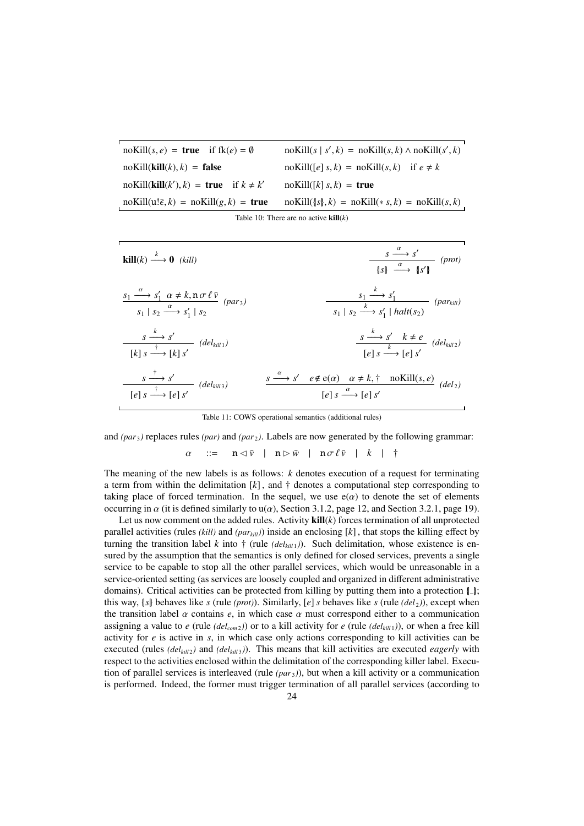| $noKill(s, e) = true$ if $fk(e) = \emptyset$                           | $noKill(s   s', k) = noKill(s, k) \wedge noKill(s', k)$ |
|------------------------------------------------------------------------|---------------------------------------------------------|
| $noKill(kill(k), k) = false$                                           | $noKill([e] s, k) = noKill(s, k)$ if $e \neq k$         |
| $noKill(kill(k'), k) = true$ if $k \neq k'$                            | $noKill([k] s, k) = true$                               |
| $\text{noKill}(u!\bar{\epsilon},k) = \text{noKill}(g,k) = \text{true}$ | $noKill({s},k) = noKill(*s,k) = noKill(s,k)$            |
|                                                                        |                                                         |

Table 10: There are no active  $\textbf{kill}(k)$ 

| <b>kill</b> $(k) \xrightarrow{k} 0$ $(kill)$                                                                                     | $\begin{array}{c}\n s \xrightarrow{\alpha} s' \\ \hline\n\{s\} \xrightarrow{\alpha} \{s'\} \\ \end{array} (prot)$                                                         |
|----------------------------------------------------------------------------------------------------------------------------------|---------------------------------------------------------------------------------------------------------------------------------------------------------------------------|
| $\frac{s_1 \xrightarrow{\alpha} s'_1 \alpha \neq k, n \sigma \ell \bar{\nu}}{s_1   s_2 \xrightarrow{\alpha} s'_1   s_2} (par_3)$ | $\frac{s_1 \xrightarrow{k} s'_1}{s_1   s_2 \xrightarrow{k} s'_1   \textit{halt}(s_2)} (\textit{par}_{\textit{kill}})$                                                     |
| $\frac{s \xrightarrow{k} s'}{[k] s \xrightarrow{\dagger} [k] s'} (del_{kill1})$                                                  | $\frac{s \xrightarrow{k} s' \quad k \neq e}{[e] s' \quad (del_{kill2})}$                                                                                                  |
| $\frac{s \xrightarrow{\dagger} s'}{[e] s \xrightarrow{\dagger} [e] s'} (del_{kill3})$                                            | $\frac{s \xrightarrow{\alpha} s' \quad e \notin e(\alpha) \quad \alpha \neq k, \dagger \quad \text{noKill}(s, e)}{[e] s \xrightarrow{\alpha} [e] s'}$ (del <sub>2</sub> ) |

Table 11: COWS operational semantics (additional rules)

and  $(par_3)$  replaces rules  $(par)$  and  $(par_2)$ . Labels are now generated by the following grammar:

 $\alpha$  ::=  $\mathbf{n} \triangleleft \overline{\mathbf{v}}$  |  $\mathbf{n} \triangleright \overline{\mathbf{w}}$  |  $\mathbf{n} \sigma \ell \overline{\mathbf{v}}$  |  $k$  | †

The meaning of the new labels is as follows: *k* denotes execution of a request for terminating a term from within the delimitation  $[k]$ , and  $\dagger$  denotes a computational step corresponding to taking place of forced termination. In the sequel, we use  $e(\alpha)$  to denote the set of elements occurring in  $\alpha$  (it is defined similarly to u( $\alpha$ ), Section 3.1.2, page 12, and Section 3.2.1, page 19).

Let us now comment on the added rules. Activity  $\kappa$ ill $(k)$  forces termination of all unprotected parallel activities (rules *(kill)* and *(parkill)*) inside an enclosing [*k*] , that stops the killing effect by turning the transition label *k* into  $\dagger$  (rule  $(del_{kill1})$ ). Such delimitation, whose existence is ensured by the assumption that the semantics is only defined for closed services, prevents a single service to be capable to stop all the other parallel services, which would be unreasonable in a service-oriented setting (as services are loosely coupled and organized in different administrative domains). Critical activities can be protected from killing by putting them into a protection  $\|\cdot\|$ ; this way,  $\{s\}$  behaves like *s* (rule *(prot)*). Similarly,  $[e]$  *s* behaves like *s* (rule  $\langle del_2 \rangle$ ), except when the transition label  $\alpha$  contains  $e$ , in which case  $\alpha$  must correspond either to a communication assigning a value to *e* (rule  $(de_{com2})$ ) or to a kill activity for *e* (rule  $(de_{kin1})$ ), or when a free kill activity for  $e$  is active in  $s$ , in which case only actions corresponding to kill activities can be executed (rules  $(de_{kil/2})$  and  $(de_{kil/3})$ ). This means that kill activities are executed *eagerly* with respect to the activities enclosed within the delimitation of the corresponding killer label. Execution of parallel services is interleaved (rule  $(par_3)$ ), but when a kill activity or a communication is performed. Indeed, the former must trigger termination of all parallel services (according to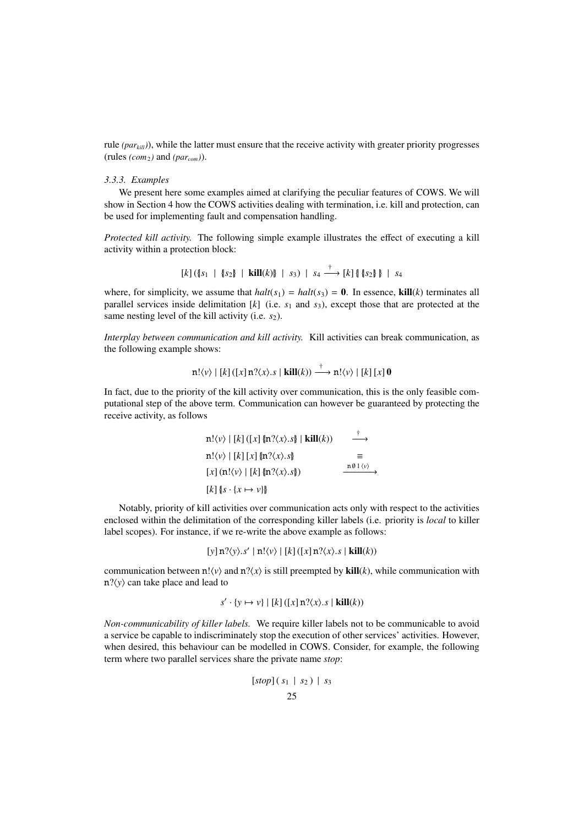rule  $(par_{kill})$ , while the latter must ensure that the receive activity with greater priority progresses (rules *(com*2*)* and *(parcom)*).

## *3.3.3. Examples*

We present here some examples aimed at clarifying the peculiar features of COWS. We will show in Section 4 how the COWS activities dealing with termination, i.e. kill and protection, can be used for implementing fault and compensation handling.

*Protected kill activity.* The following simple example illustrates the effect of executing a kill activity within a protection block:

$$
[k] (\{s_1 \mid \{s_2\} \mid \mathbf{kill}(k)\} \mid s_3) \mid s_4 \xrightarrow{\dagger} [k] \{ \{s_2\} \} \mid s_4
$$

where, for simplicity, we assume that  $halt(s_1) = halt(s_3) = 0$ . In essence, **kill**(*k*) terminates all parallel services inside delimitation [*k*] (i.e. *s*<sup>1</sup> and *s*3), except those that are protected at the same nesting level of the kill activity (i.e.  $s_2$ ).

*Interplay between communication and kill activity.* Kill activities can break communication, as the following example shows:

$$
\mathbf{n}!\langle v \rangle \mid [k] ([x] \mathbf{n}?\langle x \rangle.s \mid \mathbf{kill}(k)) \xrightarrow{\dagger} \mathbf{n}!\langle v \rangle \mid [k] [x] \mathbf{0}
$$

In fact, due to the priority of the kill activity over communication, this is the only feasible computational step of the above term. Communication can however be guaranteed by protecting the receive activity, as follows

$$
\begin{array}{ll}\n\mathbf{n!}\langle \nu \rangle \mid [k] \left( [x] \{ \mathbf{n?}\langle x \rangle \cdot s \} \mid \mathbf{kill}(k) \right) & \xrightarrow{\dagger} \\
\mathbf{n!}\langle \nu \rangle \mid [k] \left[ x \right] \{ \mathbf{n?}\langle x \rangle \cdot s \} & \equiv \\
\left[ x \right] (\mathbf{n!}\langle \nu \rangle \mid [k] \{ \mathbf{n?}\langle x \rangle \cdot s \}) & \xrightarrow{\mathbf{n01}\langle \nu \rangle} \\
\left[ k \right] \{ s \cdot \{ x \mapsto \nu \} \}\n\end{array}
$$

Notably, priority of kill activities over communication acts only with respect to the activities enclosed within the delimitation of the corresponding killer labels (i.e. priority is *local* to killer label scopes). For instance, if we re-write the above example as follows:

$$
[y] \mathbf{n?}\langle y \rangle \mathbf{.} s' | \mathbf{n!}\langle v \rangle | [k] ([x] \mathbf{n?}\langle x \rangle \mathbf{.} s | \mathbf{kill}(k))
$$

communication between  $\mathbf{n}! \langle v \rangle$  and  $\mathbf{n}$ ? $\langle x \rangle$  is still preempted by **kill**(*k*), while communication with  $n\text{?}\langle y \rangle$  can take place and lead to

$$
s' \cdot \{y \mapsto v\} \mid [k] ([x] \mathbf{n?} \langle x \rangle . s \mid \mathbf{kill}(k))
$$

*Non-communicability of killer labels.* We require killer labels not to be communicable to avoid a service be capable to indiscriminately stop the execution of other services' activities. However, when desired, this behaviour can be modelled in COWS. Consider, for example, the following term where two parallel services share the private name *stop*:

$$
[stop] (s_1 | s_2) | s_3
$$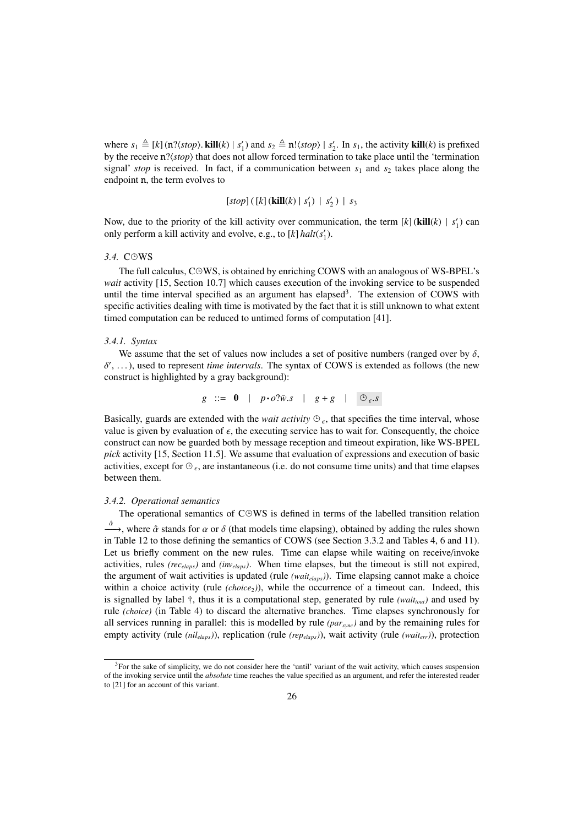where  $s_1 \triangleq [k]$  (n?(*stop*). kill(*k*) |  $s'_1$ ) and  $s_2 \triangleq$  n!(*stop*) |  $s'_2$ . In  $s_1$ , the activity kill(*k*) is prefixed<br>by the receive n?(*ston*) that does not allow forced termination to take place until the 'ter by the receive n? $\langle$ *stop* $\rangle$  that does not allow forced termination to take place until the 'termination signal' *stop* is received. In fact, if a communication between  $s_1$  and  $s_2$  takes place along the endpoint n, the term evolves to

$$
[stop] ([k] (kill(k) | s'_1) | s'_2 ) | s_3
$$

Now, due to the priority of the kill activity over communication, the term  $[k]$  (**kill** $(k)$  |  $s'_1$ ) can only perform a kill activity and evolve, e.g., to  $[k]$  *halt* $(s'_1)$ .

## 3.4. C<sub>O</sub>WS

The full calculus, CWS, is obtained by enriching COWS with an analogous of WS-BPEL's *wait* activity [15, Section 10.7] which causes execution of the invoking service to be suspended until the time interval specified as an argument has elapsed<sup>3</sup>. The extension of COWS with specific activities dealing with time is motivated by the fact that it is still unknown to what extent timed computation can be reduced to untimed forms of computation [41].

## *3.4.1. Syntax*

We assume that the set of values now includes a set of positive numbers (ranged over by  $\delta$ , construct is highlighted by a gray background): ', ...), used to represent *time intervals*. The syntax of COWS is extended as follows (the new

$$
g \ ::= \ \mathbf{0} \ | \ p \cdot o? \bar{w}.s \ | \ g + g \ | \ \Phi_{\epsilon}.s
$$

Basically, guards are extended with the *wait activity*  $\mathcal{O}_\epsilon$ , that specifies the time interval, whose value is given by evaluation of  $\epsilon$ , the executing service has to wait for. Consequently, the choice construct can now be guarded both by message reception and timeout expiration, like WS-BPEL *pick* activity [15, Section 11.5]. We assume that evaluation of expressions and execution of basic activities, except for  $\mathcal{D}_{\epsilon}$ , are instantaneous (i.e. do not consume time units) and that time elapses between them.

#### *3.4.2. Operational semantics*

The operational semantics of COWS is defined in terms of the labelled transition relation  $\frac{\hat{\alpha}}{ }$  $\rightarrow$ , where  $\hat{\alpha}$  stands for  $\alpha$  or  $\delta$  (that models time elapsing), obtained by adding the rules shown in Table 12 to those defining the semantics of COWS (see Section 3.3.2 and Tables 4, 6 and 11). Let us briefly comment on the new rules. Time can elapse while waiting on receive/invoke activities, rules *(recelaps)* and *(invelaps)*. When time elapses, but the timeout is still not expired, the argument of wait activities is updated (rule *(waitelaps)*). Time elapsing cannot make a choice within a choice activity (rule *(choice<sub>2</sub>)*), while the occurrence of a timeout can. Indeed, this is signalled by label  $\dagger$ , thus it is a computational step, generated by rule *(wait<sub>rout</sub>*) and used by rule *(choice)* (in Table 4) to discard the alternative branches. Time elapses synchronously for all services running in parallel: this is modelled by rule *(parsync)* and by the remaining rules for empty activity (rule *(nilelaps)*), replication (rule *(repelaps)*), wait activity (rule *(waiterr)*), protection

 ${}^{3}$ For the sake of simplicity, we do not consider here the 'until' variant of the wait activity, which causes suspension of the invoking service until the *absolute* time reaches the value specified as an argument, and refer the interested reader to [21] for an account of this variant.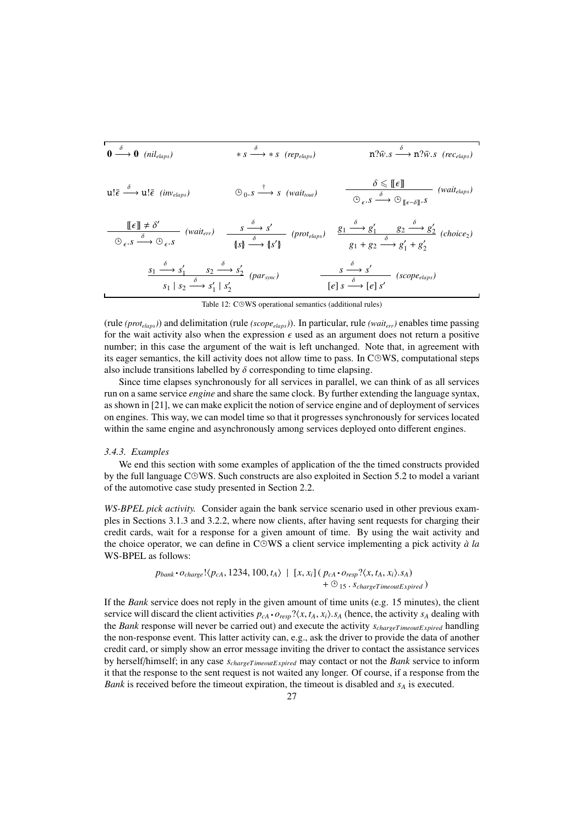$$
\begin{array}{llll}\n\mathbf{0} & \stackrel{\delta}{\longrightarrow} \mathbf{0} & (\nii1_{elaps}) & \ast s \stackrel{\delta}{\longrightarrow} * s & (\niii2_{elaps}) & \mathbf{n}?\bar{w}.s \stackrel{\delta}{\longrightarrow} \mathbf{n}?\bar{w}.s & (\niv2_{elaps}) \\
\mathbf{u}!\bar{\epsilon} & \stackrel{\delta}{\longrightarrow} \mathbf{u}!\bar{\epsilon} & (\niv2_{elaps}) & \stackrel{\delta}{\longrightarrow} s & (\niv3_{claps}) & \stackrel{\delta}{\longrightarrow} s \stackrel{\delta}{\longrightarrow} s \stackrel{\delta}{\longrightarrow} s \stackrel{\delta}{\longrightarrow} s \stackrel{\delta}{\longrightarrow} s \stackrel{\delta}{\longrightarrow} s \stackrel{\delta}{\longrightarrow} s \stackrel{\delta}{\longrightarrow} s \stackrel{\delta}{\longrightarrow} s \stackrel{\delta}{\longrightarrow} s \stackrel{\delta}{\longrightarrow} s \stackrel{\delta}{\longrightarrow} s \stackrel{\delta}{\longrightarrow} s \stackrel{\delta}{\longrightarrow} s \stackrel{\delta}{\longrightarrow} s \stackrel{\delta}{\longrightarrow} s \stackrel{\delta}{\longrightarrow} s \stackrel{\delta}{\longrightarrow} s \stackrel{\delta}{\longrightarrow} s \stackrel{\delta}{\longrightarrow} s \stackrel{\delta}{\longrightarrow} s \stackrel{\delta}{\longrightarrow} s \stackrel{\delta}{\longrightarrow} s \stackrel{\delta}{\longrightarrow} s \stackrel{\delta}{\longrightarrow} s \stackrel{\delta}{\longrightarrow} s \stackrel{\delta}{\longrightarrow} s \stackrel{\delta}{\longrightarrow} s \stackrel{\delta}{\longrightarrow} s \stackrel{\delta}{\longrightarrow} s \stackrel{\delta}{\longrightarrow} s \stackrel{\delta}{\longrightarrow} s \stackrel{\delta}{\longrightarrow} s \stackrel{\delta}{\longrightarrow} s \stackrel{\delta}{\longrightarrow} s \stackrel{\delta}{\longrightarrow} s \stackrel{\delta}{\longrightarrow} s \stackrel{\delta}{\longrightarrow} s \stackrel{\delta}{\longrightarrow} s \stackrel{\delta}{\longrightarrow} s \stackrel{\delta}{\longrightarrow} s \stackrel{\delta}{\longrightarrow} s \stackrel{\delta}{\longrightarrow} s \stackrel{\delta}{\longrightarrow} s \stackrel{\delta}{\longrightarrow} s \stackrel{\delta}{\longrightarrow} s \stackrel{\delta}{\longrightarrow} s \stackrel{\delta}{\longrightarrow} s \stackrel{\delta}{\longrightarrow} s \stackrel{\delta}{\longrightarrow} s \stackrel{\delta}{\longrightarrow} s \stackrel{\delta}{\longrightarrow} s \stackrel{\delta}{\longrightarrow} s \stackrel{\delta}{\longrightarrow} s \stackrel{\delta}{\longrightarrow} s \stackrel{\delta}{\longrightarrow} s \stackrel{\delta}{\longrightarrow} s
$$

Table 12: COWS operational semantics (additional rules)

(rule *(protelaps)*) and delimitation (rule *(scopeelaps)*). In particular, rule *(waiterr)* enables time passing for the wait activity also when the expression  $\epsilon$  used as an argument does not return a positive number; in this case the argument of the wait is left unchanged. Note that, in agreement with its eager semantics, the kill activity does not allow time to pass. In COWS, computational steps also include transitions labelled by  $\delta$  corresponding to time elapsing.

Since time elapses synchronously for all services in parallel, we can think of as all services run on a same service *engine* and share the same clock. By further extending the language syntax, as shown in [21], we can make explicit the notion of service engine and of deployment of services on engines. This way, we can model time so that it progresses synchronously for services located within the same engine and asynchronously among services deployed onto different engines.

## *3.4.3. Examples*

We end this section with some examples of application of the the timed constructs provided by the full language CWS. Such constructs are also exploited in Section 5.2 to model a variant of the automotive case study presented in Section 2.2.

*WS-BPEL pick activity.* Consider again the bank service scenario used in other previous examples in Sections 3.1.3 and 3.2.2, where now clients, after having sent requests for charging their credit cards, wait for a response for a given amount of time. By using the wait activity and the choice operator, we can define in CWS a client service implementing a pick activity *`a la* WS-BPEL as follows:

$$
p_{bank} \cdot o_{charge}! \langle p_{cA}, 1234, 100, t_A \rangle \mid [x, x_i] \left( p_{cA} \cdot o_{resp} ? \langle x, t_A, x_i \rangle . s_A \right) + \mathcal{O}_{15}. \, s_{charge} \, \text{The outer layer} \, \text{where} \, \text{The number of vertices in the image.}
$$

If the *Bank* service does not reply in the given amount of time units (e.g. 15 minutes), the client service will discard the client activities  $p_{cA} \cdot o_{resp}$ ? $\langle x, t_A, x_i \rangle$ . *s<sub>A</sub>* (hence, the activity *s<sub>A</sub>* dealing with the *Bank* response will never be carried out) and execute the activity *schargeTimeoutExpired* handling the non-response event. This latter activity can, e.g., ask the driver to provide the data of another credit card, or simply show an error message inviting the driver to contact the assistance services by herself/himself; in any case *schargeTimeoutExpired* may contact or not the *Bank* service to inform it that the response to the sent request is not waited any longer. Of course, if a response from the *Bank* is received before the timeout expiration, the timeout is disabled and *s<sup>A</sup>* is executed.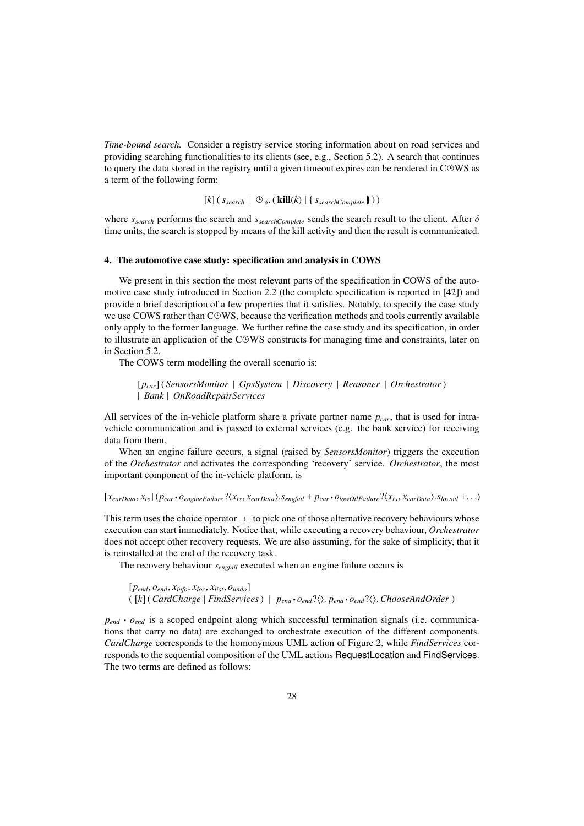*Time-bound search.* Consider a registry service storing information about on road services and providing searching functionalities to its clients (see, e.g., Section 5.2). A search that continues to query the data stored in the registry until a given timeout expires can be rendered in CWS as a term of the following form:

 $[k]$  (  $s_{search}$   $| \mathcal{O}_{\delta}$ . (**kill**(*k*)  $| \{ s_{searchComplete} \}$ ))

where *<sup>s</sup>search* performs the search and *<sup>s</sup>searchComplete* sends the search result to the client. After <sup>δ</sup> time units, the search is stopped by means of the kill activity and then the result is communicated.

## 4. The automotive case study: specification and analysis in COWS

We present in this section the most relevant parts of the specification in COWS of the automotive case study introduced in Section 2.2 (the complete specification is reported in [42]) and provide a brief description of a few properties that it satisfies. Notably, to specify the case study we use COWS rather than COWS, because the verification methods and tools currently available only apply to the former language. We further refine the case study and its specification, in order to illustrate an application of the CWS constructs for managing time and constraints, later on in Section 5.2.

The COWS term modelling the overall scenario is:

[*pcar*] ( *SensorsMonitor* | *GpsSystem* | *Discovery* | *Reasoner* | *Orchestrator*) | *Bank* | *OnRoadRepairServices*

All services of the in-vehicle platform share a private partner name *pcar*, that is used for intravehicle communication and is passed to external services (e.g. the bank service) for receiving data from them.

When an engine failure occurs, a signal (raised by *SensorsMonitor*) triggers the execution of the *Orchestrator* and activates the corresponding 'recovery' service. *Orchestrator*, the most important component of the in-vehicle platform, is

```
[x_{carData}, x_{ts}](p_{car} \cdot o_{engineFailure}? \langle x_{ts}, x_{carData} \rangle .s_{engfail} + p_{car} \cdot o_{lowOilFailure}? \langle x_{ts}, x_{carData} \rangle .s_{lowoil} + \dots)
```
This term uses the choice operator  $-+$  to pick one of those alternative recovery behaviours whose execution can start immediately. Notice that, while executing a recovery behaviour, *Orchestrator* does not accept other recovery requests. We are also assuming, for the sake of simplicity, that it is reinstalled at the end of the recovery task.

The recovery behaviour *sengfail* executed when an engine failure occurs is

```
[p_{end}, o_{end}, x_{info}, x_{loc}, x_{list}, o_{undo}]([k] (CardCharge | FindServices) | p_{end} \cdot o_{end}?\langle \rangle, p_{end} \cdot o_{end}?\langle \rangle. ChooseAndOrder )
```
 $p_{end} \cdot o_{end}$  is a scoped endpoint along which successful termination signals (i.e. communications that carry no data) are exchanged to orchestrate execution of the different components. *CardCharge* corresponds to the homonymous UML action of Figure 2, while *FindServices* corresponds to the sequential composition of the UML actions RequestLocation and FindServices. The two terms are defined as follows: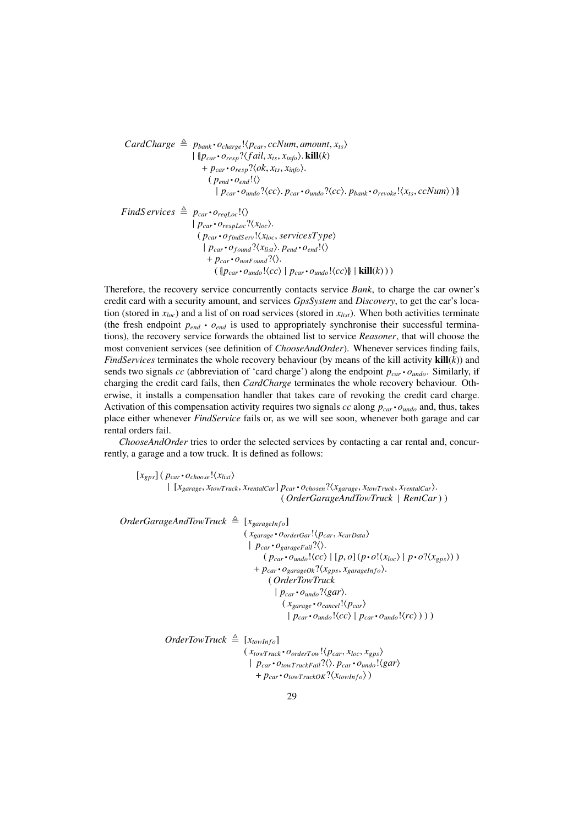$CardChange \triangleq p_{bank} \cdot o_{charge}! \langle p_{car}, ccNum, amount, x_{ts} \rangle$  $| \{\mathbf{p}_{car} \cdot \mathbf{o}_{resp}$ ? $\langle fail, x_{ts}, x_{info}\rangle$ . kill $(k)$  $+ p_{car} \cdot o_{resp}$ ? $\langle ok, x_{ts}, x_{info} \rangle$ .  $(p_{end} \cdot q_{end}! \langle \rangle$  $\{p_{car} \cdot o_{undo} ? \langle cc \rangle. p_{car} \cdot o_{undo} ? \langle cc \rangle. p_{bank} \cdot o_{revoke} ! \langle x_{ts}, ccNum \rangle) \}$ *FindS ervices*  $\triangleq p_{car} \cdot o_{real,oc}$ ! $\langle \rangle$  $| p_{car} \cdot o_{respLoc}$ ? $\langle x_{loc} \rangle$ .  $(p_{car} \cdot o_{findServ}! \langle x_{loc},$  *servicesType* $\rangle$  $\vert$   $p_{car} \cdot o_{found}?\langle x_{list} \rangle$ .  $p_{end} \cdot o_{end}!\langle \rangle$ 

 $+ p_{car} \cdot o_{notFound}$ ? $\langle \rangle$ .

Therefore, the recovery service concurrently contacts service *Bank*, to charge the car owner's credit card with a security amount, and services *GpsSystem* and *Discovery*, to get the car's location (stored in  $x_{loc}$ ) and a list of on road services (stored in  $x_{list}$ ). When both activities terminate (the fresh endpoint  $p_{end} \cdot o_{end}$  is used to appropriately synchronise their successful terminations), the recovery service forwards the obtained list to service *Reasoner*, that will choose the most convenient services (see definition of *ChooseAndOrder*). Whenever services finding fails, *FindServices* terminates the whole recovery behaviour (by means of the kill activity  $\textbf{kill}(k)$ ) and sends two signals *cc* (abbreviation of 'card charge') along the endpoint *pcar* • *oundo*. Similarly, if charging the credit card fails, then *CardCharge* terminates the whole recovery behaviour. Otherwise, it installs a compensation handler that takes care of revoking the credit card charge. Activation of this compensation activity requires two signals *cc* along *pcar* • *oundo* and, thus, takes place either whenever *FindService* fails or, as we will see soon, whenever both garage and car rental orders fail.

 $({\vert p_{car} \cdot o_{undo}! \langle cc \rangle \vert p_{car} \cdot o_{undo}! \langle cc \rangle} \vert \mathbf{kill}(k)))$ 

*ChooseAndOrder* tries to order the selected services by contacting a car rental and, concurrently, a garage and a tow truck. It is defined as follows:

 $[x_{qps}]$  ( $p_{car} \cdot o_{choose} \langle x_{list} \rangle$ |  $[x<sub>garage</sub>, x<sub>tow</sub> T<sub>ruck</sub>, x<sub>rentalCar</sub>] p<sub>car</sub> • o<sub>chosen</sub>?$  $(x<sub>garage</sub>, x<sub>tow</sub> T<sub>ruck</sub>, x<sub>rentalCar</sub>).$ ( *OrderGarageAndTowTruck* | *RentCar*) )

 $OrderGarageAndTowTruck \triangleq [x_{garageInfo}]$  $(X_{\text{garage}} \cdot O_{\text{orderGar}}! \langle p_{\text{car}}, X_{\text{carData}} \rangle)$  $| p_{car} \cdot o_{\text{garageFall}} ? \langle \rangle.$  $(p_{car} \cdot o_{undo}! \langle cc \rangle | [p, o] (p \cdot o! \langle x_{loc} \rangle | p \cdot o? \langle x_{gas} \rangle))$  $+ p_{car} \cdot o_{garageOk} ? \langle x_{gps}, x_{garageInfo} \rangle.$ ( *OrderTowTruck*  $| p_{car} \cdot o_{undo} ? \langle gar \rangle$ .  $(x_{\text{garage}} \cdot o_{\text{cancel}}! \langle p_{\text{car}} \rangle)$  $\vert p_{car} \cdot o_{undo}! \langle cc \rangle \vert p_{car} \cdot o_{undo}! \langle rc \rangle) )$  $OrderTowTruck \triangleq [x_{towInfo}]$ 

> $(X_{towTruck} \cdot O_{orderTow}! \langle p_{car}, x_{loc}, x_{pns} \rangle)$  $\langle \rho_{car} \cdot \rho_{towTruckFall}?\langle \rangle$ .  $\rho_{car} \cdot \rho_{undo}!\langle gar \rangle$  $+$   $p_{car}$  •  $o_{towTruckOK}$  ? $\langle x_{towInfo} \rangle$  )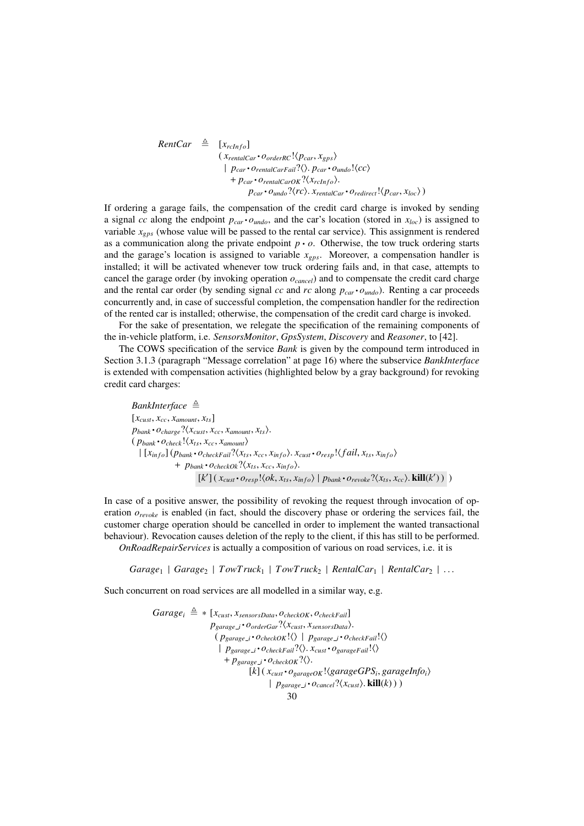$RentCar \triangleq [x_{rclnfo}]$  $(x_{\text{rentalCar}} \cdot O_{\text{orderRC}}! \langle p_{\text{car}}, x_{\text{e} \text{ps}} \rangle)$  $\langle \rho_{car} \cdot \rho_{rentalCarFail} \rangle \langle \rangle$ ,  $\rho_{car} \cdot \rho_{undo} \langle \langle cc \rangle$  $+ p_{car} \cdot o_{rentalCarOK} ? \langle x_{rclnfo} \rangle.$  $p_{car} \cdot o_{undo}$ ? $\langle rc \rangle$ .  $x_{rentalCar} \cdot o_{redirect}! \langle p_{car}, x_{loc} \rangle$ )

If ordering a garage fails, the compensation of the credit card charge is invoked by sending a signal *cc* along the endpoint  $p_{car} \cdot o_{undo}$ , and the car's location (stored in  $x_{loc}$ ) is assigned to variable *xgps* (whose value will be passed to the rental car service). This assignment is rendered as a communication along the private endpoint  $p \cdot o$ . Otherwise, the tow truck ordering starts and the garage's location is assigned to variable *xgps*. Moreover, a compensation handler is installed; it will be activated whenever tow truck ordering fails and, in that case, attempts to cancel the garage order (by invoking operation *ocancel*) and to compensate the credit card charge and the rental car order (by sending signal *cc* and *rc* along *pcar* • *oundo*). Renting a car proceeds concurrently and, in case of successful completion, the compensation handler for the redirection of the rented car is installed; otherwise, the compensation of the credit card charge is invoked.

For the sake of presentation, we relegate the specification of the remaining components of the in-vehicle platform, i.e. *SensorsMonitor*, *GpsSystem*, *Discovery* and *Reasoner*, to [42].

The COWS specification of the service *Bank* is given by the compound term introduced in Section 3.1.3 (paragraph "Message correlation" at page 16) where the subservice *BankInterface* is extended with compensation activities (highlighted below by a gray background) for revoking credit card charges:

*BankInterface*  $\triangleq$  $[x_{\text{cust}}, x_{\text{cc}}, x_{\text{amount}}, x_{\text{ts}}]$  $p_{bank} \cdot o_{charge}$ ? $\langle x_{cust}, x_{cc}, x_{amount}, x_{ts} \rangle$ .  $(p_{bank} \cdot o_{check}! \langle x_{ts}, x_{cc}, x_{amount})$  $\left[\left[x_{info}\right](p_{bank} \cdot o_{checkFall}?\langle x_{ts}, x_{cc}, x_{info}\rangle, x_{cust} \cdot o_{resp}!\langle fail, x_{ts}, x_{info}\rangle\right]$  $+$  *p*<sub>bank</sub> • *O*<sub>checkOk</sub>? $\langle X_{ts}, X_{cc}, X_{info} \rangle$ .  $[k']$  ( $x_{cust} \cdot o_{resp}! \langle ok, x_{ts}, x_{info} \rangle \mid p_{bank} \cdot o_{revoke}? \langle x_{ts}, x_{cc} \rangle$ . kill $(k')$ ))

In case of a positive answer, the possibility of revoking the request through invocation of operation *orevoke* is enabled (in fact, should the discovery phase or ordering the services fail, the customer charge operation should be cancelled in order to implement the wanted transactional behaviour). Revocation causes deletion of the reply to the client, if this has still to be performed.

*OnRoadRepairServices* is actually a composition of various on road services, i.e. it is

 $G\{G\}$  |  $G\{G\}$  |  $T\{G\}$  |  $T\{C\}$  |  $T\{C\}$  |  $T\{C\}$  |  $R\{C\}$  |  $R\{C\}$  |  $C\{C\}$  | ...

Such concurrent on road services are all modelled in a similar way, e.g.

 $Garage_i \triangleq * [x_{\text{cuts}}, x_{\text{sensor}}$  $p_{\text{garage}\_\text{i}} \cdot o_{\text{orderGar}}? \langle x_{\text{cust}}, x_{\text{sensor}} \rangle.$  $(p_{\text{garage}\_\text{i}} \cdot o_{\text{checkOK}}! \langle \rangle \mid p_{\text{garage}\_\text{i}} \cdot o_{\text{check$ *Fail* $! $\langle \rangle$$  $| p_{\text{garage}\_\text{i}} \cdot o_{\text{check$ *Fail* $? $\langle \rangle$ .  $x_{\text{cust}} \cdot o_{\text{garage}\text{fail}} \rangle$$ +  $p_{\text{garage}\_\text{i}} \cdot o_{\text{checkOK}} ? \langle \rangle$ .  $[k]$  ( $x_{\text{cut}} \cdot o_{\text{garageOK}}$ ! $\langle \text{garageGPS}_i, \text{garageInfo}_i \rangle$ <br>  $\downarrow n \rightarrow 2$   $\langle x \rangle$   $\downarrow$   $\downarrow$ **ll** $(k)$ )  $\mid p_{\text{garage}\_\text{i}} \cdot o_{\text{cancel}}? \langle x_{\text{cust}} \rangle$ . kill $(k)$ ) ) 30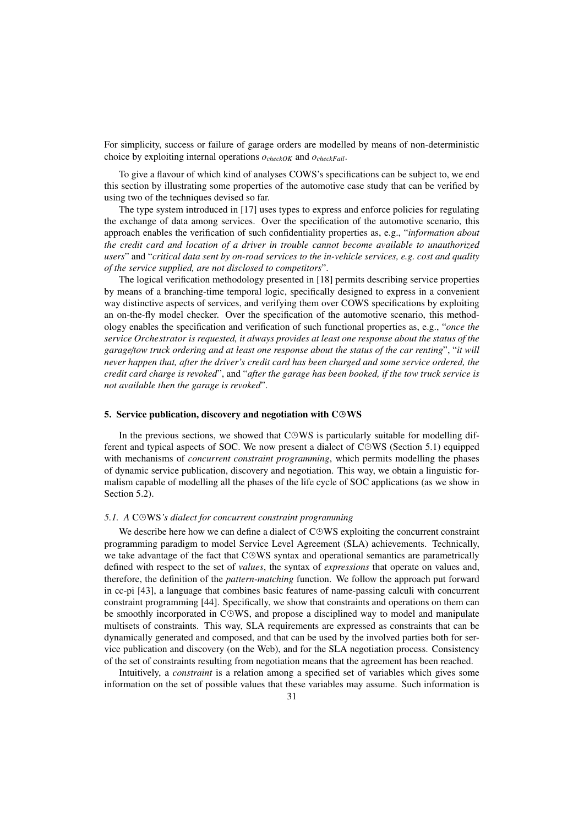For simplicity, success or failure of garage orders are modelled by means of non-deterministic choice by exploiting internal operations *ocheckOK* and *ocheckFail*.

To give a flavour of which kind of analyses COWS's specifications can be subject to, we end this section by illustrating some properties of the automotive case study that can be verified by using two of the techniques devised so far.

The type system introduced in [17] uses types to express and enforce policies for regulating the exchange of data among services. Over the specification of the automotive scenario, this approach enables the verification of such confidentiality properties as, e.g., "*information about the credit card and location of a driver in trouble cannot become available to unauthorized users*" and "*critical data sent by on-road services to the in-vehicle services, e.g. cost and quality of the service supplied, are not disclosed to competitors*".

The logical verification methodology presented in [18] permits describing service properties by means of a branching-time temporal logic, specifically designed to express in a convenient way distinctive aspects of services, and verifying them over COWS specifications by exploiting an on-the-fly model checker. Over the specification of the automotive scenario, this methodology enables the specification and verification of such functional properties as, e.g., "*once the service Orchestrator is requested, it always provides at least one response about the status of the garage*/*tow truck ordering and at least one response about the status of the car renting*", "*it will never happen that, after the driver's credit card has been charged and some service ordered, the credit card charge is revoked*", and "*after the garage has been booked, if the tow truck service is not available then the garage is revoked*".

## 5. Service publication, discovery and negotiation with COWS

In the previous sections, we showed that  $C@WS$  is particularly suitable for modelling different and typical aspects of SOC. We now present a dialect of  $C@WS$  (Section 5.1) equipped with mechanisms of *concurrent constraint programming*, which permits modelling the phases of dynamic service publication, discovery and negotiation. This way, we obtain a linguistic formalism capable of modelling all the phases of the life cycle of SOC applications (as we show in Section 5.2).

## *5.1. A* <sup>C</sup>WS*'s dialect for concurrent constraint programming*

We describe here how we can define a dialect of COWS exploiting the concurrent constraint programming paradigm to model Service Level Agreement (SLA) achievements. Technically, we take advantage of the fact that COWS syntax and operational semantics are parametrically defined with respect to the set of *values*, the syntax of *expressions* that operate on values and, therefore, the definition of the *pattern-matching* function. We follow the approach put forward in cc-pi [43], a language that combines basic features of name-passing calculi with concurrent constraint programming [44]. Specifically, we show that constraints and operations on them can be smoothly incorporated in COWS, and propose a disciplined way to model and manipulate multisets of constraints. This way, SLA requirements are expressed as constraints that can be dynamically generated and composed, and that can be used by the involved parties both for service publication and discovery (on the Web), and for the SLA negotiation process. Consistency of the set of constraints resulting from negotiation means that the agreement has been reached.

Intuitively, a *constraint* is a relation among a specified set of variables which gives some information on the set of possible values that these variables may assume. Such information is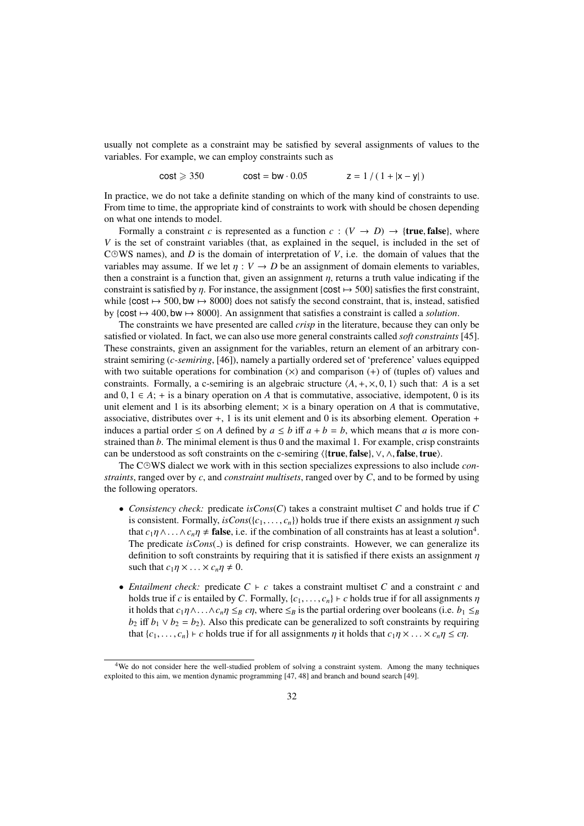usually not complete as a constraint may be satisfied by several assignments of values to the variables. For example, we can employ constraints such as

$$
\cos t \ge 350
$$
 \n $\csc t = b w \cdot 0.05$  \n $z = 1 / (1 + |x - y|)$ 

In practice, we do not take a definite standing on which of the many kind of constraints to use. From time to time, the appropriate kind of constraints to work with should be chosen depending on what one intends to model.

Formally a constraint *c* is represented as a function  $c : (V \rightarrow D) \rightarrow \{true, false\}$ , where *V* is the set of constraint variables (that, as explained in the sequel, is included in the set of <sup>C</sup>WS names), and *<sup>D</sup>* is the domain of interpretation of *<sup>V</sup>*, i.e. the domain of values that the variables may assume. If we let  $\eta : V \to D$  be an assignment of domain elements to variables, then a constraint is a function that, given an assignment  $\eta$ , returns a truth value indicating if the constraint is satisfied by  $\eta$ . For instance, the assignment {cost  $\mapsto$  500} satisfies the first constraint, while { $\cos t \rightarrow 500$ , bw  $\rightarrow 8000$ } does not satisfy the second constraint, that is, instead, satisfied by {cost  $\mapsto$  400, bw  $\mapsto$  8000}. An assignment that satisfies a constraint is called a *solution*.

The constraints we have presented are called *crisp* in the literature, because they can only be satisfied or violated. In fact, we can also use more general constraints called *soft constraints* [45]. These constraints, given an assignment for the variables, return an element of an arbitrary constraint semiring (*c-semiring*, [46]), namely a partially ordered set of 'preference' values equipped with two suitable operations for combination  $(x)$  and comparison  $(+)$  of (tuples of) values and constraints. Formally, a c-semiring is an algebraic structure  $\langle A, +, \times, 0, 1 \rangle$  such that: *A* is a set and  $0, 1 \in A$ ; + is a binary operation on *A* that is commutative, associative, idempotent, 0 is its unit element and 1 is its absorbing element;  $\times$  is a binary operation on A that is commutative, associative, distributes over  $+$ , 1 is its unit element and 0 is its absorbing element. Operation  $+$ induces a partial order ≤ on *A* defined by *a* ≤ *b* iff *a* + *b* = *b*, which means that *a* is more constrained than *b*. The minimal element is thus 0 and the maximal 1. For example, crisp constraints can be understood as soft constraints on the c-semiring  $\langle \{true, false\}, \vee, \wedge, false, true \rangle$ .

The CWS dialect we work with in this section specializes expressions to also include *constraints*, ranged over by *c*, and *constraint multisets*, ranged over by *C*, and to be formed by using the following operators.

- *Consistency check:* predicate *isCons*(*C*) takes a constraint multiset *C* and holds true if *C* is consistent. Formally,  $isCons({c_1},...,c_n)$  holds true if there exists an assignment  $\eta$  such that  $c_1\eta \wedge \ldots \wedge c_n\eta \neq \mathbf{false}$ , i.e. if the combination of all constraints has at least a solution<sup>4</sup>.<br>The predicate *is Cons*() is defined for crisp constraints. However, we can generalize its The predicate *isCons*( ) is defined for crisp constraints. However, we can generalize its definition to soft constraints by requiring that it is satisfied if there exists an assignment  $\eta$ such that  $c_1 \eta \times \ldots \times c_n \eta \neq 0$ .
- *Entailment check:* predicate  $C \vdash c$  takes a constraint multiset C and a constraint c and holds true if *c* is entailed by *C*. Formally,  $\{c_1, \ldots, c_n\} \vdash c$  holds true if for all assignments  $\eta$ it holds that  $c_1 \eta \wedge \ldots \wedge c_n \eta \leq_B c\eta$ , where  $\leq_B$  is the partial ordering over booleans (i.e.  $b_1 \leq_B$ *b*<sub>2</sub> iff *b*<sub>1</sub> ∨ *b*<sub>2</sub> = *b*<sub>2</sub>). Also this predicate can be generalized to soft constraints by requiring that  $\{c_1, \ldots, c_n\} \in c$  holds true if for all assignments  $\eta$  it holds that  $c_1 \eta \times \ldots \times c_n \eta \leq c \eta$ .

<sup>&</sup>lt;sup>4</sup>We do not consider here the well-studied problem of solving a constraint system. Among the many techniques exploited to this aim, we mention dynamic programming [47, 48] and branch and bound search [49].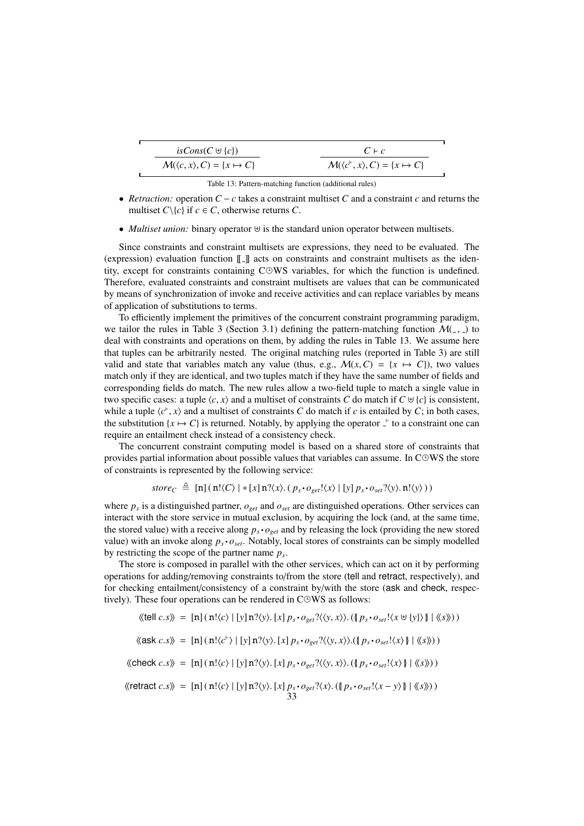| $isCons(C \cup \{c\})$                                   | $C \vdash c$                                                      |
|----------------------------------------------------------|-------------------------------------------------------------------|
| $\mathcal{M}(\langle c, x \rangle, C) = \{x \mapsto C\}$ | $\mathcal{M}(\langle c^{\vdash}, x \rangle, C) = \{x \mapsto C\}$ |

Table 13: Pattern-matching function (additional rules)

- *Retraction:* operation *C* − *c* takes a constraint multiset *C* and a constraint *c* and returns the multiset  $C \setminus \{c\}$  if  $c \in C$ , otherwise returns  $C$ .
- *Multiset union:* binary operator  $\forall$  is the standard union operator between multisets.

Since constraints and constraint multisets are expressions, they need to be evaluated. The (expression) evaluation function  $\llbracket \cdot \rrbracket$  acts on constraints and constraint multisets as the identity, except for constraints containing CWS variables, for which the function is undefined. Therefore, evaluated constraints and constraint multisets are values that can be communicated by means of synchronization of invoke and receive activities and can replace variables by means of application of substitutions to terms.

To efficiently implement the primitives of the concurrent constraint programming paradigm, we tailor the rules in Table 3 (Section 3.1) defining the pattern-matching function  $\mathcal{M}(\alpha, \beta)$  to deal with constraints and operations on them, by adding the rules in Table 13. We assume here that tuples can be arbitrarily nested. The original matching rules (reported in Table 3) are still valid and state that variables match any value (thus, e.g.,  $\mathcal{M}(x, C) = \{x \mapsto C\}$ ), two values match only if they are identical, and two tuples match if they have the same number of fields and corresponding fields do match. The new rules allow a two-field tuple to match a single value in two specific cases: a tuple  $\langle c, x \rangle$  and a multiset of constraints *C* do match if  $C \cup \{c\}$  is consistent, while a tuple  $\langle c^+, x \rangle$  and a multiset of constraints *C* do match if *c* is entailed by *C*; in both cases, the substitution  $\{x \mapsto C\}$  is returned. Notably, by applying the operator  $\mathbb{F}$  to a constraint one can the substitution  $\{x \mapsto C\}$  is returned. Notably, by applying the operator  $\overline{\ }$  to a constraint one can require an entailment check instead of a consistency check.

The concurrent constraint computing model is based on a shared store of constraints that provides partial information about possible values that variables can assume. In CWS the store of constraints is represented by the following service:

 $store_C \triangleq [\mathbf{n}] (\mathbf{n}! \langle C \rangle | * [x] \mathbf{n} ? \langle x \rangle. ( p_s \cdot o_{gel}! \langle x \rangle | [y] p_s \cdot o_{set}? \langle y \rangle. \mathbf{n}! \langle y \rangle))$ 

where  $p_s$  is a distinguished partner,  $o_{get}$  and  $o_{set}$  are distinguished operations. Other services can interact with the store service in mutual exclusion, by acquiring the lock (and, at the same time, the stored value) with a receive along  $p_s \cdot o_{get}$  and by releasing the lock (providing the new stored value) with an invoke along *p<sup>s</sup>* • *oset*. Notably, local stores of constraints can be simply modelled by restricting the scope of the partner name *p<sup>s</sup>* .

The store is composed in parallel with the other services, which can act on it by performing operations for adding/removing constraints to/from the store (tell and retract, respectively), and for checking entailment/consistency of a constraint by/with the store (ask and check, respectively). These four operations can be rendered in COWS as follows:

 $\langle\langle \text{tell } c.s \rangle\rangle = [\text{n}] (\text{n}! \langle c \rangle | [y] \text{n}?\langle y \rangle, [x] p_s \cdot o_{get}?\langle \langle y, x \rangle\rangle. (\|p_s \cdot o_{set}! \langle x \uplus \{y\} \rangle \| | \langle \langle s \rangle \rangle))$ 

$$
\langle\langle \text{ask } c.s \rangle\rangle = [n] \left( n! \langle c^{\dagger} \rangle \mid [y] n? \langle y \rangle, [x] p_s \cdot o_{get} ? \langle \langle y, x \rangle \rangle . (\nparallel p_s \cdot o_{set}! \langle x \rangle) \mid \langle \langle s \rangle \rangle) \right)
$$

 $\langle \langle \text{check } c.s \rangle \rangle = [\textbf{n}] (\textbf{n}! \langle c \rangle | [\textbf{y}] \textbf{n} ? \langle \textbf{y} \rangle, [\textbf{x}] p_s \cdot o_{get} ? \langle \langle \textbf{y}, \textbf{x} \rangle \rangle. (\| p_s \cdot o_{set}! \langle \textbf{x} \rangle \| | \langle \textbf{s} \rangle \rangle))$ 

 $\langle \text{fretract } c.s \rangle = [\mathbf{n}] (\mathbf{n}! \langle c \rangle | [\mathbf{y}] \mathbf{n} ? \langle \mathbf{y} \rangle, [\mathbf{x}] p_s \cdot o_{get} ? \langle \mathbf{x} \rangle. (\| p_s \cdot o_{set} ! \langle \mathbf{x} - \mathbf{y} \rangle \| | \langle \mathbf{s} \rangle \rangle))$ 33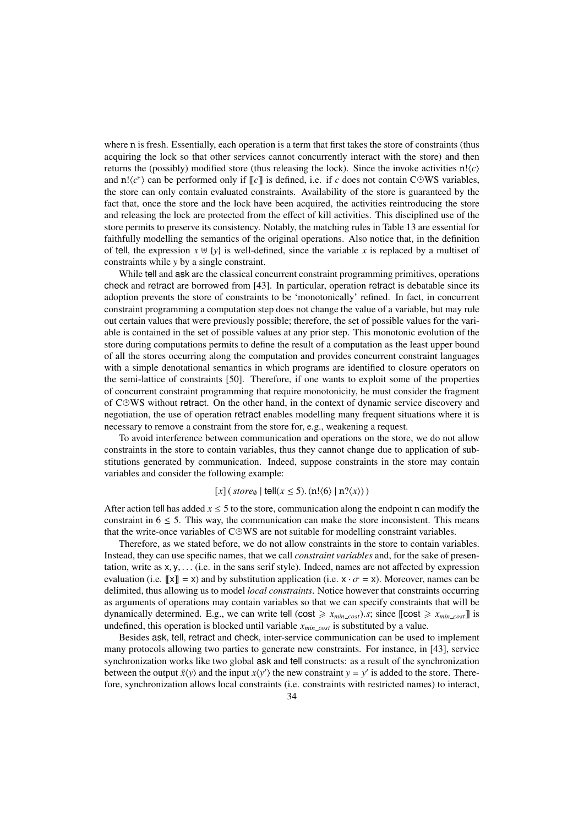where n is fresh. Essentially, each operation is a term that first takes the store of constraints (thus acquiring the lock so that other services cannot concurrently interact with the store) and then returns the (possibly) modified store (thus releasing the lock). Since the invoke activities  $n! \langle c \rangle$ and  $n! \langle c^+ \rangle$  can be performed only if  $[[c]]$  is defined, i.e. if *c* does not contain COWS variables, the store can only contain evaluated constraints. Availability of the store is guaranteed by the fact that, once the store and the lock have been acquired, the activities reintroducing the store and releasing the lock are protected from the effect of kill activities. This disciplined use of the store permits to preserve its consistency. Notably, the matching rules in Table 13 are essential for faithfully modelling the semantics of the original operations. Also notice that, in the definition of tell, the expression  $x \notin \{y\}$  is well-defined, since the variable x is replaced by a multiset of constraints while *y* by a single constraint.

While tell and ask are the classical concurrent constraint programming primitives, operations check and retract are borrowed from [43]. In particular, operation retract is debatable since its adoption prevents the store of constraints to be 'monotonically' refined. In fact, in concurrent constraint programming a computation step does not change the value of a variable, but may rule out certain values that were previously possible; therefore, the set of possible values for the variable is contained in the set of possible values at any prior step. This monotonic evolution of the store during computations permits to define the result of a computation as the least upper bound of all the stores occurring along the computation and provides concurrent constraint languages with a simple denotational semantics in which programs are identified to closure operators on the semi-lattice of constraints [50]. Therefore, if one wants to exploit some of the properties of concurrent constraint programming that require monotonicity, he must consider the fragment of CWS without retract. On the other hand, in the context of dynamic service discovery and negotiation, the use of operation retract enables modelling many frequent situations where it is necessary to remove a constraint from the store for, e.g., weakening a request.

To avoid interference between communication and operations on the store, we do not allow constraints in the store to contain variables, thus they cannot change due to application of substitutions generated by communication. Indeed, suppose constraints in the store may contain variables and consider the following example:

$$
[x] \, (\mathit{store}_{\emptyset} \mid \mathsf{tell}(x \le 5), (\mathsf{n!}\langle 6 \rangle \mid \mathsf{n?}\langle x \rangle))
$$

After action tell has added  $x \le 5$  to the store, communication along the endpoint n can modify the constraint in  $6 \leq 5$ . This way, the communication can make the store inconsistent. This means that the write-once variables of COWS are not suitable for modelling constraint variables.

Therefore, as we stated before, we do not allow constraints in the store to contain variables. Instead, they can use specific names, that we call *constraint variables* and, for the sake of presentation, write as  $x, y, \ldots$  (i.e. in the sans serif style). Indeed, names are not affected by expression evaluation (i.e.  $||x|| = x$ ) and by substitution application (i.e.  $x \cdot \sigma = x$ ). Moreover, names can be delimited, thus allowing us to model *local constraints*. Notice however that constraints occurring as arguments of operations may contain variables so that we can specify constraints that will be dynamically determined. E.g., we can write tell (cost  $\geq x_{min\_cost}$ ). *s*; since [[cost  $\geq x_{min\_cost}$ ]] is undefined, this operation is blocked until variable  $x_{min\_cost}$  is substituted by a value.

Besides ask, tell, retract and check, inter-service communication can be used to implement many protocols allowing two parties to generate new constraints. For instance, in [43], service synchronization works like two global ask and tell constructs: as a result of the synchronization between the output  $\bar{x}$ <sup>n</sup> $\chi$ <sup>*y*</sup>) and the input  $x$ <sup>n</sup> $\chi$ <sup>*i*</sup> the new constraint  $y = y'$  is added to the store. Therefore, synchronization allows local constraints (i.e. constraints with restricted names) to interact,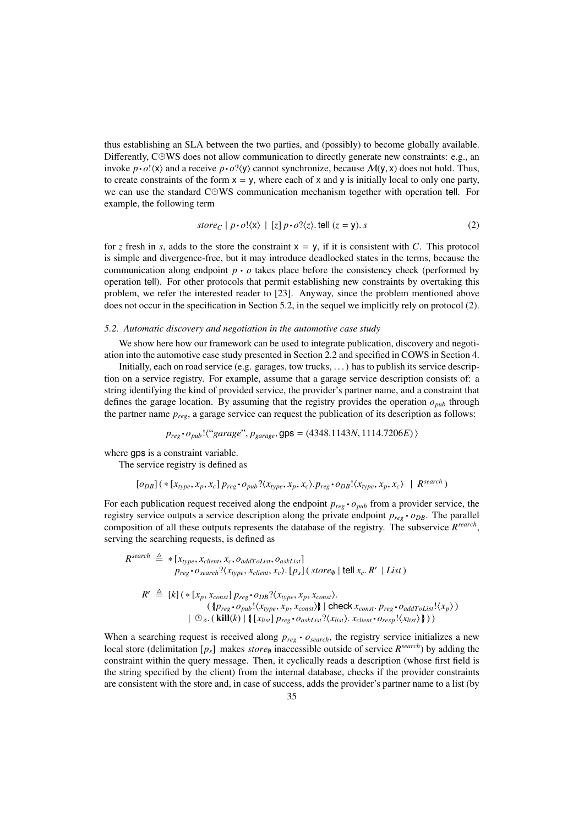thus establishing an SLA between the two parties, and (possibly) to become globally available. Differently, COWS does not allow communication to directly generate new constraints: e.g., an invoke *p*• $o!$ (x) and a receive *p*• $o?$ (y) cannot synchronize, because M(y, x) does not hold. Thus, to create constraints of the form  $x = y$ , where each of x and y is initially local to only one party, we can use the standard CWS communication mechanism together with operation tell. For example, the following term

$$
store_C | p \cdot o! \langle x \rangle | [z] p \cdot o? \langle z \rangle. \text{ tell } (z = y). s
$$
 (2)

for *z* fresh in *s*, adds to the store the constraint  $x = y$ , if it is consistent with *C*. This protocol is simple and divergence-free, but it may introduce deadlocked states in the terms, because the communication along endpoint  $p \cdot o$  takes place before the consistency check (performed by operation tell). For other protocols that permit establishing new constraints by overtaking this problem, we refer the interested reader to [23]. Anyway, since the problem mentioned above does not occur in the specification in Section 5.2, in the sequel we implicitly rely on protocol (2).

## *5.2. Automatic discovery and negotiation in the automotive case study*

We show here how our framework can be used to integrate publication, discovery and negotiation into the automotive case study presented in Section 2.2 and specified in COWS in Section 4.

Initially, each on road service (e.g. garages, tow trucks, . . . ) has to publish its service description on a service registry. For example, assume that a garage service description consists of: a string identifying the kind of provided service, the provider's partner name, and a constraint that defines the garage location. By assuming that the registry provides the operation *opub* through the partner name *preg*, a garage service can request the publication of its description as follows:

$$
p_{reg} \cdot o_{pub}! \langle "garage", p_{garage}, \text{QPS} = (4348.1143N, 1114.7206E) \rangle
$$

where gps is a constraint variable.

The service registry is defined as

$$
[o_{DB}] (\ast [x_{type}, x_p, x_c] p_{reg} \cdot o_{pub}?\langle x_{type}, x_p, x_c \rangle \cdot p_{reg} \cdot o_{DB}!\langle x_{type}, x_p, x_c \rangle | R^{search})
$$

For each publication request received along the endpoint *preg* • *opub* from a provider service, the registry service outputs a service description along the private endpoint  $p_{reg} \cdot o_{DB}$ . The parallel composition of all these outputs represents the database of the registry. The subservice  $R^{search}$ , serving the searching requests, is defined as

$$
R^{search} \triangleq * [x_{type}, x_{client}, x_c, O_{addToList}, O_{askList}]
$$
\n
$$
p_{reg} \cdot o_{search}?\langle x_{type}, x_{client}, x_c \rangle. [p_s] \, ( \text{store}_0 \mid \text{tell } x_c. R' \mid List )
$$
\n
$$
R' \triangleq [k] \, (* [x_p, x_{const}] \, p_{reg} \cdot o_{DB}?\langle x_{type}, x_p, x_{const} \rangle.
$$
\n
$$
(\{p_{reg} \cdot o_{pub}! \langle x_{type}, x_p, x_{const} \rangle) \mid \text{Check } x_{const}. p_{reg} \cdot o_{addToList}! \langle x_p \rangle )
$$
\n
$$
| \, \, \odot_{\delta}. \, (kill(k) \mid \{[x_{list}] \, p_{reg} \cdot o_{askList}?\langle x_{list} \rangle. x_{client} \cdot o_{resp}! \langle x_{list} \rangle \, \| \, ) )
$$

When a searching request is received along  $p_{reg} \cdot o_{search}$ , the registry service initializes a new local store (delimitation  $[p_s]$  makes *store*<sub> $emptyset$ </sub> inaccessible outside of service  $R^{search}$ ) by adding the constraint within the query message. Then, it cyclically reads a description (whose first field is the string specified by the client) from the internal database, checks if the provider constraints are consistent with the store and, in case of success, adds the provider's partner name to a list (by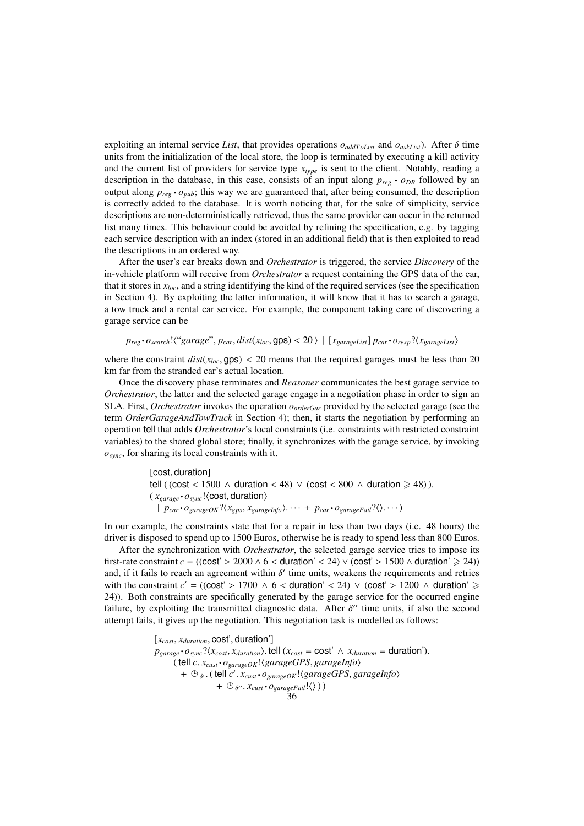exploiting an internal service *List*, that provides operations  $o_{addTolist}$  and  $o_{askList}$ ). After  $\delta$  time units from the initialization of the local store, the loop is terminated by executing a kill activity and the current list of providers for service type *xtype* is sent to the client. Notably, reading a description in the database, in this case, consists of an input along  $p_{reg} \cdot o_{DB}$  followed by an output along  $p_{reg} \cdot o_{pub}$ ; this way we are guaranteed that, after being consumed, the description is correctly added to the database. It is worth noticing that, for the sake of simplicity, service descriptions are non-deterministically retrieved, thus the same provider can occur in the returned list many times. This behaviour could be avoided by refining the specification, e.g. by tagging each service description with an index (stored in an additional field) that is then exploited to read the descriptions in an ordered way.

After the user's car breaks down and *Orchestrator* is triggered, the service *Discovery* of the in-vehicle platform will receive from *Orchestrator* a request containing the GPS data of the car, that it stores in  $x_{loc}$ , and a string identifying the kind of the required services (see the specification in Section 4). By exploiting the latter information, it will know that it has to search a garage, a tow truck and a rental car service. For example, the component taking care of discovering a garage service can be

 $p_{reg} \cdot o_{search}! \langle "garage", p_{car}, dist(x_{loc}, gps) < 20 \rangle \mid [x_{garageList}] p_{car} \cdot o_{resp} ? \langle x_{garageList} \rangle$ 

where the constraint  $dist(x_{loc},$  gps)  $\lt$  20 means that the required garages must be less than 20 km far from the stranded car's actual location.

Once the discovery phase terminates and *Reasoner* communicates the best garage service to *Orchestrator*, the latter and the selected garage engage in a negotiation phase in order to sign an SLA. First, *Orchestrator* invokes the operation *oorderGar* provided by the selected garage (see the term *OrderGarageAndTowTruck* in Section 4); then, it starts the negotiation by performing an operation tell that adds *Orchestrator*'s local constraints (i.e. constraints with restricted constraint variables) to the shared global store; finally, it synchronizes with the garage service, by invoking *osync*, for sharing its local constraints with it.

> [cost, duration] tell ( (cost < 1500 ∧ duration < 48) ∨ (cost < 800 ∧ duration  $\geq 48$ )).  $(x_{\text{garage}} \cdot o_{\text{sync}}$ ! (cost, duration)  $| p_{car} \cdot o_{garageOK} \cdot ? \langle x_{gps}, x_{garageInfo} \rangle \cdots + p_{car} \cdot o_{garageFall} \cdot ? \langle \rangle \cdots)$

In our example, the constraints state that for a repair in less than two days (i.e. 48 hours) the driver is disposed to spend up to 1500 Euros, otherwise he is ready to spend less than 800 Euros.

After the synchronization with *Orchestrator*, the selected garage service tries to impose its first-rate constraint  $c = ((\cos t' > 2000 \land 6 < \text{duration'} < 24) \lor (\cos t' > 1500 \land \text{duration'} \geq 24))$ and, if it fails to reach an agreement within  $\delta'$  time units, weakens the requirements and retries with the constraint  $c' = ((\cos t) \times 1700 \land 6 \times \text{duration})^2 \times 24) \lor (\cos t) \times 1200 \land \text{duration}^2 >$ with the constraint  $c' = ((\text{cost'} > 1700 \land 6 < \text{duration'} < 24) \lor (\text{cost'} > 1200 \land \text{duration'} \ge 24))$ . Both constraints are specifically generated by the garage service for the occurred engine 24)). Both constraints are specifically generated by the garage service for the occurred engine failure, by exploiting the transmitted diagnostic data. After  $\delta''$  time units, if also the second attempt fails it gives up the negotiation. This pegotiation task is modelled as follows: attempt fails, it gives up the negotiation. This negotiation task is modelled as follows:

> [*xcost*, *<sup>x</sup>duration*, cost', duration']  $p_{\text{garage}} \cdot o_{\text{sync}}$ ? $(x_{\text{cost}}, x_{\text{duration}})$ . tell ( $x_{\text{cost}} = \text{cost'} \land x_{\text{duration}} = \text{duration'}$ ).  $(\text{tell } c. x_{\text{cuts}} \cdot o_{\text{garageOK}}! \langle \text{garageGPS}, \text{garageInfo} \rangle)$ +  $\bigcirc_{\delta'}$ . (tell *c'*.  $x_{cust} \cdot o_{\text{garageOK}}$ !  $\langle \text{garageGPS}, \text{garageInfo} \rangle$ +  $\oplus$ <sub>δ''</sub>. *x*<sub>cust</sub> • *OgarageFail*!()))<br>36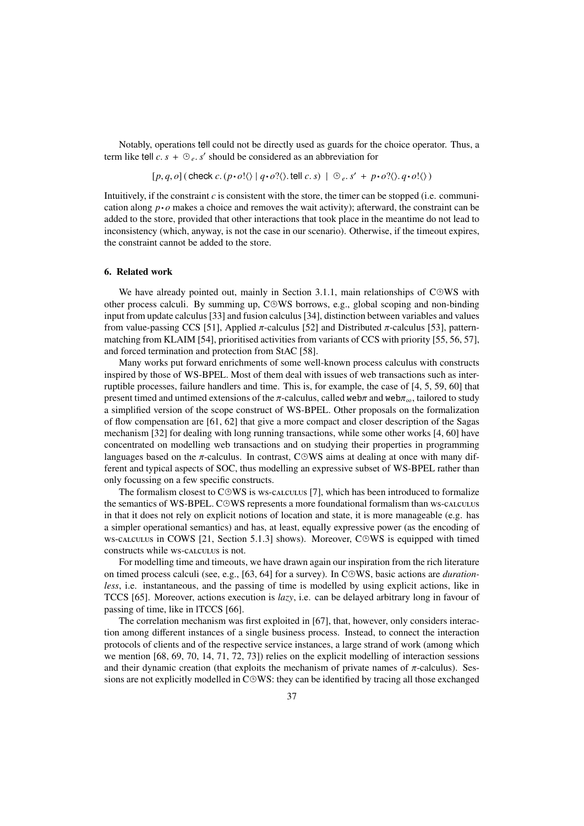Notably, operations tell could not be directly used as guards for the choice operator. Thus, a term like tell  $c \cdot s + \bigoplus_{e} s'$  should be considered as an abbreviation for

 $[p, q, o]$  ( check  $c$ .  $(p \cdot o! \langle \rangle \mid q \cdot o? \langle \rangle$  tell  $c. s)$   $| \oplus_{e} s' + p \cdot o? \langle \rangle q \cdot o! \langle \rangle$ )

Intuitively, if the constraint *c* is consistent with the store, the timer can be stopped (i.e. communication along *p*• *o* makes a choice and removes the wait activity); afterward, the constraint can be added to the store, provided that other interactions that took place in the meantime do not lead to inconsistency (which, anyway, is not the case in our scenario). Otherwise, if the timeout expires, the constraint cannot be added to the store.

## 6. Related work

We have already pointed out, mainly in Section 3.1.1, main relationships of  $\mathbb{C} \circ \mathbb{W} \mathbb{S}$  with other process calculi. By summing up, CWS borrows, e.g., global scoping and non-binding input from update calculus [33] and fusion calculus [34], distinction between variables and values from value-passing CCS [51], Applied π-calculus [52] and Distributed π-calculus [53], patternmatching from KLAIM [54], prioritised activities from variants of CCS with priority [55, 56, 57], and forced termination and protection from StAC [58].

Many works put forward enrichments of some well-known process calculus with constructs inspired by those of WS-BPEL. Most of them deal with issues of web transactions such as interruptible processes, failure handlers and time. This is, for example, the case of [4, 5, 59, 60] that present timed and untimed extensions of the  $\pi$ -calculus, called web $\pi$  and web $\pi_{\infty}$ , tailored to study a simplified version of the scope construct of WS-BPEL. Other proposals on the formalization of flow compensation are [61, 62] that give a more compact and closer description of the Sagas mechanism [32] for dealing with long running transactions, while some other works [4, 60] have concentrated on modelling web transactions and on studying their properties in programming languages based on the  $\pi$ -calculus. In contrast, COWS aims at dealing at once with many different and typical aspects of SOC, thus modelling an expressive subset of WS-BPEL rather than only focussing on a few specific constructs.

The formalism closest to  $\text{C}\odot\text{WS}$  is ws-calculus [7], which has been introduced to formalize the semantics of WS-BPEL. COWS represents a more foundational formalism than ws-calculus in that it does not rely on explicit notions of location and state, it is more manageable (e.g. has a simpler operational semantics) and has, at least, equally expressive power (as the encoding of ws-calculus in COWS  $[21, Section 5.1.3]$  shows). Moreover, COWS is equipped with timed constructs while ws-calculus is not.

For modelling time and timeouts, we have drawn again our inspiration from the rich literature on timed process calculi (see, e.g., [63, 64] for a survey). In CWS, basic actions are *durationless*, i.e. instantaneous, and the passing of time is modelled by using explicit actions, like in TCCS [65]. Moreover, actions execution is *lazy*, i.e. can be delayed arbitrary long in favour of passing of time, like in lTCCS [66].

The correlation mechanism was first exploited in [67], that, however, only considers interaction among different instances of a single business process. Instead, to connect the interaction protocols of clients and of the respective service instances, a large strand of work (among which we mention [68, 69, 70, 14, 71, 72, 73]) relies on the explicit modelling of interaction sessions and their dynamic creation (that exploits the mechanism of private names of  $\pi$ -calculus). Sessions are not explicitly modelled in CWS: they can be identified by tracing all those exchanged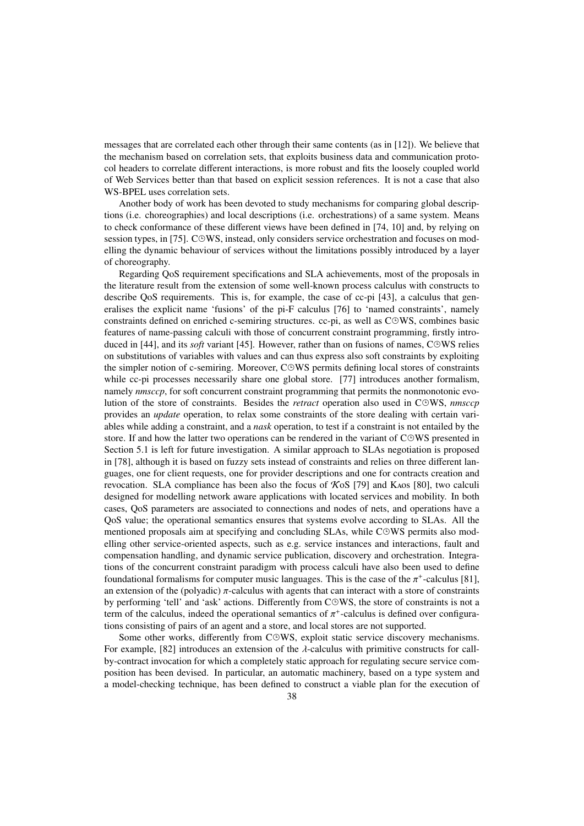messages that are correlated each other through their same contents (as in [12]). We believe that the mechanism based on correlation sets, that exploits business data and communication protocol headers to correlate different interactions, is more robust and fits the loosely coupled world of Web Services better than that based on explicit session references. It is not a case that also WS-BPEL uses correlation sets.

Another body of work has been devoted to study mechanisms for comparing global descriptions (i.e. choreographies) and local descriptions (i.e. orchestrations) of a same system. Means to check conformance of these different views have been defined in [74, 10] and, by relying on session types, in [75]. CWS, instead, only considers service orchestration and focuses on modelling the dynamic behaviour of services without the limitations possibly introduced by a layer of choreography.

Regarding QoS requirement specifications and SLA achievements, most of the proposals in the literature result from the extension of some well-known process calculus with constructs to describe QoS requirements. This is, for example, the case of cc-pi [43], a calculus that generalises the explicit name 'fusions' of the pi-F calculus [76] to 'named constraints', namely constraints defined on enriched c-semiring structures. cc-pi, as well as COWS, combines basic features of name-passing calculi with those of concurrent constraint programming, firstly introduced in [44], and its *soft* variant [45]. However, rather than on fusions of names, CWS relies on substitutions of variables with values and can thus express also soft constraints by exploiting the simpler notion of c-semiring. Moreover, CWS permits defining local stores of constraints while cc-pi processes necessarily share one global store. [77] introduces another formalism, namely *nmsccp*, for soft concurrent constraint programming that permits the nonmonotonic evolution of the store of constraints. Besides the *retract* operation also used in CWS, *nmsccp* provides an *update* operation, to relax some constraints of the store dealing with certain variables while adding a constraint, and a *nask* operation, to test if a constraint is not entailed by the store. If and how the latter two operations can be rendered in the variant of COWS presented in Section 5.1 is left for future investigation. A similar approach to SLAs negotiation is proposed in [78], although it is based on fuzzy sets instead of constraints and relies on three different languages, one for client requests, one for provider descriptions and one for contracts creation and revocation. SLA compliance has been also the focus of  $\mathcal{K}$  (5 [79] and KAOS [80], two calculi designed for modelling network aware applications with located services and mobility. In both cases, QoS parameters are associated to connections and nodes of nets, and operations have a QoS value; the operational semantics ensures that systems evolve according to SLAs. All the mentioned proposals aim at specifying and concluding SLAs, while  $C\oplus WS$  permits also modelling other service-oriented aspects, such as e.g. service instances and interactions, fault and compensation handling, and dynamic service publication, discovery and orchestration. Integrations of the concurrent constraint paradigm with process calculi have also been used to define foundational formalisms for computer music languages. This is the case of the  $\pi^+$ -calculus [81],<br>an extension of the (polyadic)  $\pi$ -calculus with agents that can interact with a store of constraints an extension of the (polyadic)  $\pi$ -calculus with agents that can interact with a store of constraints by performing 'tell' and 'ask' actions. Differently from CWS, the store of constraints is not a term of the calculus, indeed the operational semantics of  $\pi^+$ -calculus is defined over configurations consisting of pairs of an agent and a store, and local stores are not supported tions consisting of pairs of an agent and a store, and local stores are not supported.

Some other works, differently from COWS, exploit static service discovery mechanisms. For example,  $[82]$  introduces an extension of the  $\lambda$ -calculus with primitive constructs for callby-contract invocation for which a completely static approach for regulating secure service composition has been devised. In particular, an automatic machinery, based on a type system and a model-checking technique, has been defined to construct a viable plan for the execution of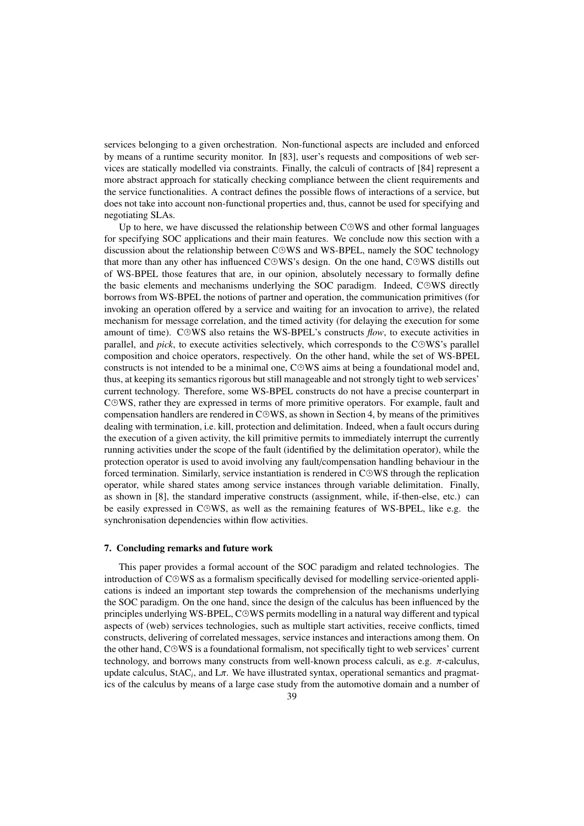services belonging to a given orchestration. Non-functional aspects are included and enforced by means of a runtime security monitor. In [83], user's requests and compositions of web services are statically modelled via constraints. Finally, the calculi of contracts of [84] represent a more abstract approach for statically checking compliance between the client requirements and the service functionalities. A contract defines the possible flows of interactions of a service, but does not take into account non-functional properties and, thus, cannot be used for specifying and negotiating SLAs.

Up to here, we have discussed the relationship between  $C\odot WS$  and other formal languages for specifying SOC applications and their main features. We conclude now this section with a discussion about the relationship between CWS and WS-BPEL, namely the SOC technology that more than any other has influenced COWS's design. On the one hand, COWS distills out of WS-BPEL those features that are, in our opinion, absolutely necessary to formally define the basic elements and mechanisms underlying the SOC paradigm. Indeed,  $C\oplus WS$  directly borrows from WS-BPEL the notions of partner and operation, the communication primitives (for invoking an operation offered by a service and waiting for an invocation to arrive), the related mechanism for message correlation, and the timed activity (for delaying the execution for some amount of time). CWS also retains the WS-BPEL's constructs *flow*, to execute activities in parallel, and *pick*, to execute activities selectively, which corresponds to the CWS's parallel composition and choice operators, respectively. On the other hand, while the set of WS-BPEL constructs is not intended to be a minimal one, CWS aims at being a foundational model and, thus, at keeping its semantics rigorous but still manageable and not strongly tight to web services' current technology. Therefore, some WS-BPEL constructs do not have a precise counterpart in <sup>C</sup>WS, rather they are expressed in terms of more primitive operators. For example, fault and compensation handlers are rendered in  $C@WS$ , as shown in Section 4, by means of the primitives dealing with termination, i.e. kill, protection and delimitation. Indeed, when a fault occurs during the execution of a given activity, the kill primitive permits to immediately interrupt the currently running activities under the scope of the fault (identified by the delimitation operator), while the protection operator is used to avoid involving any fault/compensation handling behaviour in the forced termination. Similarly, service instantiation is rendered in CWS through the replication operator, while shared states among service instances through variable delimitation. Finally, as shown in [8], the standard imperative constructs (assignment, while, if-then-else, etc.) can be easily expressed in CWS, as well as the remaining features of WS-BPEL, like e.g. the synchronisation dependencies within flow activities.

#### 7. Concluding remarks and future work

This paper provides a formal account of the SOC paradigm and related technologies. The introduction of CWS as a formalism specifically devised for modelling service-oriented applications is indeed an important step towards the comprehension of the mechanisms underlying the SOC paradigm. On the one hand, since the design of the calculus has been influenced by the principles underlying WS-BPEL, COWS permits modelling in a natural way different and typical aspects of (web) services technologies, such as multiple start activities, receive conflicts, timed constructs, delivering of correlated messages, service instances and interactions among them. On the other hand, CWS is a foundational formalism, not specifically tight to web services' current technology, and borrows many constructs from well-known process calculi, as e.g.  $\pi$ -calculus, update calculus,  $\text{StAC}_i$ , and  $\text{L}\pi$ . We have illustrated syntax, operational semantics and pragmat-<br>ics of the calculus by means of a large case study from the automotive domain and a number of ics of the calculus by means of a large case study from the automotive domain and a number of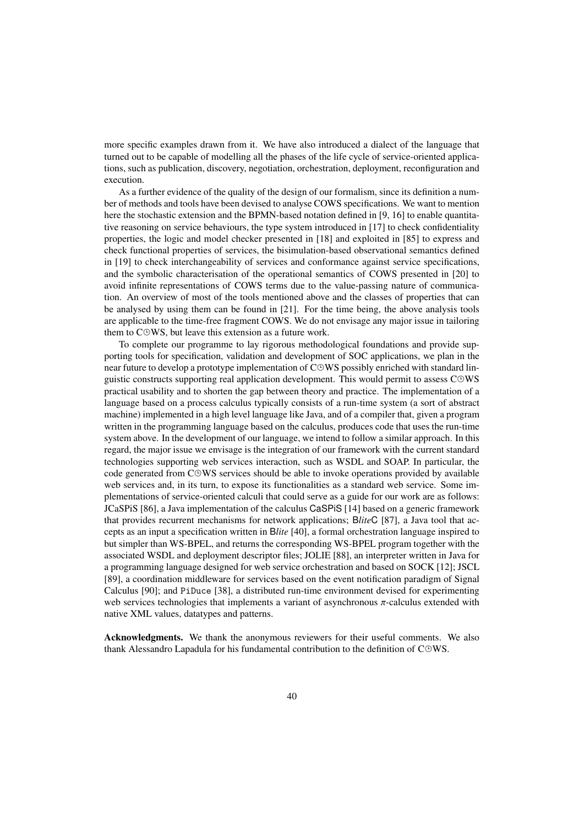more specific examples drawn from it. We have also introduced a dialect of the language that turned out to be capable of modelling all the phases of the life cycle of service-oriented applications, such as publication, discovery, negotiation, orchestration, deployment, reconfiguration and execution.

As a further evidence of the quality of the design of our formalism, since its definition a number of methods and tools have been devised to analyse COWS specifications. We want to mention here the stochastic extension and the BPMN-based notation defined in [9, 16] to enable quantitative reasoning on service behaviours, the type system introduced in [17] to check confidentiality properties, the logic and model checker presented in [18] and exploited in [85] to express and check functional properties of services, the bisimulation-based observational semantics defined in [19] to check interchangeability of services and conformance against service specifications, and the symbolic characterisation of the operational semantics of COWS presented in [20] to avoid infinite representations of COWS terms due to the value-passing nature of communication. An overview of most of the tools mentioned above and the classes of properties that can be analysed by using them can be found in [21]. For the time being, the above analysis tools are applicable to the time-free fragment COWS. We do not envisage any major issue in tailoring them to CWS, but leave this extension as a future work.

To complete our programme to lay rigorous methodological foundations and provide supporting tools for specification, validation and development of SOC applications, we plan in the near future to develop a prototype implementation of CWS possibly enriched with standard linguistic constructs supporting real application development. This would permit to assess CWS practical usability and to shorten the gap between theory and practice. The implementation of a language based on a process calculus typically consists of a run-time system (a sort of abstract machine) implemented in a high level language like Java, and of a compiler that, given a program written in the programming language based on the calculus, produces code that uses the run-time system above. In the development of our language, we intend to follow a similar approach. In this regard, the major issue we envisage is the integration of our framework with the current standard technologies supporting web services interaction, such as WSDL and SOAP. In particular, the code generated from CWS services should be able to invoke operations provided by available web services and, in its turn, to expose its functionalities as a standard web service. Some implementations of service-oriented calculi that could serve as a guide for our work are as follows: JCaSPiS [86], a Java implementation of the calculus CaSPiS [14] based on a generic framework that provides recurrent mechanisms for network applications; B*lite*C [87], a Java tool that accepts as an input a specification written in B*lite* [40], a formal orchestration language inspired to but simpler than WS-BPEL, and returns the corresponding WS-BPEL program together with the associated WSDL and deployment descriptor files; JOLIE [88], an interpreter written in Java for a programming language designed for web service orchestration and based on SOCK [12]; JSCL [89], a coordination middleware for services based on the event notification paradigm of Signal Calculus [90]; and PiDuce [38], a distributed run-time environment devised for experimenting web services technologies that implements a variant of asynchronous  $\pi$ -calculus extended with native XML values, datatypes and patterns.

Acknowledgments. We thank the anonymous reviewers for their useful comments. We also thank Alessandro Lapadula for his fundamental contribution to the definition of CWS.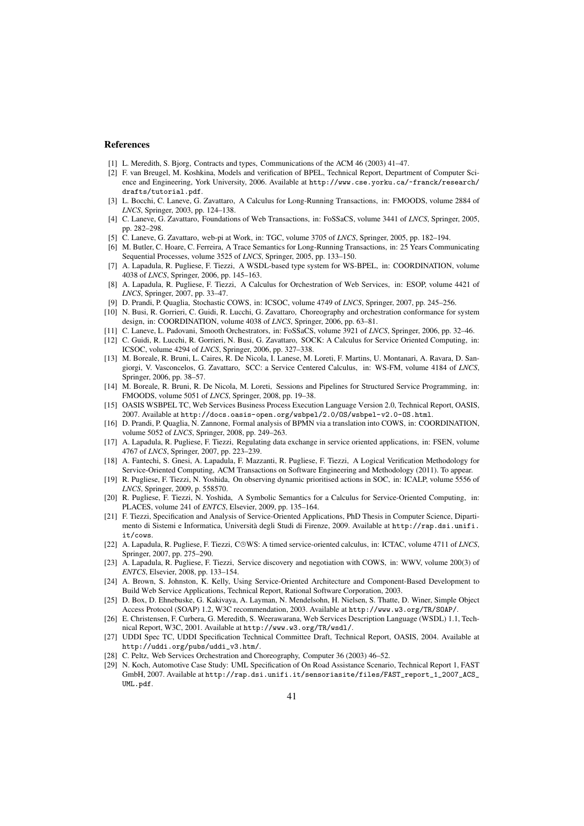#### References

- [1] L. Meredith, S. Bjorg, Contracts and types, Communications of the ACM 46 (2003) 41–47.
- [2] F. van Breugel, M. Koshkina, Models and verification of BPEL, Technical Report, Department of Computer Science and Engineering, York University, 2006. Available at http://www.cse.yorku.ca/~franck/research/ drafts/tutorial.pdf.
- [3] L. Bocchi, C. Laneve, G. Zavattaro, A Calculus for Long-Running Transactions, in: FMOODS, volume 2884 of *LNCS*, Springer, 2003, pp. 124–138.
- [4] C. Laneve, G. Zavattaro, Foundations of Web Transactions, in: FoSSaCS, volume 3441 of *LNCS*, Springer, 2005, pp. 282–298.
- [5] C. Laneve, G. Zavattaro, web-pi at Work, in: TGC, volume 3705 of *LNCS*, Springer, 2005, pp. 182–194.
- [6] M. Butler, C. Hoare, C. Ferreira, A Trace Semantics for Long-Running Transactions, in: 25 Years Communicating Sequential Processes, volume 3525 of *LNCS*, Springer, 2005, pp. 133–150.
- [7] A. Lapadula, R. Pugliese, F. Tiezzi, A WSDL-based type system for WS-BPEL, in: COORDINATION, volume 4038 of *LNCS*, Springer, 2006, pp. 145–163.
- [8] A. Lapadula, R. Pugliese, F. Tiezzi, A Calculus for Orchestration of Web Services, in: ESOP, volume 4421 of *LNCS*, Springer, 2007, pp. 33–47.
- [9] D. Prandi, P. Quaglia, Stochastic COWS, in: ICSOC, volume 4749 of *LNCS*, Springer, 2007, pp. 245–256.
- [10] N. Busi, R. Gorrieri, C. Guidi, R. Lucchi, G. Zavattaro, Choreography and orchestration conformance for system design, in: COORDINATION, volume 4038 of *LNCS*, Springer, 2006, pp. 63–81.
- [11] C. Laneve, L. Padovani, Smooth Orchestrators, in: FoSSaCS, volume 3921 of *LNCS*, Springer, 2006, pp. 32–46.
- [12] C. Guidi, R. Lucchi, R. Gorrieri, N. Busi, G. Zavattaro, SOCK: A Calculus for Service Oriented Computing, in: ICSOC, volume 4294 of *LNCS*, Springer, 2006, pp. 327–338.
- [13] M. Boreale, R. Bruni, L. Caires, R. De Nicola, I. Lanese, M. Loreti, F. Martins, U. Montanari, A. Ravara, D. Sangiorgi, V. Vasconcelos, G. Zavattaro, SCC: a Service Centered Calculus, in: WS-FM, volume 4184 of *LNCS*, Springer, 2006, pp. 38–57.
- [14] M. Boreale, R. Bruni, R. De Nicola, M. Loreti, Sessions and Pipelines for Structured Service Programming, in: FMOODS, volume 5051 of *LNCS*, Springer, 2008, pp. 19–38.
- [15] OASIS WSBPEL TC, Web Services Business Process Execution Language Version 2.0, Technical Report, OASIS, 2007. Available at http://docs.oasis-open.org/wsbpel/2.0/OS/wsbpel-v2.0-OS.html.
- [16] D. Prandi, P. Quaglia, N. Zannone, Formal analysis of BPMN via a translation into COWS, in: COORDINATION, volume 5052 of *LNCS*, Springer, 2008, pp. 249–263.
- [17] A. Lapadula, R. Pugliese, F. Tiezzi, Regulating data exchange in service oriented applications, in: FSEN, volume 4767 of *LNCS*, Springer, 2007, pp. 223–239.
- [18] A. Fantechi, S. Gnesi, A. Lapadula, F. Mazzanti, R. Pugliese, F. Tiezzi, A Logical Verification Methodology for Service-Oriented Computing, ACM Transactions on Software Engineering and Methodology (2011). To appear.
- [19] R. Pugliese, F. Tiezzi, N. Yoshida, On observing dynamic prioritised actions in SOC, in: ICALP, volume 5556 of *LNCS*, Springer, 2009, p. 558570.
- [20] R. Pugliese, F. Tiezzi, N. Yoshida, A Symbolic Semantics for a Calculus for Service-Oriented Computing, in: PLACES, volume 241 of *ENTCS*, Elsevier, 2009, pp. 135–164.
- [21] F. Tiezzi, Specification and Analysis of Service-Oriented Applications, PhD Thesis in Computer Science, Dipartimento di Sistemi e Informatica, Università degli Studi di Firenze, 2009. Available at http://rap.dsi.unifi. it/cows.
- [22] A. Lapadula, R. Pugliese, F. Tiezzi, CWS: A timed service-oriented calculus, in: ICTAC, volume 4711 of *LNCS*, Springer, 2007, pp. 275–290.
- [23] A. Lapadula, R. Pugliese, F. Tiezzi, Service discovery and negotiation with COWS, in: WWV, volume 200(3) of *ENTCS*, Elsevier, 2008, pp. 133–154.
- [24] A. Brown, S. Johnston, K. Kelly, Using Service-Oriented Architecture and Component-Based Development to Build Web Service Applications, Technical Report, Rational Software Corporation, 2003.
- [25] D. Box, D. Ehnebuske, G. Kakivaya, A. Layman, N. Mendelsohn, H. Nielsen, S. Thatte, D. Winer, Simple Object Access Protocol (SOAP) 1.2, W3C recommendation, 2003. Available at http://www.w3.org/TR/SOAP/.
- [26] E. Christensen, F. Curbera, G. Meredith, S. Weerawarana, Web Services Description Language (WSDL) 1.1, Technical Report, W3C, 2001. Available at http://www.w3.org/TR/wsdl/.
- [27] UDDI Spec TC, UDDI Specification Technical Committee Draft, Technical Report, OASIS, 2004. Available at http://uddi.org/pubs/uddi\_v3.htm/.
- [28] C. Peltz, Web Services Orchestration and Choreography, Computer 36 (2003) 46–52.
- [29] N. Koch, Automotive Case Study: UML Specification of On Road Assistance Scenario, Technical Report 1, FAST GmbH, 2007. Available at http://rap.dsi.unifi.it/sensoriasite/files/FAST\_report\_1\_2007\_ACS\_ UML.pdf.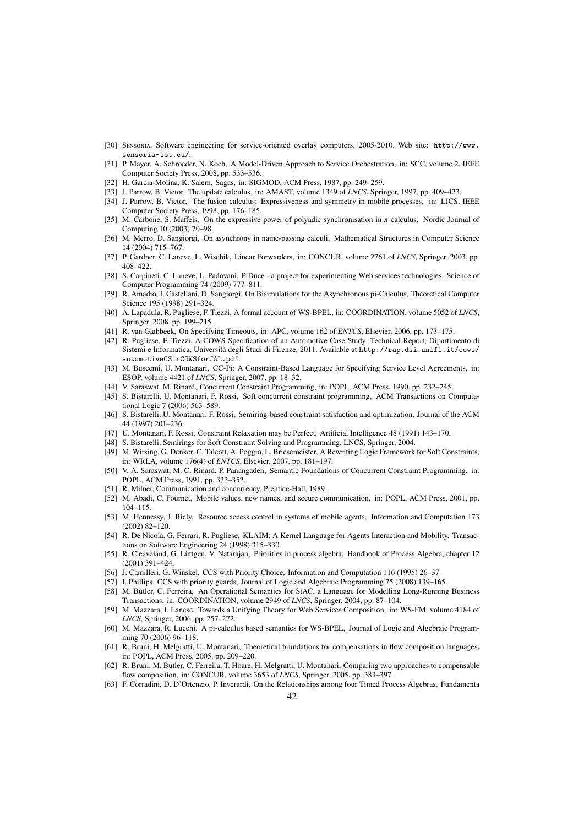- [30] Sensoria, Software engineering for service-oriented overlay computers, 2005-2010. Web site: http://www. sensoria-ist.eu/.
- [31] P. Mayer, A. Schroeder, N. Koch, A Model-Driven Approach to Service Orchestration, in: SCC, volume 2, IEEE Computer Society Press, 2008, pp. 533–536.
- [32] H. Garcia-Molina, K. Salem, Sagas, in: SIGMOD, ACM Press, 1987, pp. 249–259.
- [33] J. Parrow, B. Victor, The update calculus, in: AMAST, volume 1349 of *LNCS*, Springer, 1997, pp. 409–423.
- [34] J. Parrow, B. Victor, The fusion calculus: Expressiveness and symmetry in mobile processes, in: LICS, IEEE Computer Society Press, 1998, pp. 176–185.
- [35] M. Carbone, S. Maffeis, On the expressive power of polyadic synchronisation in π-calculus, Nordic Journal of Computing 10 (2003) 70–98.
- [36] M. Merro, D. Sangiorgi, On asynchrony in name-passing calculi, Mathematical Structures in Computer Science 14 (2004) 715–767.
- [37] P. Gardner, C. Laneve, L. Wischik, Linear Forwarders, in: CONCUR, volume 2761 of *LNCS*, Springer, 2003, pp. 408–422
- [38] S. Carpineti, C. Laneve, L. Padovani, PiDuce a project for experimenting Web services technologies, Science of Computer Programming 74 (2009) 777–811.
- [39] R. Amadio, I. Castellani, D. Sangiorgi, On Bisimulations for the Asynchronous pi-Calculus, Theoretical Computer Science 195 (1998) 291–324.
- [40] A. Lapadula, R. Pugliese, F. Tiezzi, A formal account of WS-BPEL, in: COORDINATION, volume 5052 of *LNCS*, Springer, 2008, pp. 199–215.
- [41] R. van Glabbeek, On Specifying Timeouts, in: APC, volume 162 of *ENTCS*, Elsevier, 2006, pp. 173–175.
- [42] R. Pugliese, F. Tiezzi, A COWS Specification of an Automotive Case Study, Technical Report, Dipartimento di Sistemi e Informatica, Università degli Studi di Firenze, 2011. Available at http://rap.dsi.unifi.it/cows/ automotiveCSinCOWSforJAL.pdf.
- [43] M. Buscemi, U. Montanari, CC-Pi: A Constraint-Based Language for Specifying Service Level Agreements, in: ESOP, volume 4421 of *LNCS*, Springer, 2007, pp. 18–32.
- [44] V. Saraswat, M. Rinard, Concurrent Constraint Programming, in: POPL, ACM Press, 1990, pp. 232–245.
- [45] S. Bistarelli, U. Montanari, F. Rossi, Soft concurrent constraint programming, ACM Transactions on Computational Logic 7 (2006) 563–589.
- [46] S. Bistarelli, U. Montanari, F. Rossi, Semiring-based constraint satisfaction and optimization, Journal of the ACM 44 (1997) 201–236.
- [47] U. Montanari, F. Rossi, Constraint Relaxation may be Perfect, Artificial Intelligence 48 (1991) 143–170.
- [48] S. Bistarelli, Semirings for Soft Constraint Solving and Programming, LNCS, Springer, 2004.
- [49] M. Wirsing, G. Denker, C. Talcott, A. Poggio, L. Briesemeister, A Rewriting Logic Framework for Soft Constraints, in: WRLA, volume 176(4) of *ENTCS*, Elsevier, 2007, pp. 181–197.
- [50] V. A. Saraswat, M. C. Rinard, P. Panangaden, Semantic Foundations of Concurrent Constraint Programming, in: POPL, ACM Press, 1991, pp. 333–352.
- [51] R. Milner, Communication and concurrency, Prentice-Hall, 1989.
- [52] M. Abadi, C. Fournet, Mobile values, new names, and secure communication, in: POPL, ACM Press, 2001, pp. 104–115.
- [53] M. Hennessy, J. Riely, Resource access control in systems of mobile agents, Information and Computation 173 (2002) 82–120.
- [54] R. De Nicola, G. Ferrari, R. Pugliese, KLAIM: A Kernel Language for Agents Interaction and Mobility, Transactions on Software Engineering 24 (1998) 315–330.
- [55] R. Cleaveland, G. Lüttgen, V. Natarajan, Priorities in process algebra, Handbook of Process Algebra, chapter 12 (2001) 391–424.
- [56] J. Camilleri, G. Winskel, CCS with Priority Choice, Information and Computation 116 (1995) 26–37.
- [57] I. Phillips, CCS with priority guards, Journal of Logic and Algebraic Programming 75 (2008) 139–165. [58] M. Butler, C. Ferreira, An Operational Semantics for StAC, a Language for Modelling Long-Running Business
- Transactions, in: COORDINATION, volume 2949 of *LNCS*, Springer, 2004, pp. 87–104.
- [59] M. Mazzara, I. Lanese, Towards a Unifying Theory for Web Services Composition, in: WS-FM, volume 4184 of *LNCS*, Springer, 2006, pp. 257–272.
- [60] M. Mazzara, R. Lucchi, A pi-calculus based semantics for WS-BPEL, Journal of Logic and Algebraic Programming 70 (2006) 96–118.
- [61] R. Bruni, H. Melgratti, U. Montanari, Theoretical foundations for compensations in flow composition languages, in: POPL, ACM Press, 2005, pp. 209–220.
- [62] R. Bruni, M. Butler, C. Ferreira, T. Hoare, H. Melgratti, U. Montanari, Comparing two approaches to compensable flow composition, in: CONCUR, volume 3653 of *LNCS*, Springer, 2005, pp. 383–397.
- [63] F. Corradini, D. D'Ortenzio, P. Inverardi, On the Relationships among four Timed Process Algebras, Fundamenta